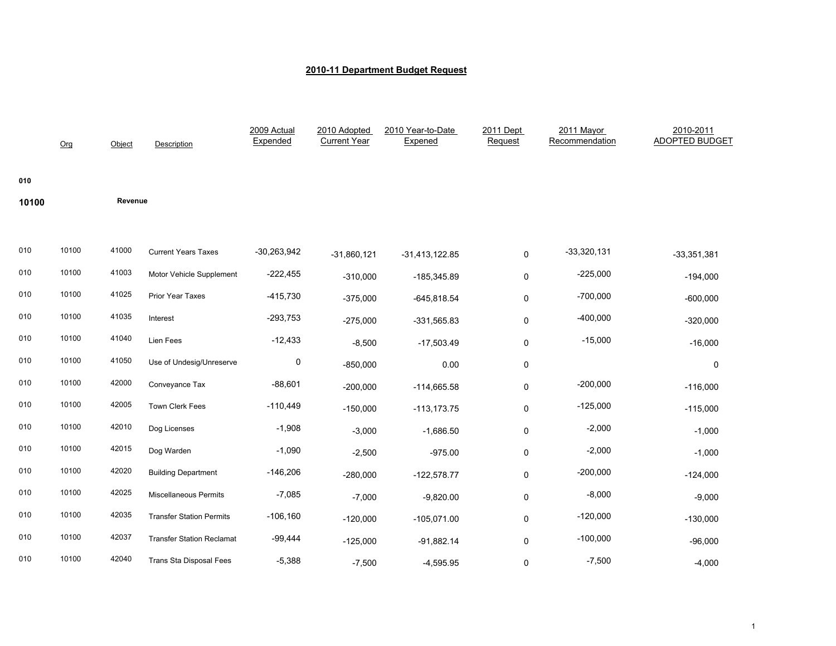|       | O <sub>rg</sub> | Object  | <b>Description</b>               | 2009 Actual<br>Expended | 2010 Adopted<br><b>Current Year</b> | 2010 Year-to-Date<br>Expened | 2011 Dept<br>Request | 2011 Mayor<br>Recommendation | 2010-2011<br><b>ADOPTED BUDGET</b> |
|-------|-----------------|---------|----------------------------------|-------------------------|-------------------------------------|------------------------------|----------------------|------------------------------|------------------------------------|
| 010   |                 |         |                                  |                         |                                     |                              |                      |                              |                                    |
| 10100 |                 | Revenue |                                  |                         |                                     |                              |                      |                              |                                    |
|       |                 |         |                                  |                         |                                     |                              |                      |                              |                                    |
| 010   | 10100           | 41000   | <b>Current Years Taxes</b>       | $-30,263,942$           | $-31,860,121$                       | $-31,413,122.85$             | $\pmb{0}$            | $-33,320,131$                | $-33,351,381$                      |
| 010   | 10100           | 41003   | Motor Vehicle Supplement         | $-222,455$              | $-310,000$                          | $-185,345.89$                | 0                    | $-225,000$                   | $-194,000$                         |
| 010   | 10100           | 41025   | Prior Year Taxes                 | $-415,730$              | $-375,000$                          | $-645,818.54$                | 0                    | $-700,000$                   | $-600,000$                         |
| 010   | 10100           | 41035   | Interest                         | $-293,753$              | $-275,000$                          | $-331,565.83$                | 0                    | $-400,000$                   | $-320,000$                         |
| 010   | 10100           | 41040   | Lien Fees                        | $-12,433$               | $-8,500$                            | $-17,503.49$                 | 0                    | $-15,000$                    | $-16,000$                          |
| 010   | 10100           | 41050   | Use of Undesig/Unreserve         | 0                       | $-850,000$                          | 0.00                         | 0                    |                              | 0                                  |
| 010   | 10100           | 42000   | Conveyance Tax                   | $-88,601$               | $-200,000$                          | $-114,665.58$                | 0                    | $-200,000$                   | $-116,000$                         |
| 010   | 10100           | 42005   | Town Clerk Fees                  | $-110,449$              | $-150,000$                          | $-113, 173.75$               | 0                    | $-125,000$                   | $-115,000$                         |
| 010   | 10100           | 42010   | Dog Licenses                     | $-1,908$                | $-3,000$                            | $-1,686.50$                  | 0                    | $-2,000$                     | $-1,000$                           |
| 010   | 10100           | 42015   | Dog Warden                       | $-1,090$                | $-2,500$                            | $-975.00$                    | 0                    | $-2,000$                     | $-1,000$                           |
| 010   | 10100           | 42020   | <b>Building Department</b>       | $-146,206$              | $-280,000$                          | $-122,578.77$                | 0                    | $-200,000$                   | $-124,000$                         |
| 010   | 10100           | 42025   | <b>Miscellaneous Permits</b>     | $-7,085$                | $-7,000$                            | $-9,820.00$                  | 0                    | $-8,000$                     | $-9,000$                           |
| 010   | 10100           | 42035   | <b>Transfer Station Permits</b>  | $-106,160$              | $-120,000$                          | $-105,071.00$                | 0                    | $-120,000$                   | $-130,000$                         |
| 010   | 10100           | 42037   | <b>Transfer Station Reclamat</b> | $-99,444$               | $-125,000$                          | $-91,882.14$                 | $\mathsf 0$          | $-100,000$                   | $-96,000$                          |
| 010   | 10100           | 42040   | <b>Trans Sta Disposal Fees</b>   | $-5,388$                | $-7,500$                            | $-4,595.95$                  | 0                    | $-7,500$                     | $-4,000$                           |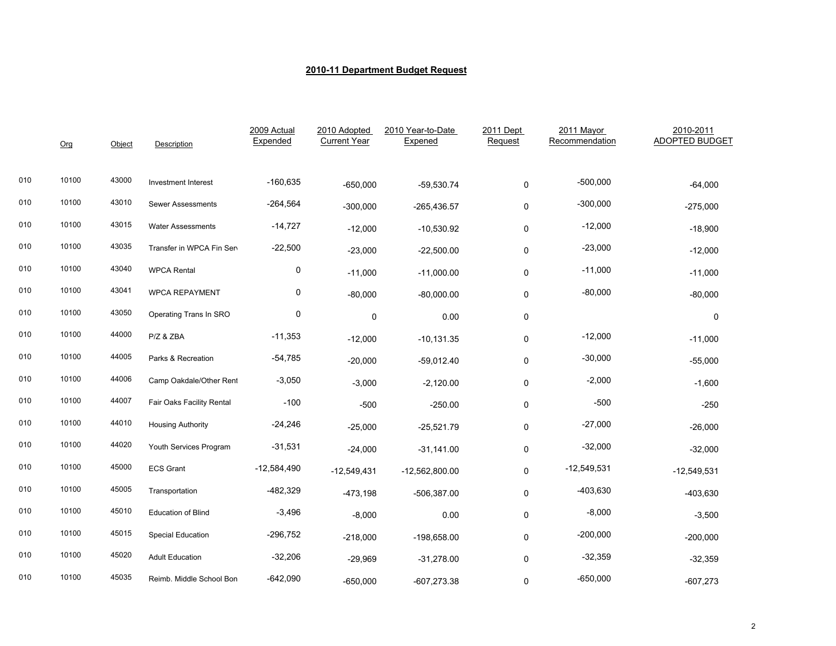|     | Org   | Object | Description                | 2009 Actual<br>Expended | 2010 Adopted<br><b>Current Year</b> | 2010 Year-to-Date<br>Expened | 2011 Dept<br>Request | 2011 Mayor<br>Recommendation | 2010-2011<br>ADOPTED BUDGET |
|-----|-------|--------|----------------------------|-------------------------|-------------------------------------|------------------------------|----------------------|------------------------------|-----------------------------|
| 010 | 10100 | 43000  | <b>Investment Interest</b> | $-160,635$              | $-650,000$                          | $-59,530.74$                 | 0                    | $-500,000$                   | $-64,000$                   |
| 010 | 10100 | 43010  | Sewer Assessments          | $-264,564$              | $-300,000$                          | $-265,436.57$                | 0                    | $-300,000$                   | $-275,000$                  |
| 010 | 10100 | 43015  | <b>Water Assessments</b>   | $-14,727$               | $-12,000$                           | $-10,530.92$                 | 0                    | $-12,000$                    | $-18,900$                   |
| 010 | 10100 | 43035  | Transfer in WPCA Fin Sen   | $-22,500$               | $-23,000$                           | $-22,500.00$                 | 0                    | $-23,000$                    | $-12,000$                   |
| 010 | 10100 | 43040  | <b>WPCA Rental</b>         | 0                       | $-11,000$                           | $-11,000.00$                 | 0                    | $-11,000$                    | $-11,000$                   |
| 010 | 10100 | 43041  | <b>WPCA REPAYMENT</b>      | 0                       | $-80,000$                           | $-80,000.00$                 | 0                    | $-80,000$                    | $-80,000$                   |
| 010 | 10100 | 43050  | Operating Trans In SRO     | $\mathbf 0$             | 0                                   | 0.00                         | 0                    |                              | 0                           |
| 010 | 10100 | 44000  | P/Z & ZBA                  | $-11,353$               | $-12,000$                           | $-10, 131.35$                | 0                    | $-12,000$                    | $-11,000$                   |
| 010 | 10100 | 44005  | Parks & Recreation         | $-54,785$               | $-20,000$                           | $-59,012.40$                 | 0                    | $-30,000$                    | $-55,000$                   |
| 010 | 10100 | 44006  | Camp Oakdale/Other Rent    | $-3,050$                | $-3,000$                            | $-2,120.00$                  | 0                    | $-2,000$                     | $-1,600$                    |
| 010 | 10100 | 44007  | Fair Oaks Facility Rental  | $-100$                  | $-500$                              | $-250.00$                    | 0                    | $-500$                       | $-250$                      |
| 010 | 10100 | 44010  | <b>Housing Authority</b>   | $-24,246$               | $-25,000$                           | $-25,521.79$                 | 0                    | $-27,000$                    | $-26,000$                   |
| 010 | 10100 | 44020  | Youth Services Program     | $-31,531$               | $-24,000$                           | $-31,141.00$                 | 0                    | $-32,000$                    | $-32,000$                   |
| 010 | 10100 | 45000  | <b>ECS Grant</b>           | $-12,584,490$           | $-12,549,431$                       | $-12,562,800.00$             | 0                    | $-12,549,531$                | $-12,549,531$               |
| 010 | 10100 | 45005  | Transportation             | $-482,329$              | $-473,198$                          | $-506,387.00$                | 0                    | $-403,630$                   | $-403,630$                  |
| 010 | 10100 | 45010  | <b>Education of Blind</b>  | $-3,496$                | $-8,000$                            | 0.00                         | 0                    | $-8,000$                     | $-3,500$                    |
| 010 | 10100 | 45015  | <b>Special Education</b>   | $-296,752$              | $-218,000$                          | $-198,658.00$                | 0                    | $-200,000$                   | $-200,000$                  |
| 010 | 10100 | 45020  | <b>Adult Education</b>     | $-32,206$               | $-29,969$                           | $-31,278.00$                 | 0                    | $-32,359$                    | $-32,359$                   |
| 010 | 10100 | 45035  | Reimb. Middle School Bon   | $-642,090$              | -650,000                            | $-607,273.38$                | 0                    | $-650,000$                   | $-607,273$                  |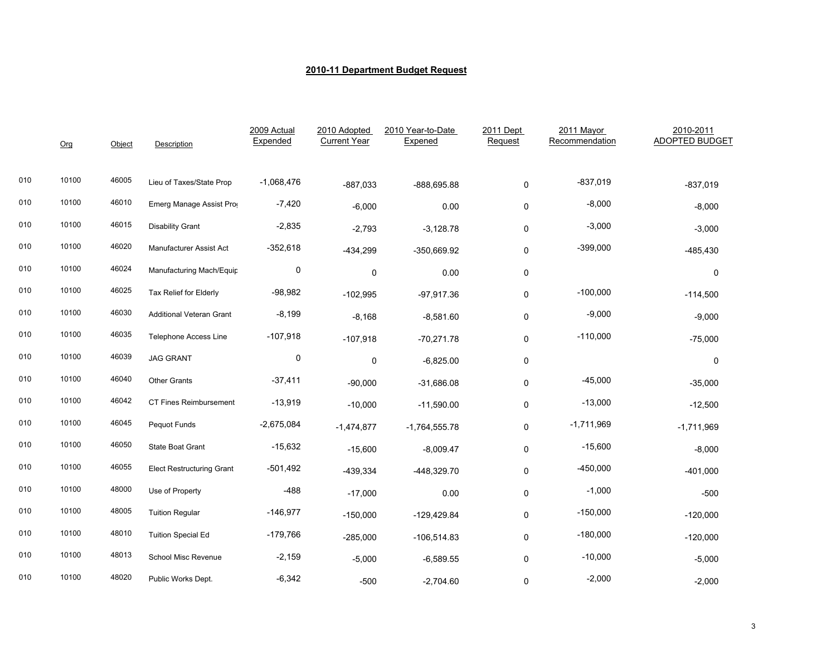|     | Org   | Object | <b>Description</b>               | 2009 Actual<br>Expended | 2010 Adopted<br><b>Current Year</b> | 2010 Year-to-Date<br>Expened | 2011 Dept<br>Request | 2011 Mayor<br>Recommendation | 2010-2011<br><b>ADOPTED BUDGET</b> |
|-----|-------|--------|----------------------------------|-------------------------|-------------------------------------|------------------------------|----------------------|------------------------------|------------------------------------|
| 010 | 10100 | 46005  | Lieu of Taxes/State Prop         | $-1,068,476$            | $-887,033$                          | -888,695.88                  | 0                    | $-837,019$                   | $-837,019$                         |
| 010 | 10100 | 46010  | Emerg Manage Assist Pro          | $-7,420$                | $-6,000$                            | 0.00                         | 0                    | $-8,000$                     | $-8,000$                           |
| 010 | 10100 | 46015  | <b>Disability Grant</b>          | $-2,835$                | $-2,793$                            | $-3,128.78$                  | 0                    | $-3,000$                     | $-3,000$                           |
| 010 | 10100 | 46020  | Manufacturer Assist Act          | $-352,618$              | $-434,299$                          | -350,669.92                  | $\pmb{0}$            | $-399,000$                   | $-485,430$                         |
| 010 | 10100 | 46024  | Manufacturing Mach/Equip         | 0                       | 0                                   | 0.00                         | $\pmb{0}$            |                              | 0                                  |
| 010 | 10100 | 46025  | Tax Relief for Elderly           | $-98,982$               | $-102,995$                          | $-97,917.36$                 | 0                    | $-100,000$                   | $-114,500$                         |
| 010 | 10100 | 46030  | <b>Additional Veteran Grant</b>  | $-8,199$                | $-8,168$                            | $-8,581.60$                  | 0                    | $-9,000$                     | $-9,000$                           |
| 010 | 10100 | 46035  | <b>Telephone Access Line</b>     | $-107,918$              | $-107,918$                          | $-70,271.78$                 | $\pmb{0}$            | $-110,000$                   | $-75,000$                          |
| 010 | 10100 | 46039  | <b>JAG GRANT</b>                 | $\pmb{0}$               | 0                                   | $-6,825.00$                  | 0                    |                              | 0                                  |
| 010 | 10100 | 46040  | <b>Other Grants</b>              | $-37,411$               | $-90,000$                           | $-31,686.08$                 | $\pmb{0}$            | $-45,000$                    | $-35,000$                          |
| 010 | 10100 | 46042  | CT Fines Reimbursement           | $-13,919$               | $-10,000$                           | $-11,590.00$                 | 0                    | $-13,000$                    | $-12,500$                          |
| 010 | 10100 | 46045  | Pequot Funds                     | $-2,675,084$            | $-1,474,877$                        | $-1,764,555.78$              | 0                    | $-1,711,969$                 | $-1,711,969$                       |
| 010 | 10100 | 46050  | State Boat Grant                 | $-15,632$               | $-15,600$                           | $-8,009.47$                  | 0                    | $-15,600$                    | $-8,000$                           |
| 010 | 10100 | 46055  | <b>Elect Restructuring Grant</b> | $-501,492$              | $-439,334$                          | -448,329.70                  | $\pmb{0}$            | $-450,000$                   | $-401,000$                         |
| 010 | 10100 | 48000  | Use of Property                  | $-488$                  | $-17,000$                           | 0.00                         | $\pmb{0}$            | $-1,000$                     | $-500$                             |
| 010 | 10100 | 48005  | <b>Tuition Regular</b>           | $-146,977$              | $-150,000$                          | $-129,429.84$                | 0                    | $-150,000$                   | $-120,000$                         |
| 010 | 10100 | 48010  | <b>Tuition Special Ed</b>        | $-179,766$              | $-285,000$                          | $-106,514.83$                | 0                    | $-180,000$                   | $-120,000$                         |
| 010 | 10100 | 48013  | School Misc Revenue              | $-2,159$                | $-5,000$                            | $-6,589.55$                  | 0                    | $-10,000$                    | $-5,000$                           |
| 010 | 10100 | 48020  | Public Works Dept.               | $-6,342$                | $-500$                              | $-2,704.60$                  | 0                    | $-2,000$                     | $-2,000$                           |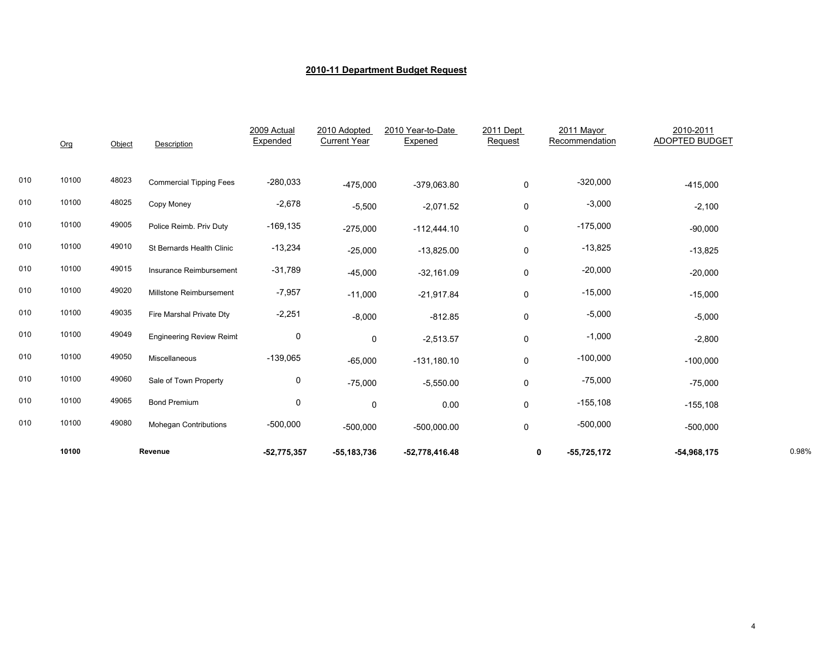|     | 10100 |        | Revenue                         | $-52,775,357$           | $-55, 183, 736$                     | $-52,778,416.48$             |                      | $-55,725,172$<br>0           | $-54,968,175$                      | 0.98% |
|-----|-------|--------|---------------------------------|-------------------------|-------------------------------------|------------------------------|----------------------|------------------------------|------------------------------------|-------|
| 010 | 10100 | 49080  | <b>Mohegan Contributions</b>    | $-500,000$              | $-500,000$                          | $-500,000.00$                | 0                    | $-500,000$                   | $-500,000$                         |       |
| 010 | 10100 | 49065  | <b>Bond Premium</b>             | 0                       | 0                                   | 0.00                         | 0                    | $-155,108$                   | $-155,108$                         |       |
| 010 | 10100 | 49060  | Sale of Town Property           | 0                       | $-75,000$                           | $-5,550.00$                  | $\mathbf 0$          | $-75,000$                    | $-75,000$                          |       |
| 010 | 10100 | 49050  | Miscellaneous                   | $-139,065$              | $-65,000$                           | $-131,180.10$                | 0                    | $-100,000$                   | $-100,000$                         |       |
| 010 | 10100 | 49049  | <b>Engineering Review Reimt</b> | 0                       | $\mathbf 0$                         | $-2,513.57$                  | 0                    | $-1,000$                     | $-2,800$                           |       |
| 010 | 10100 | 49035  | Fire Marshal Private Dtv        | $-2,251$                | $-8,000$                            | $-812.85$                    | $\pmb{0}$            | $-5,000$                     | $-5,000$                           |       |
| 010 | 10100 | 49020  | Millstone Reimbursement         | $-7,957$                | $-11,000$                           | $-21,917.84$                 | 0                    | $-15,000$                    | $-15,000$                          |       |
| 010 | 10100 | 49015  | Insurance Reimbursement         | $-31,789$               | $-45,000$                           | $-32,161.09$                 | 0                    | $-20,000$                    | $-20,000$                          |       |
| 010 | 10100 | 49010  | St Bernards Health Clinic       | $-13,234$               | $-25,000$                           | $-13,825.00$                 | $\mathbf 0$          | $-13,825$                    | $-13,825$                          |       |
| 010 | 10100 | 49005  | Police Reimb. Priv Duty         | $-169, 135$             | $-275,000$                          | $-112,444.10$                | 0                    | $-175,000$                   | $-90,000$                          |       |
| 010 | 10100 | 48025  | Copy Money                      | $-2,678$                | $-5,500$                            | $-2,071.52$                  | $\mathbf 0$          | $-3,000$                     | $-2,100$                           |       |
| 010 | 10100 | 48023  | <b>Commercial Tipping Fees</b>  | $-280,033$              | $-475,000$                          | $-379,063.80$                | 0                    | $-320,000$                   | $-415,000$                         |       |
|     | Org   | Object | <b>Description</b>              | 2009 Actual<br>Expended | 2010 Adopted<br><b>Current Year</b> | 2010 Year-to-Date<br>Expened | 2011 Dept<br>Request | 2011 Mayor<br>Recommendation | 2010-2011<br><b>ADOPTED BUDGET</b> |       |
|     |       |        |                                 |                         |                                     |                              |                      |                              |                                    |       |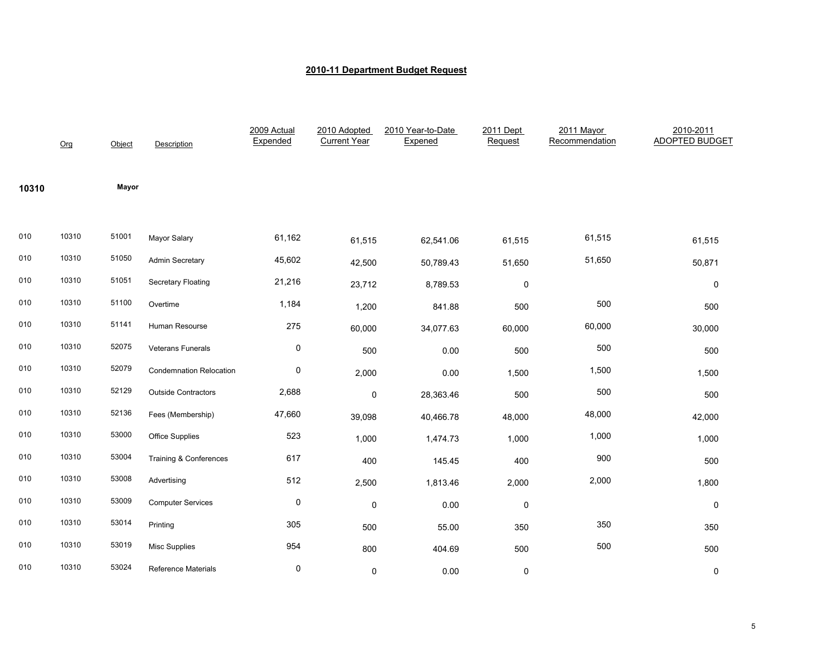|       | Org   | Object | Description                    | 2009 Actual<br>Expended | 2010 Adopted<br><b>Current Year</b> | 2010 Year-to-Date<br>Expened | 2011 Dept<br>Request | 2011 Mayor<br>Recommendation | 2010-2011<br><b>ADOPTED BUDGET</b> |
|-------|-------|--------|--------------------------------|-------------------------|-------------------------------------|------------------------------|----------------------|------------------------------|------------------------------------|
| 10310 |       | Mayor  |                                |                         |                                     |                              |                      |                              |                                    |
| 010   | 10310 | 51001  | Mayor Salary                   | 61,162                  | 61,515                              | 62,541.06                    | 61,515               | 61,515                       | 61,515                             |
| 010   | 10310 | 51050  | Admin Secretary                | 45,602                  | 42,500                              | 50,789.43                    | 51,650               | 51,650                       | 50,871                             |
| 010   | 10310 | 51051  | <b>Secretary Floating</b>      | 21,216                  | 23,712                              | 8,789.53                     | $\mathbf 0$          |                              | $\pmb{0}$                          |
| 010   | 10310 | 51100  | Overtime                       | 1,184                   | 1,200                               | 841.88                       | 500                  | 500                          | 500                                |
| 010   | 10310 | 51141  | Human Resourse                 | 275                     | 60,000                              | 34,077.63                    | 60,000               | 60,000                       | 30,000                             |
| 010   | 10310 | 52075  | Veterans Funerals              | 0                       | 500                                 | 0.00                         | 500                  | 500                          | 500                                |
| 010   | 10310 | 52079  | <b>Condemnation Relocation</b> | 0                       | 2,000                               | 0.00                         | 1,500                | 1,500                        | 1,500                              |
| 010   | 10310 | 52129  | <b>Outside Contractors</b>     | 2,688                   | 0                                   | 28,363.46                    | 500                  | 500                          | 500                                |
| 010   | 10310 | 52136  | Fees (Membership)              | 47,660                  | 39,098                              | 40,466.78                    | 48,000               | 48,000                       | 42,000                             |
| 010   | 10310 | 53000  | Office Supplies                | 523                     | 1,000                               | 1,474.73                     | 1,000                | 1,000                        | 1,000                              |
| 010   | 10310 | 53004  | Training & Conferences         | 617                     | 400                                 | 145.45                       | 400                  | 900                          | 500                                |
| 010   | 10310 | 53008  | Advertising                    | 512                     | 2,500                               | 1,813.46                     | 2,000                | 2,000                        | 1,800                              |
| 010   | 10310 | 53009  | <b>Computer Services</b>       | 0                       | $\mathbf 0$                         | 0.00                         | $\mathbf 0$          |                              | $\mathbf 0$                        |
| 010   | 10310 | 53014  | Printing                       | 305                     | 500                                 | 55.00                        | 350                  | 350                          | 350                                |
| 010   | 10310 | 53019  | Misc Supplies                  | 954                     | 800                                 | 404.69                       | 500                  | 500                          | 500                                |
| 010   | 10310 | 53024  | <b>Reference Materials</b>     | 0                       | $\pmb{0}$                           | 0.00                         | 0                    |                              | 0                                  |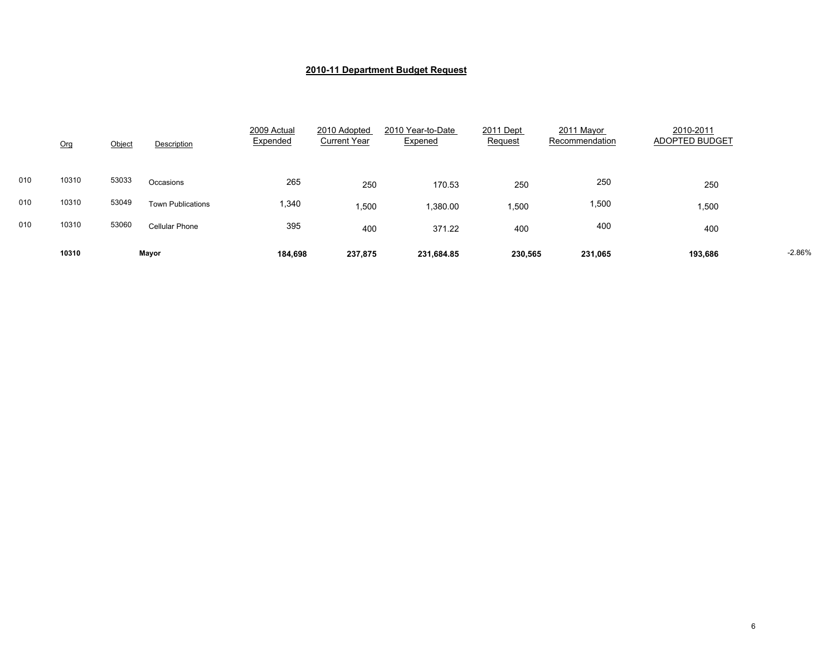|     | Org   | Object | Description              | 2009 Actual<br>Expended | 2010 Adopted<br><b>Current Year</b> | 2010 Year-to-Date<br>Expened | 2011 Dept<br>Request | 2011 Mayor<br>Recommendation | 2010-2011<br>ADOPTED BUDGET |          |
|-----|-------|--------|--------------------------|-------------------------|-------------------------------------|------------------------------|----------------------|------------------------------|-----------------------------|----------|
| 010 | 10310 | 53033  | Occasions                | 265                     | 250                                 | 170.53                       | 250                  | 250                          | 250                         |          |
| 010 | 10310 | 53049  | <b>Town Publications</b> | 1,340                   | 1,500                               | 1,380.00                     | .500                 | 1,500                        | 1,500                       |          |
| 010 | 10310 | 53060  | <b>Cellular Phone</b>    | 395                     | 400                                 | 371.22                       | 400                  | 400                          | 400                         |          |
|     | 10310 |        | Mayor                    | 184,698                 | 237,875                             | 231,684.85                   | 230,565              | 231,065                      | 193,686                     | $-2.86%$ |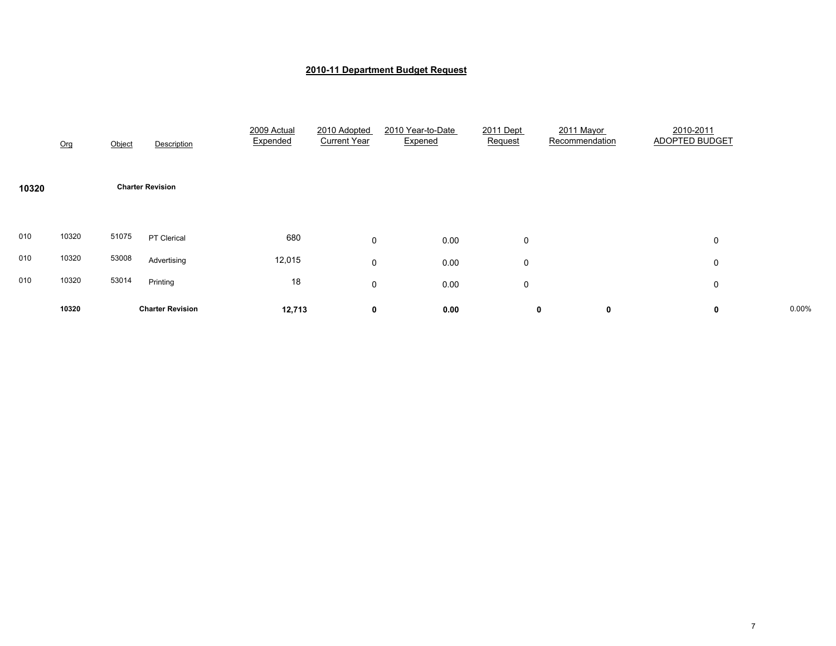|       | Org   | Object | Description             | 2009 Actual<br>Expended | 2010 Adopted<br><b>Current Year</b> | 2010 Year-to-Date<br>Expened | 2011 Dept<br>Request | 2011 Mayor<br>Recommendation | 2010-2011<br><b>ADOPTED BUDGET</b> |       |
|-------|-------|--------|-------------------------|-------------------------|-------------------------------------|------------------------------|----------------------|------------------------------|------------------------------------|-------|
| 10320 |       |        | <b>Charter Revision</b> |                         |                                     |                              |                      |                              |                                    |       |
| 010   | 10320 | 51075  | PT Clerical             | 680                     | 0                                   | 0.00                         | 0                    |                              | 0                                  |       |
| 010   | 10320 | 53008  | Advertising             | 12,015                  | 0                                   | 0.00                         | 0                    |                              | 0                                  |       |
| 010   | 10320 | 53014  | Printing                | 18                      | 0                                   | 0.00                         | 0                    |                              | 0                                  |       |
|       | 10320 |        | <b>Charter Revision</b> | 12,713                  | 0                                   | 0.00                         | 0                    | 0                            | 0                                  | 0.00% |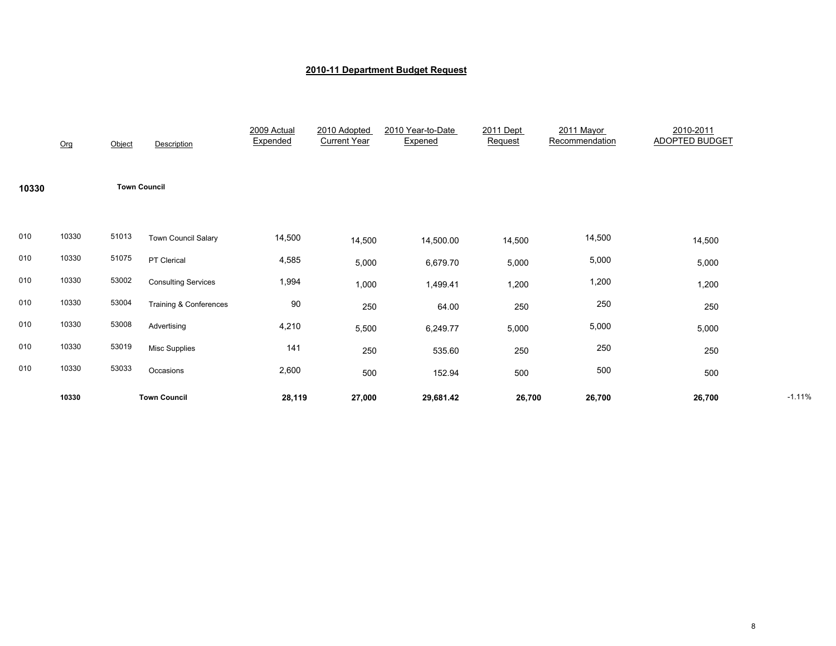|       | Org   | Object              | Description                       | 2009 Actual<br>Expended | 2010 Adopted<br><b>Current Year</b> | 2010 Year-to-Date<br>Expened | 2011 Dept<br>Request | 2011 Mayor<br>Recommendation | 2010-2011<br><b>ADOPTED BUDGET</b> |          |
|-------|-------|---------------------|-----------------------------------|-------------------------|-------------------------------------|------------------------------|----------------------|------------------------------|------------------------------------|----------|
| 10330 |       | <b>Town Council</b> |                                   |                         |                                     |                              |                      |                              |                                    |          |
| 010   | 10330 | 51013               | <b>Town Council Salary</b>        | 14,500                  | 14,500                              | 14,500.00                    | 14,500               | 14,500                       | 14,500                             |          |
| 010   | 10330 | 51075               | PT Clerical                       | 4,585                   | 5,000                               | 6,679.70                     | 5,000                | 5,000                        | 5,000                              |          |
| 010   | 10330 | 53002               | <b>Consulting Services</b>        | 1,994                   | 1,000                               | 1,499.41                     | 1,200                | 1,200                        | 1,200                              |          |
| 010   | 10330 | 53004               | <b>Training &amp; Conferences</b> | 90                      | 250                                 | 64.00                        | 250                  | 250                          | 250                                |          |
| 010   | 10330 | 53008               | Advertising                       | 4,210                   | 5,500                               | 6,249.77                     | 5,000                | 5,000                        | 5,000                              |          |
| 010   | 10330 | 53019               | <b>Misc Supplies</b>              | 141                     | 250                                 | 535.60                       | 250                  | 250                          | 250                                |          |
| 010   | 10330 | 53033               | Occasions                         | 2,600                   | 500                                 | 152.94                       | 500                  | 500                          | 500                                |          |
|       | 10330 |                     | <b>Town Council</b>               | 28,119                  | 27,000                              | 29,681.42                    | 26,700               | 26,700                       | 26,700                             | $-1.11%$ |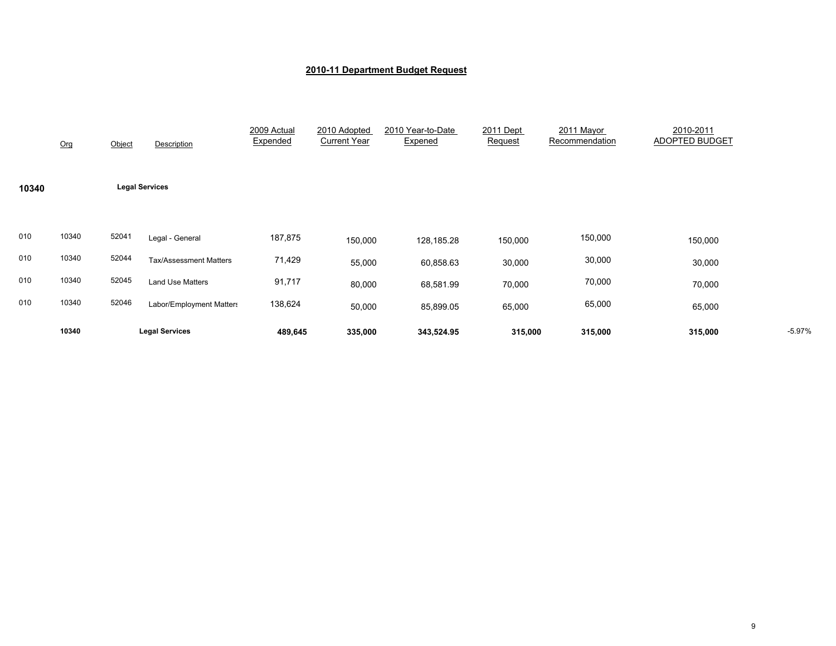|       | Org   | Object | Description                   | 2009 Actual<br>Expended | 2010 Adopted<br><b>Current Year</b> | 2010 Year-to-Date<br>Expened | 2011 Dept<br>Request | 2011 Mayor<br>Recommendation | 2010-2011<br>ADOPTED BUDGET |          |
|-------|-------|--------|-------------------------------|-------------------------|-------------------------------------|------------------------------|----------------------|------------------------------|-----------------------------|----------|
| 10340 |       |        | <b>Legal Services</b>         |                         |                                     |                              |                      |                              |                             |          |
| 010   | 10340 | 52041  | Legal - General               | 187,875                 | 150,000                             | 128,185.28                   | 150,000              | 150,000                      | 150,000                     |          |
| 010   | 10340 | 52044  | <b>Tax/Assessment Matters</b> | 71,429                  | 55,000                              | 60,858.63                    | 30,000               | 30,000                       | 30,000                      |          |
| 010   | 10340 | 52045  | <b>Land Use Matters</b>       | 91,717                  | 80,000                              | 68,581.99                    | 70,000               | 70,000                       | 70,000                      |          |
| 010   | 10340 | 52046  | Labor/Employment Matters      | 138,624                 | 50,000                              | 85,899.05                    | 65,000               | 65,000                       | 65,000                      |          |
|       | 10340 |        | <b>Legal Services</b>         | 489,645                 | 335,000                             | 343,524.95                   | 315,000              | 315,000                      | 315,000                     | $-5.97%$ |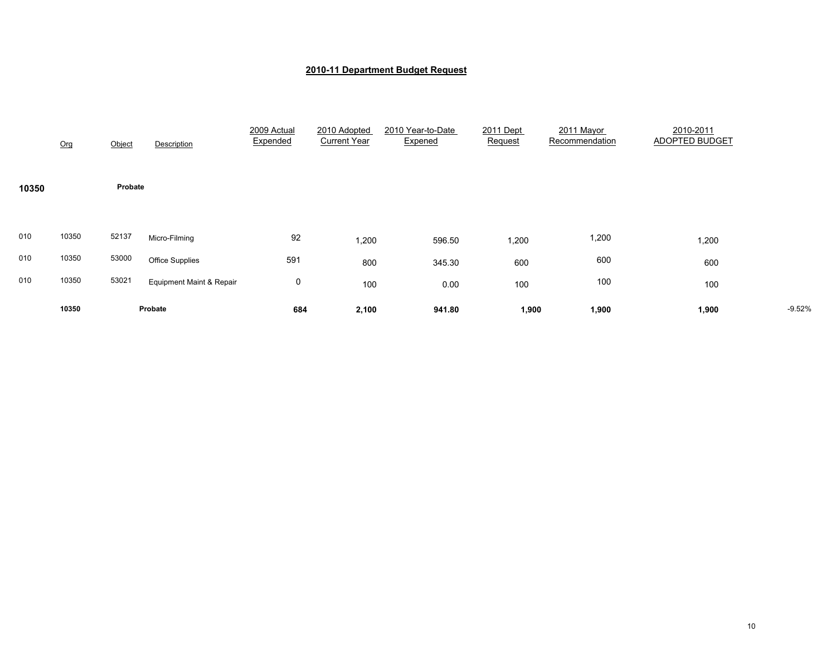|       | Org   | Object  | Description              | 2009 Actual<br>Expended | 2010 Adopted<br><b>Current Year</b> | 2010 Year-to-Date<br>Expened | 2011 Dept<br>Request | 2011 Mayor<br>Recommendation | 2010-2011<br>ADOPTED BUDGET |          |
|-------|-------|---------|--------------------------|-------------------------|-------------------------------------|------------------------------|----------------------|------------------------------|-----------------------------|----------|
| 10350 |       | Probate |                          |                         |                                     |                              |                      |                              |                             |          |
| 010   | 10350 | 52137   | Micro-Filming            | 92                      | 1,200                               | 596.50                       | 1,200                | 1,200                        | 1,200                       |          |
| 010   | 10350 | 53000   | <b>Office Supplies</b>   | 591                     | 800                                 | 345.30                       | 600                  | 600                          | 600                         |          |
| 010   | 10350 | 53021   | Equipment Maint & Repair | 0                       | 100                                 | 0.00                         | 100                  | 100                          | 100                         |          |
|       | 10350 |         | Probate                  | 684                     | 2,100                               | 941.80                       | 1,900                | 1,900                        | 1,900                       | $-9.52%$ |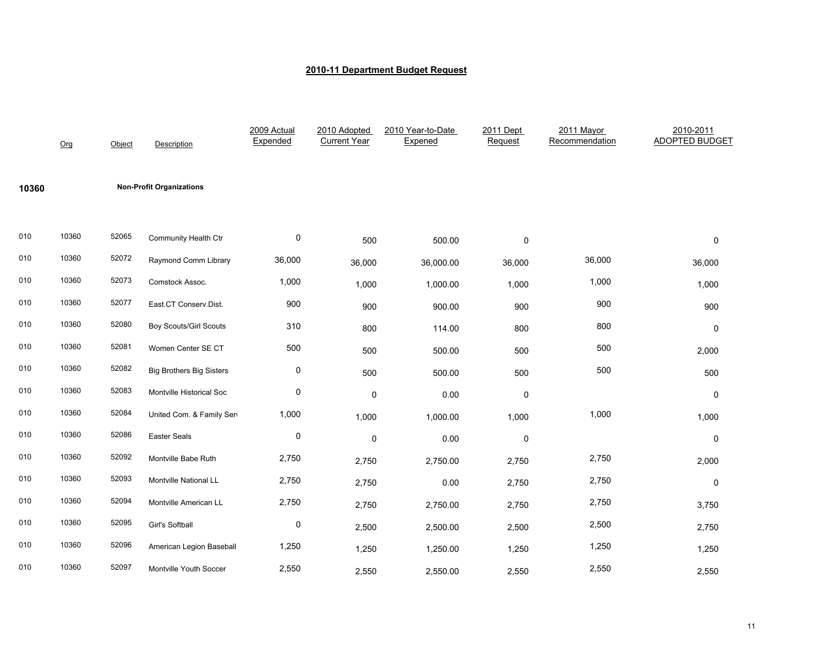|       | Org   | Object | <b>Description</b>              | 2009 Actual<br>Expended | 2010 Adopted<br><b>Current Year</b> | 2010 Year-to-Date<br>Expened | 2011 Dept<br>Request | 2011 Mayor<br>Recommendation | 2010-2011<br><b>ADOPTED BUDGET</b> |
|-------|-------|--------|---------------------------------|-------------------------|-------------------------------------|------------------------------|----------------------|------------------------------|------------------------------------|
| 10360 |       |        | <b>Non-Profit Organizations</b> |                         |                                     |                              |                      |                              |                                    |
| 010   | 10360 | 52065  | Community Health Ctr            | 0                       | 500                                 | 500.00                       | $\pmb{0}$            |                              | 0                                  |
| 010   | 10360 | 52072  | Raymond Comm Library            | 36,000                  | 36,000                              | 36,000.00                    | 36,000               | 36,000                       | 36,000                             |
| 010   | 10360 | 52073  | Comstock Assoc.                 | 1,000                   | 1,000                               | 1,000.00                     | 1,000                | 1,000                        | 1,000                              |
| 010   | 10360 | 52077  | East.CT Conserv.Dist.           | 900                     | 900                                 | 900.00                       | 900                  | 900                          | 900                                |
| 010   | 10360 | 52080  | <b>Boy Scouts/Girl Scouts</b>   | 310                     | 800                                 | 114.00                       | 800                  | 800                          | 0                                  |
| 010   | 10360 | 52081  | Women Center SE CT              | 500                     | 500                                 | 500.00                       | 500                  | 500                          | 2,000                              |
| 010   | 10360 | 52082  | <b>Big Brothers Big Sisters</b> | $\pmb{0}$               | 500                                 | 500.00                       | 500                  | 500                          | 500                                |
| 010   | 10360 | 52083  | Montville Historical Soc        | $\mathbf 0$             | 0                                   | 0.00                         | $\pmb{0}$            |                              | 0                                  |
| 010   | 10360 | 52084  | United Com. & Family Sen        | 1,000                   | 1,000                               | 1,000.00                     | 1,000                | 1,000                        | 1,000                              |
| 010   | 10360 | 52086  | Easter Seals                    | 0                       | 0                                   | 0.00                         | 0                    |                              | 0                                  |
| 010   | 10360 | 52092  | Montville Babe Ruth             | 2,750                   | 2,750                               | 2,750.00                     | 2,750                | 2,750                        | 2,000                              |
| 010   | 10360 | 52093  | Montville National LL           | 2,750                   | 2,750                               | 0.00                         | 2,750                | 2,750                        | 0                                  |
| 010   | 10360 | 52094  | Montville American LL           | 2,750                   | 2,750                               | 2,750.00                     | 2,750                | 2,750                        | 3,750                              |
| 010   | 10360 | 52095  | Girl's Softball                 | 0                       | 2,500                               | 2,500.00                     | 2,500                | 2,500                        | 2,750                              |
| 010   | 10360 | 52096  | American Legion Baseball        | 1,250                   | 1,250                               | 1,250.00                     | 1,250                | 1,250                        | 1,250                              |
| 010   | 10360 | 52097  | Montville Youth Soccer          | 2,550                   | 2,550                               | 2,550.00                     | 2,550                | 2,550                        | 2,550                              |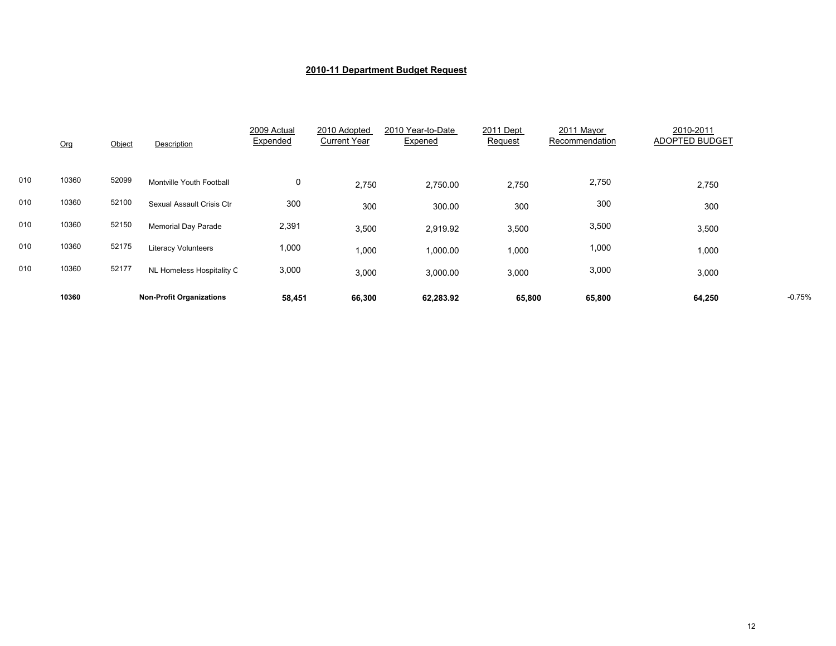|     | Org   | Object | Description                     | 2009 Actual<br>Expended | 2010 Adopted<br><b>Current Year</b> | 2010 Year-to-Date<br>Expened | 2011 Dept<br>Request | 2011 Mayor<br>Recommendation | 2010-2011<br>ADOPTED BUDGET |          |
|-----|-------|--------|---------------------------------|-------------------------|-------------------------------------|------------------------------|----------------------|------------------------------|-----------------------------|----------|
| 010 | 10360 | 52099  | Montville Youth Football        | 0                       | 2,750                               | 2,750.00                     | 2,750                | 2,750                        | 2,750                       |          |
| 010 | 10360 | 52100  | Sexual Assault Crisis Ctr       | 300                     | 300                                 | 300.00                       | 300                  | 300                          | 300                         |          |
| 010 | 10360 | 52150  | <b>Memorial Day Parade</b>      | 2,391                   | 3,500                               | 2,919.92                     | 3,500                | 3,500                        | 3,500                       |          |
| 010 | 10360 | 52175  | <b>Literacy Volunteers</b>      | 1,000                   | 1,000                               | 1,000.00                     | 1,000                | 1,000                        | 1,000                       |          |
| 010 | 10360 | 52177  | NL Homeless Hospitality C       | 3,000                   | 3,000                               | 3,000.00                     | 3,000                | 3,000                        | 3,000                       |          |
|     | 10360 |        | <b>Non-Profit Organizations</b> | 58,451                  | 66,300                              | 62,283.92                    | 65,800               | 65,800                       | 64,250                      | $-0.75%$ |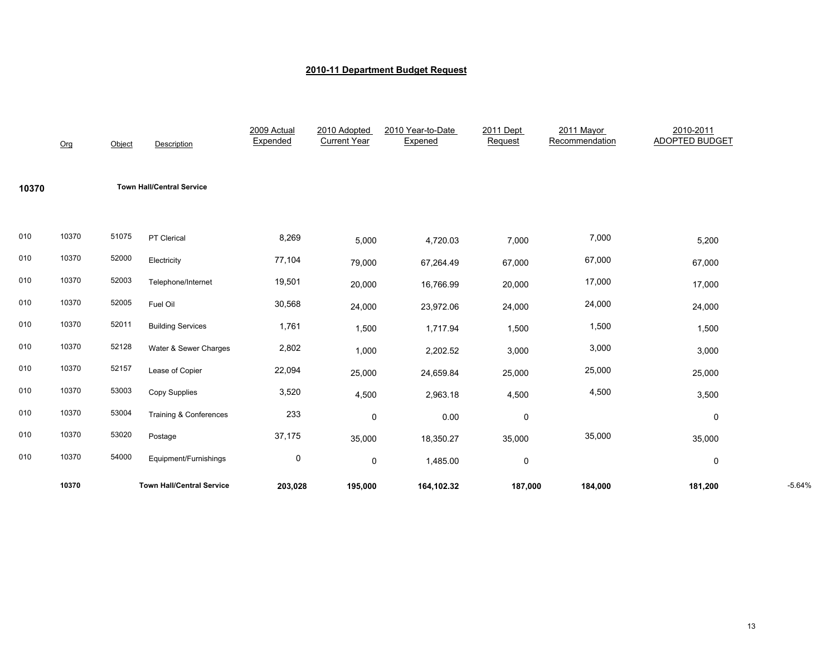|       | Org   | Object | Description                      | 2009 Actual<br>Expended | 2010 Adopted<br><b>Current Year</b> | 2010 Year-to-Date<br>Expened | 2011 Dept<br>Request | 2011 Mayor<br>Recommendation | 2010-2011<br><b>ADOPTED BUDGET</b> |          |
|-------|-------|--------|----------------------------------|-------------------------|-------------------------------------|------------------------------|----------------------|------------------------------|------------------------------------|----------|
| 10370 |       |        | <b>Town Hall/Central Service</b> |                         |                                     |                              |                      |                              |                                    |          |
| 010   | 10370 | 51075  | PT Clerical                      | 8,269                   | 5,000                               | 4,720.03                     | 7,000                | 7,000                        | 5,200                              |          |
| 010   | 10370 | 52000  | Electricity                      | 77,104                  | 79,000                              | 67,264.49                    | 67,000               | 67,000                       | 67,000                             |          |
| 010   | 10370 | 52003  | Telephone/Internet               | 19,501                  | 20,000                              | 16,766.99                    | 20,000               | 17,000                       | 17,000                             |          |
| 010   | 10370 | 52005  | Fuel Oil                         | 30,568                  | 24,000                              | 23,972.06                    | 24,000               | 24,000                       | 24,000                             |          |
| 010   | 10370 | 52011  | <b>Building Services</b>         | 1,761                   | 1,500                               | 1,717.94                     | 1,500                | 1,500                        | 1,500                              |          |
| 010   | 10370 | 52128  | Water & Sewer Charges            | 2,802                   | 1,000                               | 2,202.52                     | 3,000                | 3,000                        | 3,000                              |          |
| 010   | 10370 | 52157  | Lease of Copier                  | 22,094                  | 25,000                              | 24,659.84                    | 25,000               | 25,000                       | 25,000                             |          |
| 010   | 10370 | 53003  | Copy Supplies                    | 3,520                   | 4,500                               | 2,963.18                     | 4,500                | 4,500                        | 3,500                              |          |
| 010   | 10370 | 53004  | Training & Conferences           | 233                     | 0                                   | 0.00                         | 0                    |                              | 0                                  |          |
| 010   | 10370 | 53020  | Postage                          | 37,175                  | 35,000                              | 18,350.27                    | 35,000               | 35,000                       | 35,000                             |          |
| 010   | 10370 | 54000  | Equipment/Furnishings            | $\pmb{0}$               | $\mathsf{O}$                        | 1,485.00                     | $\pmb{0}$            |                              | 0                                  |          |
|       | 10370 |        | <b>Town Hall/Central Service</b> | 203,028                 | 195,000                             | 164,102.32                   | 187,000              | 184,000                      | 181,200                            | $-5.64%$ |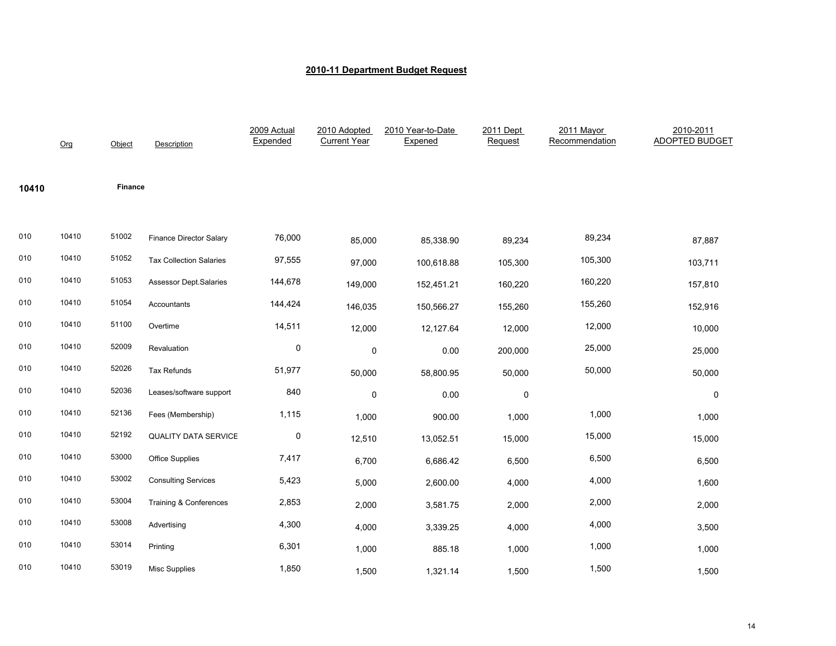|       | Org   | Object  | Description                    | 2009 Actual<br>Expended | 2010 Adopted<br><b>Current Year</b> | 2010 Year-to-Date<br>Expened | 2011 Dept<br>Request | 2011 Mayor<br>Recommendation | 2010-2011<br><b>ADOPTED BUDGET</b> |
|-------|-------|---------|--------------------------------|-------------------------|-------------------------------------|------------------------------|----------------------|------------------------------|------------------------------------|
| 10410 |       | Finance |                                |                         |                                     |                              |                      |                              |                                    |
| 010   | 10410 | 51002   | <b>Finance Director Salary</b> | 76,000                  | 85,000                              | 85,338.90                    | 89,234               | 89,234                       | 87,887                             |
| 010   | 10410 | 51052   | <b>Tax Collection Salaries</b> | 97,555                  | 97,000                              | 100,618.88                   | 105,300              | 105,300                      | 103,711                            |
| 010   | 10410 | 51053   | <b>Assessor Dept.Salaries</b>  | 144,678                 | 149,000                             | 152,451.21                   | 160,220              | 160,220                      | 157,810                            |
| 010   | 10410 | 51054   | Accountants                    | 144,424                 | 146,035                             | 150,566.27                   | 155,260              | 155,260                      | 152,916                            |
| 010   | 10410 | 51100   | Overtime                       | 14,511                  | 12,000                              | 12,127.64                    | 12,000               | 12,000                       | 10,000                             |
| 010   | 10410 | 52009   | Revaluation                    | $\mathbf 0$             | 0                                   | 0.00                         | 200,000              | 25,000                       | 25,000                             |
| 010   | 10410 | 52026   | Tax Refunds                    | 51,977                  | 50,000                              | 58,800.95                    | 50,000               | 50,000                       | 50,000                             |
| 010   | 10410 | 52036   | Leases/software support        | 840                     | 0                                   | 0.00                         | 0                    |                              | 0                                  |
| 010   | 10410 | 52136   | Fees (Membership)              | 1,115                   | 1,000                               | 900.00                       | 1,000                | 1,000                        | 1,000                              |
| 010   | 10410 | 52192   | <b>QUALITY DATA SERVICE</b>    | $\pmb{0}$               | 12,510                              | 13,052.51                    | 15,000               | 15,000                       | 15,000                             |
| 010   | 10410 | 53000   | Office Supplies                | 7,417                   | 6,700                               | 6,686.42                     | 6,500                | 6,500                        | 6,500                              |
| 010   | 10410 | 53002   | <b>Consulting Services</b>     | 5,423                   | 5,000                               | 2,600.00                     | 4,000                | 4,000                        | 1,600                              |
| 010   | 10410 | 53004   | Training & Conferences         | 2,853                   | 2,000                               | 3,581.75                     | 2,000                | 2,000                        | 2,000                              |
| 010   | 10410 | 53008   | Advertising                    | 4,300                   | 4,000                               | 3,339.25                     | 4,000                | 4,000                        | 3,500                              |
| 010   | 10410 | 53014   | Printing                       | 6,301                   | 1,000                               | 885.18                       | 1,000                | 1,000                        | 1,000                              |
| 010   | 10410 | 53019   | <b>Misc Supplies</b>           | 1,850                   | 1,500                               | 1,321.14                     | 1,500                | 1,500                        | 1,500                              |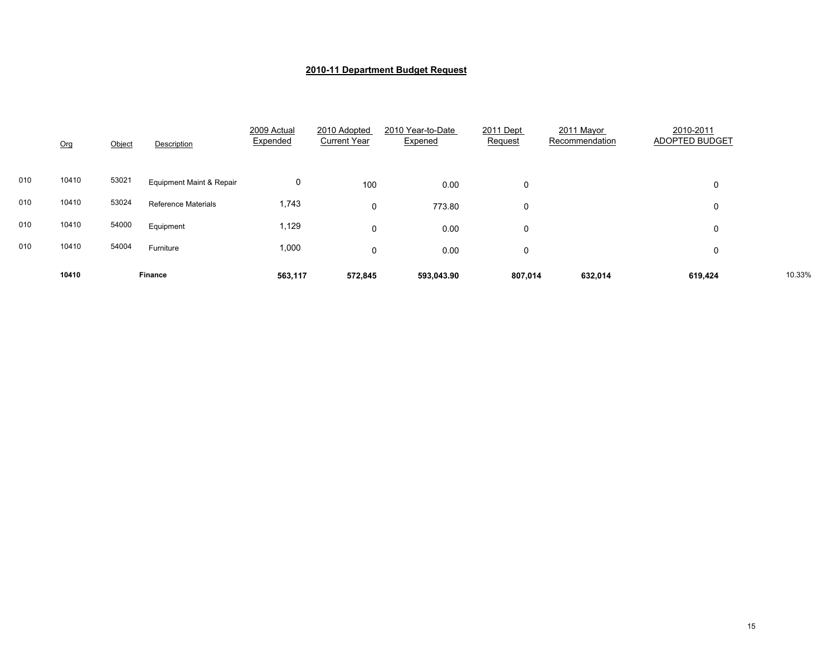|     | Org   | Object | Description                         | 2009 Actual<br>Expended | 2010 Adopted<br><b>Current Year</b> | 2010 Year-to-Date<br>Expened | 2011 Dept<br>Request | 2011 Mayor<br>Recommendation | 2010-2011<br>ADOPTED BUDGET |        |
|-----|-------|--------|-------------------------------------|-------------------------|-------------------------------------|------------------------------|----------------------|------------------------------|-----------------------------|--------|
| 010 | 10410 | 53021  | <b>Equipment Maint &amp; Repair</b> | 0                       | 100                                 | 0.00                         | 0                    |                              | 0                           |        |
| 010 | 10410 | 53024  | <b>Reference Materials</b>          | 1,743                   | 0                                   | 773.80                       | 0                    |                              | 0                           |        |
| 010 | 10410 | 54000  | Equipment                           | 1,129                   | 0                                   | 0.00                         | 0                    |                              | 0                           |        |
| 010 | 10410 | 54004  | Furniture                           | 1,000                   | 0                                   | 0.00                         | 0                    |                              | 0                           |        |
|     | 10410 |        | <b>Finance</b>                      | 563,117                 | 572,845                             | 593,043.90                   | 807,014              | 632,014                      | 619,424                     | 10.33% |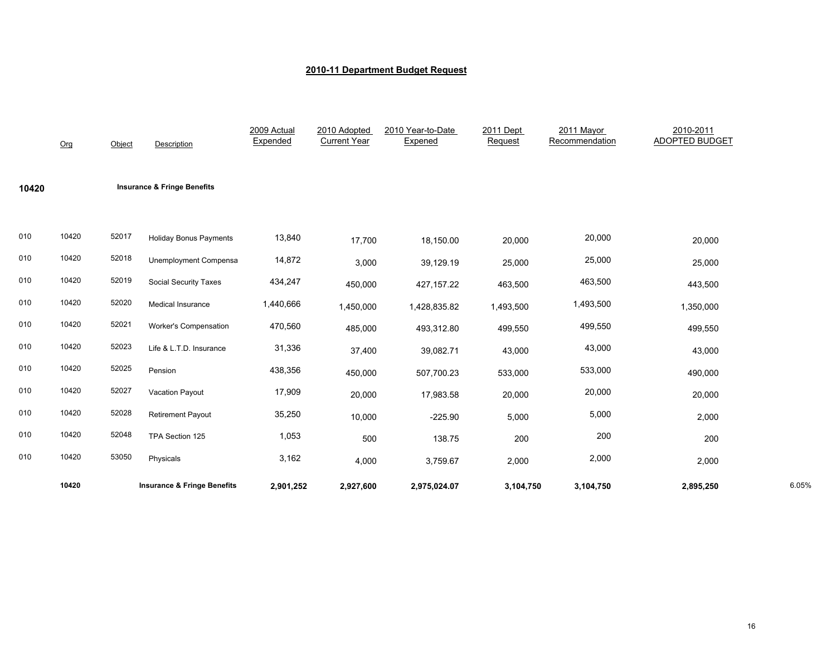|       | Org   | Object | <b>Description</b>                     | 2009 Actual<br>Expended | 2010 Adopted<br><b>Current Year</b> | 2010 Year-to-Date<br>Expened | 2011 Dept<br>Request | 2011 Mayor<br>Recommendation | 2010-2011<br><b>ADOPTED BUDGET</b> |       |
|-------|-------|--------|----------------------------------------|-------------------------|-------------------------------------|------------------------------|----------------------|------------------------------|------------------------------------|-------|
| 10420 |       |        | <b>Insurance &amp; Fringe Benefits</b> |                         |                                     |                              |                      |                              |                                    |       |
| 010   | 10420 | 52017  | <b>Holiday Bonus Payments</b>          | 13,840                  | 17,700                              | 18,150.00                    | 20,000               | 20,000                       | 20,000                             |       |
| 010   | 10420 | 52018  | <b>Unemployment Compensa</b>           | 14,872                  | 3,000                               | 39,129.19                    | 25,000               | 25,000                       | 25,000                             |       |
| 010   | 10420 | 52019  | <b>Social Security Taxes</b>           | 434,247                 | 450,000                             | 427, 157.22                  | 463,500              | 463,500                      | 443,500                            |       |
| 010   | 10420 | 52020  | Medical Insurance                      | 1,440,666               | 1,450,000                           | 1,428,835.82                 | 1,493,500            | 1,493,500                    | 1,350,000                          |       |
| 010   | 10420 | 52021  | <b>Worker's Compensation</b>           | 470,560                 | 485,000                             | 493,312.80                   | 499,550              | 499,550                      | 499,550                            |       |
| 010   | 10420 | 52023  | Life & L.T.D. Insurance                | 31,336                  | 37,400                              | 39,082.71                    | 43,000               | 43,000                       | 43,000                             |       |
| 010   | 10420 | 52025  | Pension                                | 438,356                 | 450,000                             | 507,700.23                   | 533,000              | 533,000                      | 490,000                            |       |
| 010   | 10420 | 52027  | Vacation Payout                        | 17,909                  | 20,000                              | 17,983.58                    | 20,000               | 20,000                       | 20,000                             |       |
| 010   | 10420 | 52028  | <b>Retirement Payout</b>               | 35,250                  | 10,000                              | $-225.90$                    | 5,000                | 5,000                        | 2,000                              |       |
| 010   | 10420 | 52048  | TPA Section 125                        | 1,053                   | 500                                 | 138.75                       | 200                  | 200                          | 200                                |       |
| 010   | 10420 | 53050  | Physicals                              | 3,162                   | 4,000                               | 3,759.67                     | 2,000                | 2,000                        | 2,000                              |       |
|       | 10420 |        | <b>Insurance &amp; Fringe Benefits</b> | 2,901,252               | 2,927,600                           | 2,975,024.07                 | 3,104,750            | 3,104,750                    | 2,895,250                          | 6.05% |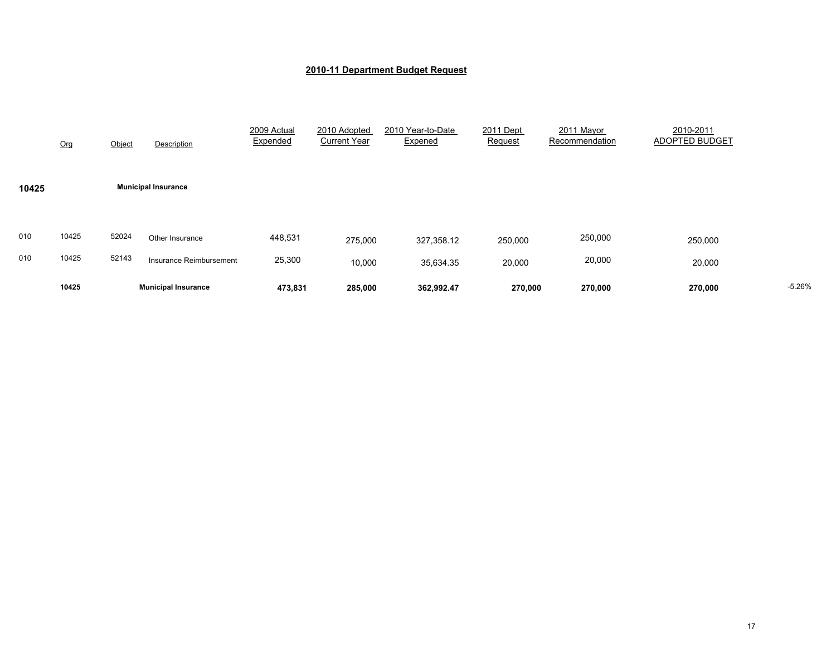|       | 10425 |        | <b>Municipal Insurance</b> | 473,831                 | 285,000                             | 362,992.47                   | 270,000              | 270,000                      | 270,000                     | $-5.26%$ |
|-------|-------|--------|----------------------------|-------------------------|-------------------------------------|------------------------------|----------------------|------------------------------|-----------------------------|----------|
| 010   | 10425 | 52143  | Insurance Reimbursement    | 25,300                  | 10,000                              | 35,634.35                    | 20,000               | 20,000                       | 20,000                      |          |
| 010   | 10425 | 52024  | Other Insurance            | 448,531                 | 275,000                             | 327,358.12                   | 250,000              | 250,000                      | 250,000                     |          |
| 10425 |       |        | <b>Municipal Insurance</b> |                         |                                     |                              |                      |                              |                             |          |
|       | Org   | Object | Description                | 2009 Actual<br>Expended | 2010 Adopted<br><b>Current Year</b> | 2010 Year-to-Date<br>Expened | 2011 Dept<br>Request | 2011 Mayor<br>Recommendation | 2010-2011<br>ADOPTED BUDGET |          |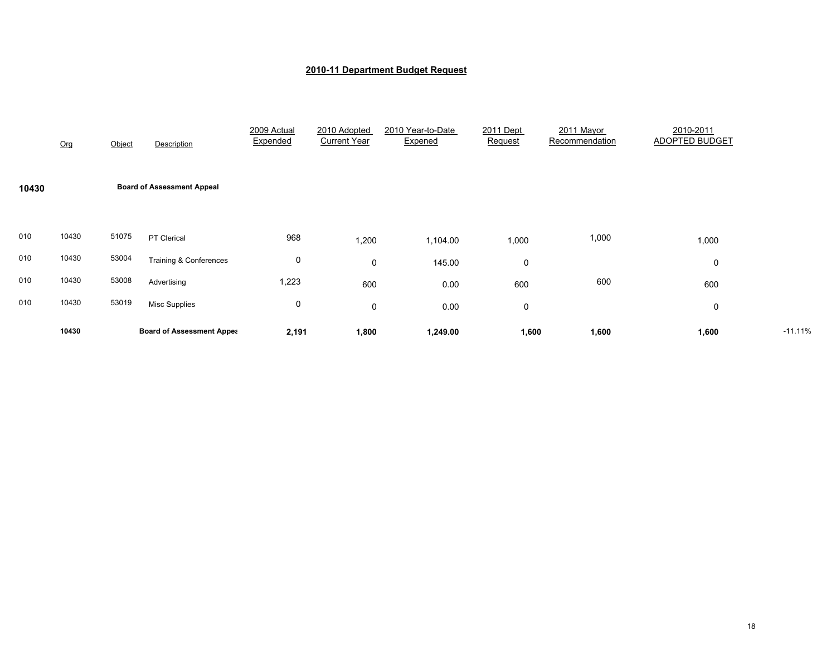|       | Org   | Object | Description                       | 2009 Actual<br>Expended | 2010 Adopted<br><b>Current Year</b> | 2010 Year-to-Date<br>Expened | 2011 Dept<br>Request | 2011 Mayor<br>Recommendation | 2010-2011<br><b>ADOPTED BUDGET</b> |           |
|-------|-------|--------|-----------------------------------|-------------------------|-------------------------------------|------------------------------|----------------------|------------------------------|------------------------------------|-----------|
| 10430 |       |        | <b>Board of Assessment Appeal</b> |                         |                                     |                              |                      |                              |                                    |           |
| 010   | 10430 | 51075  | PT Clerical                       | 968                     | 1,200                               | 1,104.00                     | 1,000                | 1,000                        | 1,000                              |           |
| 010   | 10430 | 53004  | <b>Training &amp; Conferences</b> | 0                       | 0                                   | 145.00                       | 0                    |                              | 0                                  |           |
| 010   | 10430 | 53008  | Advertising                       | 1,223                   | 600                                 | 0.00                         | 600                  | 600                          | 600                                |           |
| 010   | 10430 | 53019  | <b>Misc Supplies</b>              | 0                       | $\mathbf 0$                         | 0.00                         | 0                    |                              | 0                                  |           |
|       | 10430 |        | <b>Board of Assessment Appea</b>  | 2,191                   | 1,800                               | 1,249.00                     | 1,600                | 1,600                        | 1,600                              | $-11.11%$ |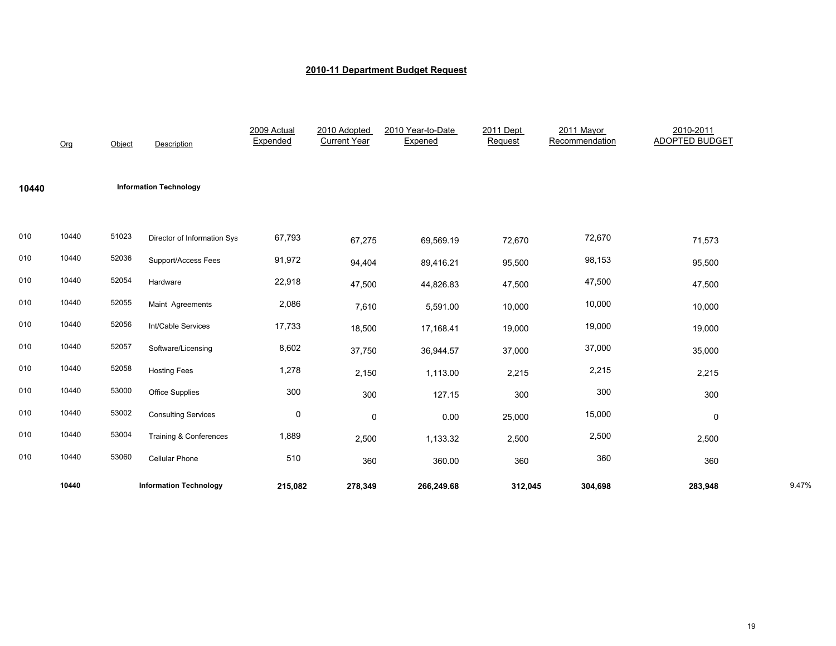|       | Org   | Object | <b>Description</b>            | 2009 Actual<br>Expended | 2010 Adopted<br><b>Current Year</b> | 2010 Year-to-Date<br>Expened | 2011 Dept<br>Request | 2011 Mayor<br>Recommendation | 2010-2011<br><b>ADOPTED BUDGET</b> |       |
|-------|-------|--------|-------------------------------|-------------------------|-------------------------------------|------------------------------|----------------------|------------------------------|------------------------------------|-------|
| 10440 |       |        | <b>Information Technology</b> |                         |                                     |                              |                      |                              |                                    |       |
| 010   | 10440 | 51023  | Director of Information Sys   | 67,793                  | 67,275                              | 69,569.19                    | 72,670               | 72,670                       | 71,573                             |       |
| 010   | 10440 | 52036  | Support/Access Fees           | 91,972                  | 94,404                              | 89,416.21                    | 95,500               | 98,153                       | 95,500                             |       |
| 010   | 10440 | 52054  | Hardware                      | 22,918                  | 47,500                              | 44,826.83                    | 47,500               | 47,500                       | 47,500                             |       |
| 010   | 10440 | 52055  | Maint Agreements              | 2,086                   | 7,610                               | 5,591.00                     | 10,000               | 10,000                       | 10,000                             |       |
| 010   | 10440 | 52056  | Int/Cable Services            | 17,733                  | 18,500                              | 17,168.41                    | 19,000               | 19,000                       | 19,000                             |       |
| 010   | 10440 | 52057  | Software/Licensing            | 8,602                   | 37,750                              | 36,944.57                    | 37,000               | 37,000                       | 35,000                             |       |
| 010   | 10440 | 52058  | <b>Hosting Fees</b>           | 1,278                   | 2,150                               | 1,113.00                     | 2,215                | 2,215                        | 2,215                              |       |
| 010   | 10440 | 53000  | <b>Office Supplies</b>        | 300                     | 300                                 | 127.15                       | 300                  | 300                          | 300                                |       |
| 010   | 10440 | 53002  | <b>Consulting Services</b>    | $\mathbf 0$             | $\mathbf 0$                         | 0.00                         | 25,000               | 15,000                       | 0                                  |       |
| 010   | 10440 | 53004  | Training & Conferences        | 1,889                   | 2,500                               | 1,133.32                     | 2,500                | 2,500                        | 2,500                              |       |
| 010   | 10440 | 53060  | Cellular Phone                | 510                     | 360                                 | 360.00                       | 360                  | 360                          | 360                                |       |
|       | 10440 |        | <b>Information Technology</b> | 215,082                 | 278,349                             | 266,249.68                   | 312,045              | 304,698                      | 283,948                            | 9.47% |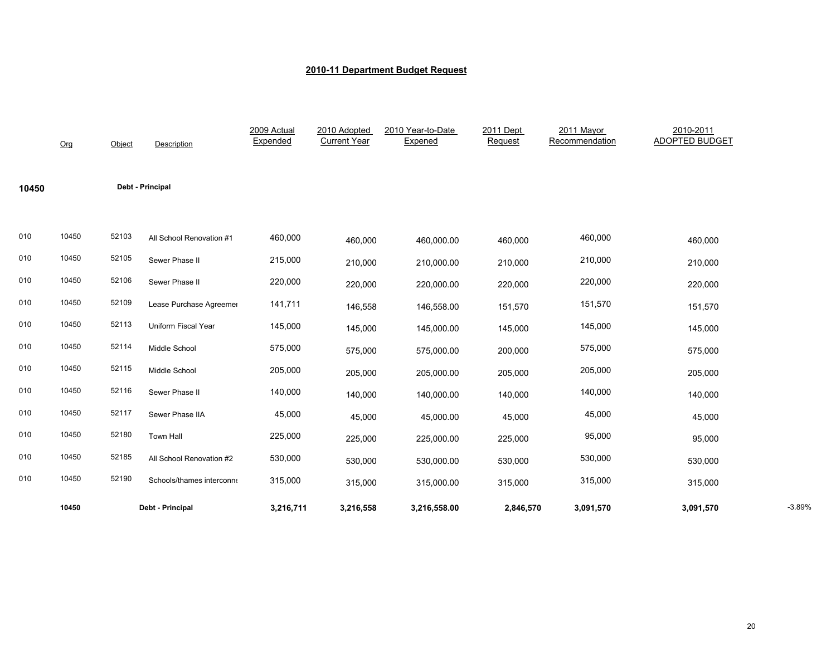|       | Org   | Object | Description               | 2009 Actual<br>Expended | 2010 Adopted<br><b>Current Year</b> | 2010 Year-to-Date<br>Expened | 2011 Dept<br>Request | 2011 Mayor<br>Recommendation | 2010-2011<br><b>ADOPTED BUDGET</b> |          |
|-------|-------|--------|---------------------------|-------------------------|-------------------------------------|------------------------------|----------------------|------------------------------|------------------------------------|----------|
| 10450 |       |        | Debt - Principal          |                         |                                     |                              |                      |                              |                                    |          |
| 010   | 10450 | 52103  | All School Renovation #1  | 460,000                 | 460,000                             | 460,000.00                   | 460,000              | 460,000                      | 460,000                            |          |
| 010   | 10450 | 52105  | Sewer Phase II            | 215,000                 | 210,000                             | 210,000.00                   | 210,000              | 210,000                      | 210,000                            |          |
| 010   | 10450 | 52106  | Sewer Phase II            | 220,000                 | 220,000                             | 220,000.00                   | 220,000              | 220,000                      | 220,000                            |          |
| 010   | 10450 | 52109  | Lease Purchase Agreemer   | 141,711                 | 146,558                             | 146,558.00                   | 151,570              | 151,570                      | 151,570                            |          |
| 010   | 10450 | 52113  | Uniform Fiscal Year       | 145,000                 | 145,000                             | 145,000.00                   | 145,000              | 145,000                      | 145,000                            |          |
| 010   | 10450 | 52114  | Middle School             | 575,000                 | 575,000                             | 575,000.00                   | 200,000              | 575,000                      | 575,000                            |          |
| 010   | 10450 | 52115  | Middle School             | 205,000                 | 205,000                             | 205,000.00                   | 205,000              | 205,000                      | 205,000                            |          |
| 010   | 10450 | 52116  | Sewer Phase II            | 140,000                 | 140,000                             | 140,000.00                   | 140,000              | 140,000                      | 140,000                            |          |
| 010   | 10450 | 52117  | Sewer Phase IIA           | 45,000                  | 45,000                              | 45,000.00                    | 45,000               | 45,000                       | 45,000                             |          |
| 010   | 10450 | 52180  | <b>Town Hall</b>          | 225,000                 | 225,000                             | 225,000.00                   | 225,000              | 95,000                       | 95,000                             |          |
| 010   | 10450 | 52185  | All School Renovation #2  | 530,000                 | 530,000                             | 530,000.00                   | 530,000              | 530,000                      | 530,000                            |          |
| 010   | 10450 | 52190  | Schools/thames interconne | 315,000                 | 315,000                             | 315,000.00                   | 315,000              | 315,000                      | 315,000                            |          |
|       | 10450 |        | Debt - Principal          | 3,216,711               | 3,216,558                           | 3,216,558.00                 | 2,846,570            | 3,091,570                    | 3,091,570                          | $-3.89%$ |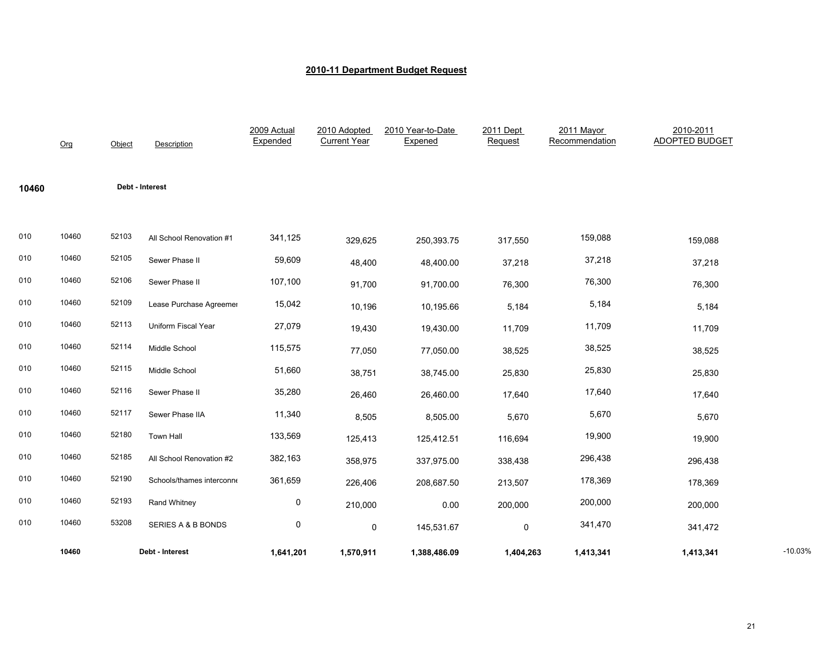|       | Org   | Object | Description               | 2009 Actual<br>Expended | 2010 Adopted<br><b>Current Year</b> | 2010 Year-to-Date<br>Expened | 2011 Dept<br>Request | 2011 Mayor<br>Recommendation | 2010-2011<br><b>ADOPTED BUDGET</b> |           |
|-------|-------|--------|---------------------------|-------------------------|-------------------------------------|------------------------------|----------------------|------------------------------|------------------------------------|-----------|
| 10460 |       |        | Debt - Interest           |                         |                                     |                              |                      |                              |                                    |           |
| 010   | 10460 | 52103  | All School Renovation #1  | 341,125                 | 329,625                             | 250,393.75                   | 317,550              | 159,088                      | 159,088                            |           |
| 010   | 10460 | 52105  | Sewer Phase II            | 59,609                  | 48,400                              | 48,400.00                    | 37,218               | 37,218                       | 37,218                             |           |
| 010   | 10460 | 52106  | Sewer Phase II            | 107,100                 | 91,700                              | 91,700.00                    | 76,300               | 76,300                       | 76,300                             |           |
| 010   | 10460 | 52109  | Lease Purchase Agreemer   | 15,042                  | 10,196                              | 10,195.66                    | 5,184                | 5,184                        | 5,184                              |           |
| 010   | 10460 | 52113  | Uniform Fiscal Year       | 27,079                  | 19,430                              | 19,430.00                    | 11,709               | 11,709                       | 11,709                             |           |
| 010   | 10460 | 52114  | Middle School             | 115,575                 | 77,050                              | 77,050.00                    | 38,525               | 38,525                       | 38,525                             |           |
| 010   | 10460 | 52115  | Middle School             | 51,660                  | 38,751                              | 38,745.00                    | 25,830               | 25,830                       | 25,830                             |           |
| 010   | 10460 | 52116  | Sewer Phase II            | 35,280                  | 26,460                              | 26,460.00                    | 17,640               | 17,640                       | 17,640                             |           |
| 010   | 10460 | 52117  | Sewer Phase IIA           | 11,340                  | 8,505                               | 8,505.00                     | 5,670                | 5,670                        | 5,670                              |           |
| 010   | 10460 | 52180  | <b>Town Hall</b>          | 133,569                 | 125,413                             | 125,412.51                   | 116,694              | 19,900                       | 19,900                             |           |
| 010   | 10460 | 52185  | All School Renovation #2  | 382,163                 | 358,975                             | 337,975.00                   | 338,438              | 296,438                      | 296,438                            |           |
| 010   | 10460 | 52190  | Schools/thames interconne | 361,659                 | 226,406                             | 208,687.50                   | 213,507              | 178,369                      | 178,369                            |           |
| 010   | 10460 | 52193  | Rand Whitney              | 0                       | 210,000                             | 0.00                         | 200,000              | 200,000                      | 200,000                            |           |
| 010   | 10460 | 53208  | SERIES A & B BONDS        | 0                       | 0                                   | 145,531.67                   | $\mathbf 0$          | 341,470                      | 341,472                            |           |
|       | 10460 |        | Debt - Interest           | 1,641,201               | 1,570,911                           | 1,388,486.09                 | 1,404,263            | 1,413,341                    | 1,413,341                          | $-10.03%$ |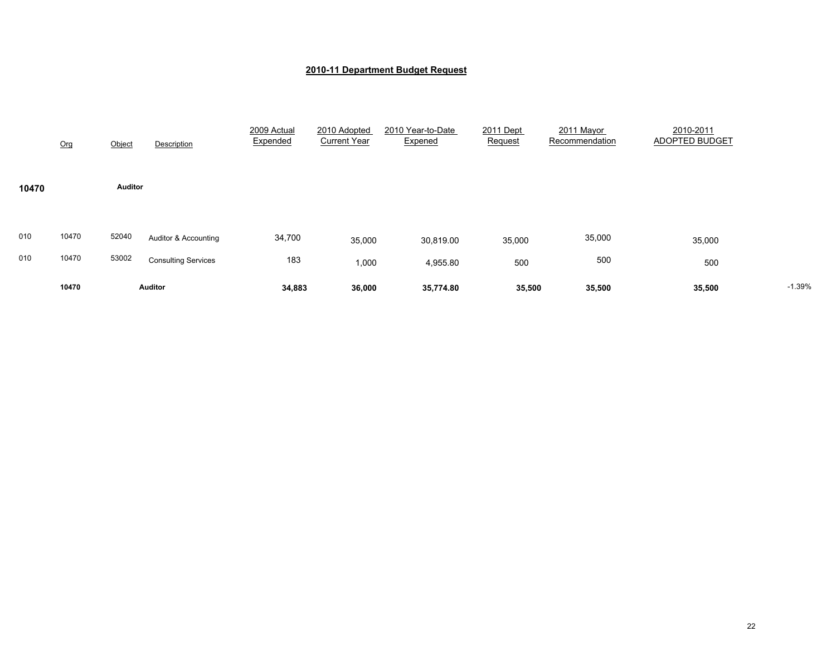|            | Org            | Object         | Description                                        | 2009 Actual<br>Expended | 2010 Adopted<br><b>Current Year</b> | 2010 Year-to-Date<br>Expened | 2011 Dept<br>Request | 2011 Mayor<br>Recommendation | 2010-2011<br>ADOPTED BUDGET |          |
|------------|----------------|----------------|----------------------------------------------------|-------------------------|-------------------------------------|------------------------------|----------------------|------------------------------|-----------------------------|----------|
| 10470      |                | <b>Auditor</b> |                                                    |                         |                                     |                              |                      |                              |                             |          |
| 010<br>010 | 10470<br>10470 | 52040<br>53002 | Auditor & Accounting<br><b>Consulting Services</b> | 34,700<br>183           | 35,000<br>1,000                     | 30,819.00<br>4,955.80        | 35,000<br>500        | 35,000<br>500                | 35,000<br>500               |          |
|            | 10470          |                | <b>Auditor</b>                                     | 34,883                  | 36,000                              | 35,774.80                    | 35,500               | 35,500                       | 35,500                      | $-1.39%$ |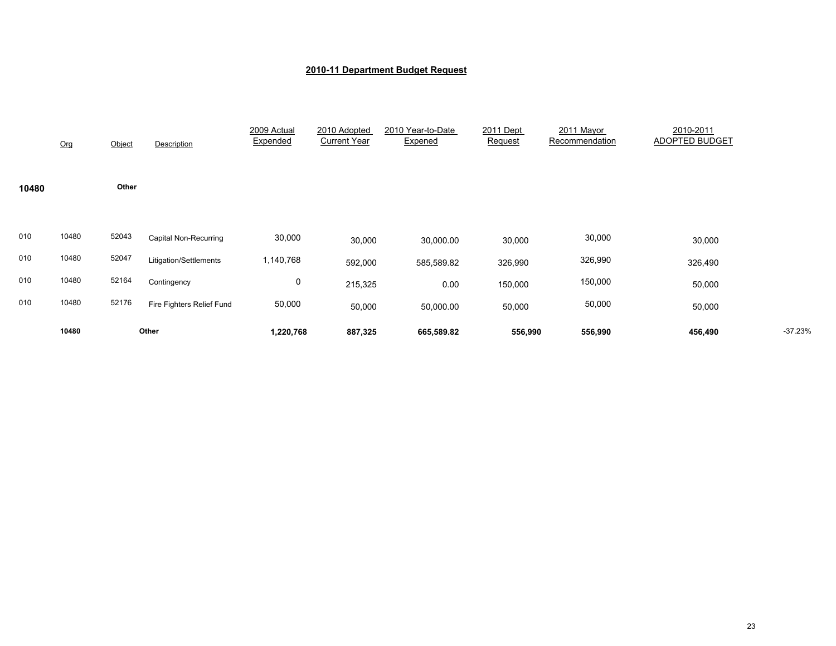|       | Org   | Object | Description               | 2009 Actual<br>Expended | 2010 Adopted<br><b>Current Year</b> | 2010 Year-to-Date<br>Expened | 2011 Dept<br>Request | 2011 Mayor<br>Recommendation | 2010-2011<br>ADOPTED BUDGET |           |
|-------|-------|--------|---------------------------|-------------------------|-------------------------------------|------------------------------|----------------------|------------------------------|-----------------------------|-----------|
| 10480 |       | Other  |                           |                         |                                     |                              |                      |                              |                             |           |
| 010   | 10480 | 52043  | Capital Non-Recurring     | 30,000                  | 30,000                              | 30,000.00                    | 30,000               | 30,000                       | 30,000                      |           |
| 010   | 10480 | 52047  | Litigation/Settlements    | 1,140,768               | 592,000                             | 585,589.82                   | 326,990              | 326,990                      | 326,490                     |           |
| 010   | 10480 | 52164  | Contingency               | 0                       | 215,325                             | 0.00                         | 150,000              | 150,000                      | 50,000                      |           |
| 010   | 10480 | 52176  | Fire Fighters Relief Fund | 50,000                  | 50,000                              | 50,000.00                    | 50,000               | 50,000                       | 50,000                      |           |
|       | 10480 |        | Other                     | 1,220,768               | 887,325                             | 665,589.82                   | 556,990              | 556,990                      | 456,490                     | $-37.23%$ |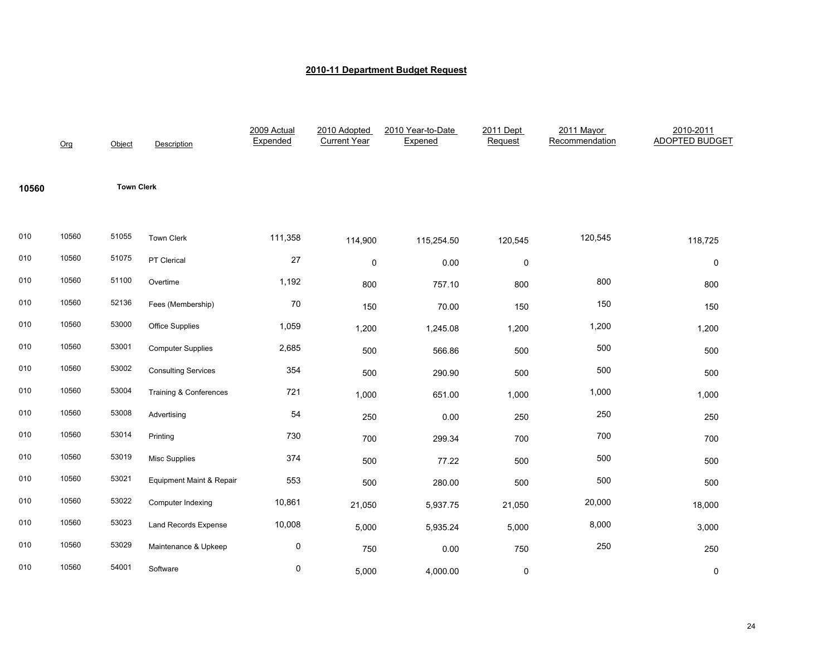|       | Org   | Object            | Description                       | 2009 Actual<br>Expended | 2010 Adopted<br><b>Current Year</b> | 2010 Year-to-Date<br>Expened | 2011 Dept<br>Request | 2011 Mayor<br>Recommendation | 2010-2011<br>ADOPTED BUDGET |
|-------|-------|-------------------|-----------------------------------|-------------------------|-------------------------------------|------------------------------|----------------------|------------------------------|-----------------------------|
| 10560 |       | <b>Town Clerk</b> |                                   |                         |                                     |                              |                      |                              |                             |
| 010   | 10560 | 51055             | Town Clerk                        | 111,358                 | 114,900                             | 115,254.50                   | 120,545              | 120,545                      | 118,725                     |
| 010   | 10560 | 51075             | PT Clerical                       | 27                      | $\pmb{0}$                           | 0.00                         | $\pmb{0}$            |                              | 0                           |
| 010   | 10560 | 51100             | Overtime                          | 1,192                   | 800                                 | 757.10                       | 800                  | 800                          | 800                         |
| 010   | 10560 | 52136             | Fees (Membership)                 | 70                      | 150                                 | 70.00                        | 150                  | 150                          | 150                         |
| 010   | 10560 | 53000             | Office Supplies                   | 1,059                   | 1,200                               | 1,245.08                     | 1,200                | 1,200                        | 1,200                       |
| 010   | 10560 | 53001             | <b>Computer Supplies</b>          | 2,685                   | 500                                 | 566.86                       | 500                  | 500                          | 500                         |
| 010   | 10560 | 53002             | <b>Consulting Services</b>        | 354                     | 500                                 | 290.90                       | 500                  | 500                          | 500                         |
| 010   | 10560 | 53004             | <b>Training &amp; Conferences</b> | 721                     | 1,000                               | 651.00                       | 1,000                | 1,000                        | 1,000                       |
| 010   | 10560 | 53008             | Advertising                       | 54                      | 250                                 | 0.00                         | 250                  | 250                          | 250                         |
| 010   | 10560 | 53014             | Printing                          | 730                     | 700                                 | 299.34                       | 700                  | 700                          | 700                         |
| 010   | 10560 | 53019             | <b>Misc Supplies</b>              | 374                     | 500                                 | 77.22                        | 500                  | 500                          | 500                         |
| 010   | 10560 | 53021             | Equipment Maint & Repair          | 553                     | 500                                 | 280.00                       | 500                  | 500                          | 500                         |
| 010   | 10560 | 53022             | Computer Indexing                 | 10,861                  | 21,050                              | 5,937.75                     | 21,050               | 20,000                       | 18,000                      |
| 010   | 10560 | 53023             | Land Records Expense              | 10,008                  | 5,000                               | 5,935.24                     | 5,000                | 8,000                        | 3,000                       |
| 010   | 10560 | 53029             | Maintenance & Upkeep              | 0                       | 750                                 | 0.00                         | 750                  | 250                          | 250                         |
| 010   | 10560 | 54001             | Software                          | 0                       | 5,000                               | 4,000.00                     | $\mathsf 0$          |                              | 0                           |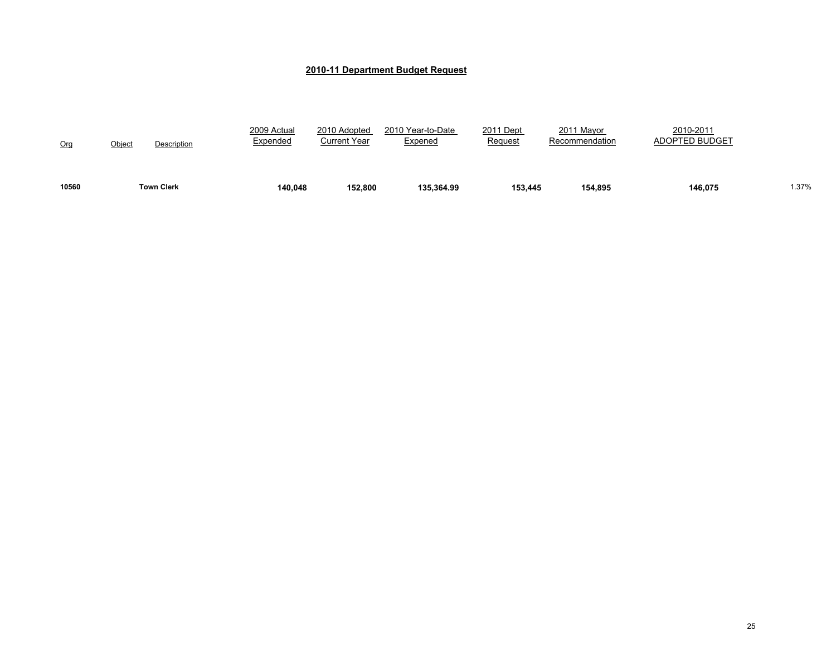| 10560 | <b>Town Clerk</b>            | 140.048                 | 152.800                      | 135.364.99                          | 153.445                     | 154.895                      | 146.075                            | 1.37% |
|-------|------------------------------|-------------------------|------------------------------|-------------------------------------|-----------------------------|------------------------------|------------------------------------|-------|
| Org   | <u>Object</u><br>Description | 2009 Actual<br>Expended | 2010 Adopted<br>Current Year | 2010 Year-to-Date<br><u>Expened</u> | 2011 Dept<br><b>Request</b> | 2011 Mayor<br>Recommendation | 2010-2011<br><b>ADOPTED BUDGET</b> |       |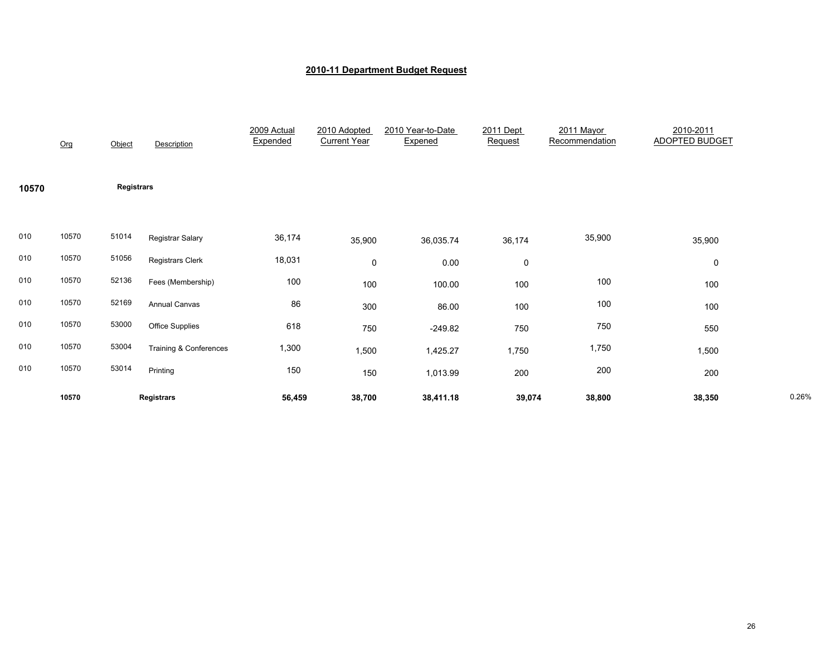|       | Org   | Object            | Description             | 2009 Actual<br>Expended | 2010 Adopted<br><b>Current Year</b> | 2010 Year-to-Date<br>Expened | 2011 Dept<br>Request | 2011 Mayor<br>Recommendation | 2010-2011<br><b>ADOPTED BUDGET</b> |       |
|-------|-------|-------------------|-------------------------|-------------------------|-------------------------------------|------------------------------|----------------------|------------------------------|------------------------------------|-------|
| 10570 |       | <b>Registrars</b> |                         |                         |                                     |                              |                      |                              |                                    |       |
| 010   | 10570 | 51014             | Registrar Salary        | 36,174                  | 35,900                              | 36,035.74                    | 36,174               | 35,900                       | 35,900                             |       |
| 010   | 10570 | 51056             | <b>Registrars Clerk</b> | 18,031                  | $\mathsf{O}$                        | 0.00                         | $\pmb{0}$            |                              | 0                                  |       |
| 010   | 10570 | 52136             | Fees (Membership)       | 100                     | 100                                 | 100.00                       | 100                  | 100                          | 100                                |       |
| 010   | 10570 | 52169             | Annual Canvas           | 86                      | 300                                 | 86.00                        | 100                  | 100                          | 100                                |       |
| 010   | 10570 | 53000             | <b>Office Supplies</b>  | 618                     | 750                                 | $-249.82$                    | 750                  | 750                          | 550                                |       |
| 010   | 10570 | 53004             | Training & Conferences  | 1,300                   | 1,500                               | 1,425.27                     | 1,750                | 1,750                        | 1,500                              |       |
| 010   | 10570 | 53014             | Printing                | 150                     | 150                                 | 1,013.99                     | 200                  | 200                          | 200                                |       |
|       | 10570 |                   | Registrars              | 56,459                  | 38,700                              | 38,411.18                    | 39,074               | 38,800                       | 38,350                             | 0.26% |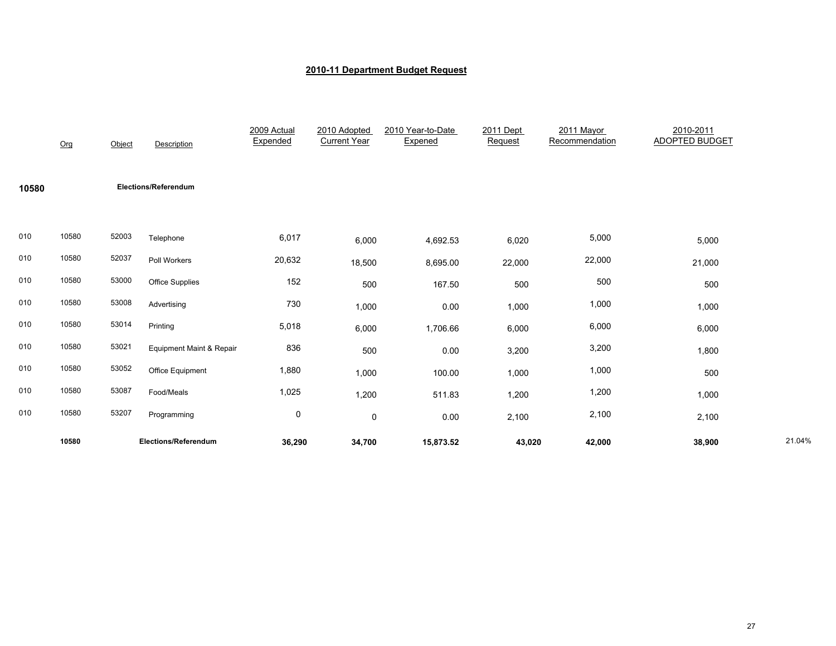|       | Org   | Object | Description              | 2009 Actual<br>Expended | 2010 Adopted<br><b>Current Year</b> | 2010 Year-to-Date<br>Expened | 2011 Dept<br>Request | 2011 Mayor<br>Recommendation | 2010-2011<br><b>ADOPTED BUDGET</b> |        |
|-------|-------|--------|--------------------------|-------------------------|-------------------------------------|------------------------------|----------------------|------------------------------|------------------------------------|--------|
| 10580 |       |        | Elections/Referendum     |                         |                                     |                              |                      |                              |                                    |        |
| 010   | 10580 | 52003  | Telephone                | 6,017                   | 6,000                               | 4,692.53                     | 6,020                | 5,000                        | 5,000                              |        |
| 010   | 10580 | 52037  | Poll Workers             | 20,632                  | 18,500                              | 8,695.00                     | 22,000               | 22,000                       | 21,000                             |        |
| 010   | 10580 | 53000  | <b>Office Supplies</b>   | 152                     | 500                                 | 167.50                       | 500                  | 500                          | 500                                |        |
| 010   | 10580 | 53008  | Advertising              | 730                     | 1,000                               | 0.00                         | 1,000                | 1,000                        | 1,000                              |        |
| 010   | 10580 | 53014  | Printing                 | 5,018                   | 6,000                               | 1,706.66                     | 6,000                | 6,000                        | 6,000                              |        |
| 010   | 10580 | 53021  | Equipment Maint & Repair | 836                     | 500                                 | 0.00                         | 3,200                | 3,200                        | 1,800                              |        |
| 010   | 10580 | 53052  | Office Equipment         | 1,880                   | 1,000                               | 100.00                       | 1,000                | 1,000                        | 500                                |        |
| 010   | 10580 | 53087  | Food/Meals               | 1,025                   | 1,200                               | 511.83                       | 1,200                | 1,200                        | 1,000                              |        |
| 010   | 10580 | 53207  | Programming              | $\mathbf 0$             | $\mathsf{O}$                        | 0.00                         | 2,100                | 2,100                        | 2,100                              |        |
|       | 10580 |        | Elections/Referendum     | 36,290                  | 34,700                              | 15,873.52                    | 43,020               | 42,000                       | 38,900                             | 21.04% |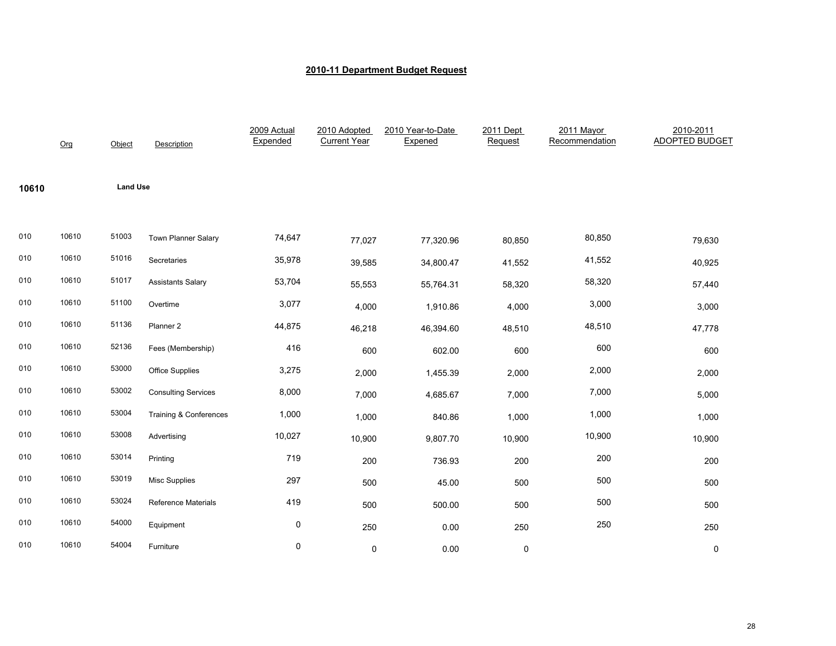|       | Org   | Object          | Description                | 2009 Actual<br>Expended | 2010 Adopted<br><b>Current Year</b> | 2010 Year-to-Date<br>Expened | 2011 Dept<br>Request | 2011 Mayor<br>Recommendation | 2010-2011<br><b>ADOPTED BUDGET</b> |
|-------|-------|-----------------|----------------------------|-------------------------|-------------------------------------|------------------------------|----------------------|------------------------------|------------------------------------|
| 10610 |       | <b>Land Use</b> |                            |                         |                                     |                              |                      |                              |                                    |
| 010   | 10610 | 51003           | Town Planner Salary        | 74,647                  | 77,027                              | 77,320.96                    | 80,850               | 80,850                       | 79,630                             |
| 010   | 10610 | 51016           | Secretaries                | 35,978                  | 39,585                              | 34,800.47                    | 41,552               | 41,552                       | 40,925                             |
| 010   | 10610 | 51017           | <b>Assistants Salary</b>   | 53,704                  | 55,553                              | 55,764.31                    | 58,320               | 58,320                       | 57,440                             |
| 010   | 10610 | 51100           | Overtime                   | 3,077                   | 4,000                               | 1,910.86                     | 4,000                | 3,000                        | 3,000                              |
| 010   | 10610 | 51136           | Planner 2                  | 44,875                  | 46,218                              | 46,394.60                    | 48,510               | 48,510                       | 47,778                             |
| 010   | 10610 | 52136           | Fees (Membership)          | 416                     | 600                                 | 602.00                       | 600                  | 600                          | 600                                |
| 010   | 10610 | 53000           | Office Supplies            | 3,275                   | 2,000                               | 1,455.39                     | 2,000                | 2,000                        | 2,000                              |
| 010   | 10610 | 53002           | <b>Consulting Services</b> | 8,000                   | 7,000                               | 4,685.67                     | 7,000                | 7,000                        | 5,000                              |
| 010   | 10610 | 53004           | Training & Conferences     | 1,000                   | 1,000                               | 840.86                       | 1,000                | 1,000                        | 1,000                              |
| 010   | 10610 | 53008           | Advertising                | 10,027                  | 10,900                              | 9,807.70                     | 10,900               | 10,900                       | 10,900                             |
| 010   | 10610 | 53014           | Printing                   | 719                     | 200                                 | 736.93                       | 200                  | 200                          | 200                                |
| 010   | 10610 | 53019           | <b>Misc Supplies</b>       | 297                     | 500                                 | 45.00                        | 500                  | 500                          | 500                                |
| 010   | 10610 | 53024           | Reference Materials        | 419                     | 500                                 | 500.00                       | 500                  | 500                          | 500                                |
| 010   | 10610 | 54000           | Equipment                  | 0                       | 250                                 | 0.00                         | 250                  | 250                          | 250                                |
| 010   | 10610 | 54004           | Furniture                  | 0                       | 0                                   | 0.00                         | 0                    |                              | 0                                  |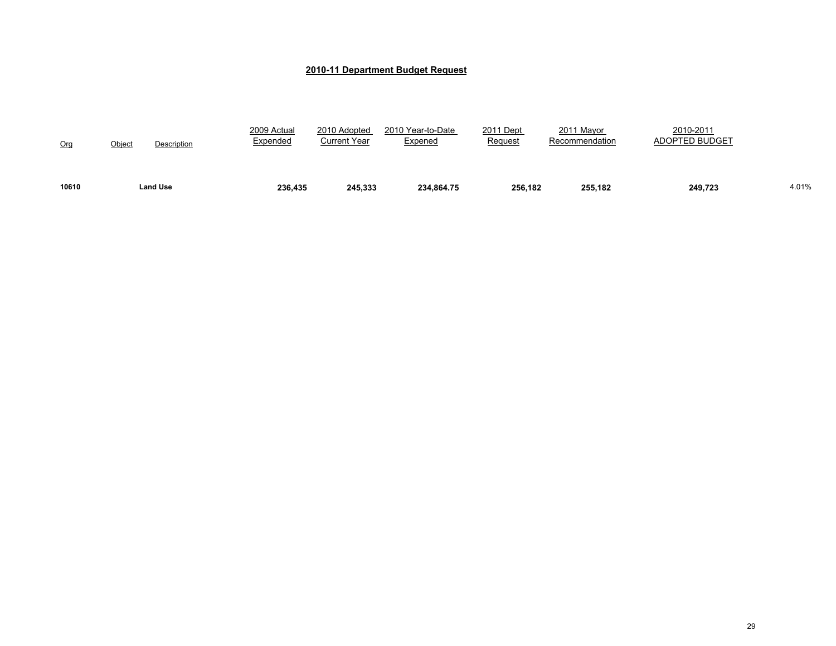| 10610 | Land Use                     | 236,435                 | 245.333                      | 234.864.75                          | 256.182              | 255.182                      | 249.723                            | 4.01% |
|-------|------------------------------|-------------------------|------------------------------|-------------------------------------|----------------------|------------------------------|------------------------------------|-------|
| Org   | <u>Object</u><br>Description | 2009 Actual<br>Expended | 2010 Adopted<br>Current Year | 2010 Year-to-Date<br><u>Expened</u> | 2011 Dept<br>Request | 2011 Mayor<br>Recommendation | 2010-2011<br><b>ADOPTED BUDGET</b> |       |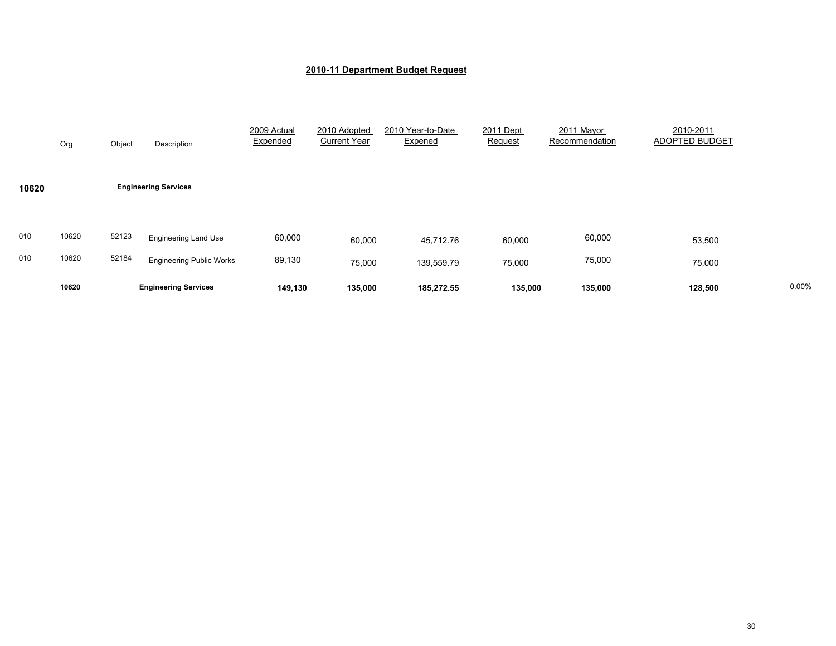|            | Org            | Object         | Description                                                    | 2009 Actual<br>Expended | 2010 Adopted<br><b>Current Year</b> | 2010 Year-to-Date<br>Expened | 2011 Dept<br>Request | 2011 Mayor<br>Recommendation | 2010-2011<br>ADOPTED BUDGET |       |
|------------|----------------|----------------|----------------------------------------------------------------|-------------------------|-------------------------------------|------------------------------|----------------------|------------------------------|-----------------------------|-------|
| 10620      |                |                | <b>Engineering Services</b>                                    |                         |                                     |                              |                      |                              |                             |       |
| 010<br>010 | 10620<br>10620 | 52123<br>52184 | <b>Engineering Land Use</b><br><b>Engineering Public Works</b> | 60,000<br>89,130        | 60,000<br>75,000                    | 45,712.76<br>139,559.79      | 60,000<br>75,000     | 60,000<br>75,000             | 53,500<br>75,000            |       |
|            | 10620          |                | <b>Engineering Services</b>                                    | 149,130                 | 135,000                             | 185,272.55                   | 135,000              | 135,000                      | 128,500                     | 0.00% |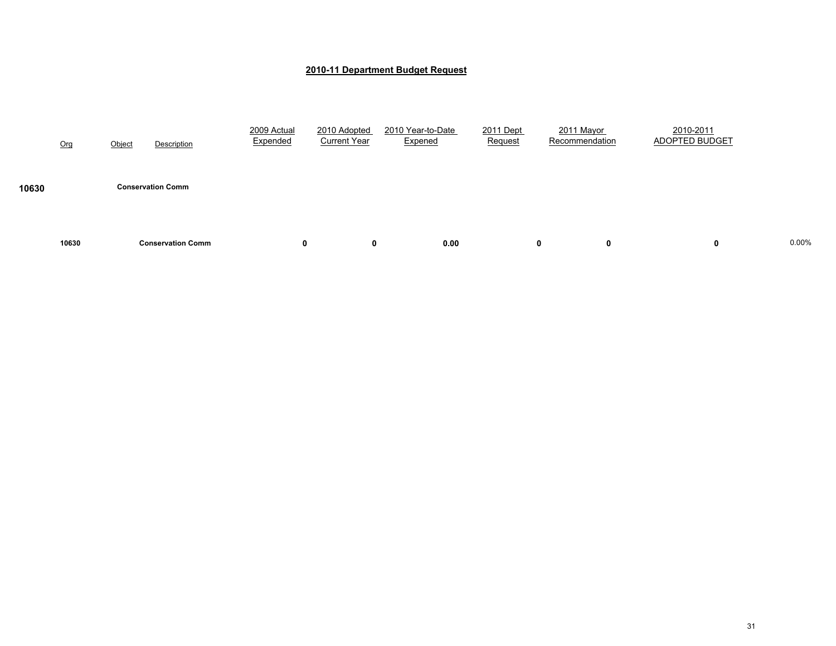|       | Org   | Object | Description              | 2009 Actual<br>Expended | 2010 Adopted<br><b>Current Year</b> | 2010 Year-to-Date<br>Expened |      | 2011 Dept<br>Request | 2011 Mayor<br>Recommendation | 2010-2011<br>ADOPTED BUDGET |       |
|-------|-------|--------|--------------------------|-------------------------|-------------------------------------|------------------------------|------|----------------------|------------------------------|-----------------------------|-------|
| 10630 |       |        | <b>Conservation Comm</b> |                         |                                     |                              |      |                      |                              |                             |       |
|       | 10630 |        | <b>Conservation Comm</b> | 0                       | 0                                   |                              | 0.00 | 0                    | 0                            | 0                           | 0.00% |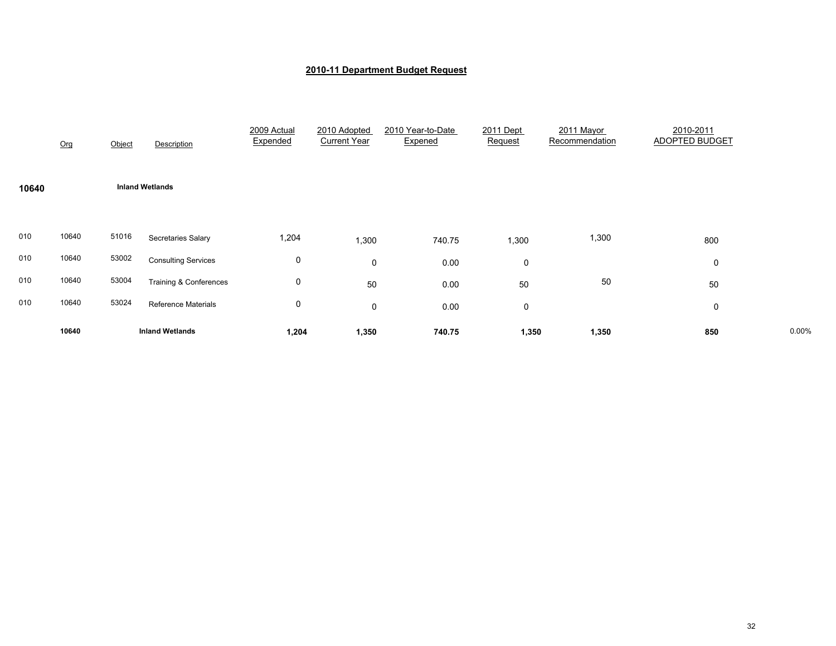|       | Org   | Object | Description                | 2009 Actual<br>Expended | 2010 Adopted<br><b>Current Year</b> | 2010 Year-to-Date<br>Expened | 2011 Dept<br>Request | 2011 Mayor<br>Recommendation | 2010-2011<br><b>ADOPTED BUDGET</b> |       |
|-------|-------|--------|----------------------------|-------------------------|-------------------------------------|------------------------------|----------------------|------------------------------|------------------------------------|-------|
| 10640 |       |        | <b>Inland Wetlands</b>     |                         |                                     |                              |                      |                              |                                    |       |
| 010   | 10640 | 51016  | <b>Secretaries Salary</b>  | 1,204                   | 1,300                               | 740.75                       | 1,300                | 1,300                        | 800                                |       |
| 010   | 10640 | 53002  | <b>Consulting Services</b> | 0                       | 0                                   | 0.00                         | 0                    |                              | 0                                  |       |
| 010   | 10640 | 53004  | Training & Conferences     | 0                       | 50                                  | 0.00                         | 50                   | $50\,$                       | 50                                 |       |
| 010   | 10640 | 53024  | <b>Reference Materials</b> | 0                       | 0                                   | 0.00                         | 0                    |                              | 0                                  |       |
|       | 10640 |        | <b>Inland Wetlands</b>     | 1,204                   | 1,350                               | 740.75                       | 1,350                | 1,350                        | 850                                | 0.00% |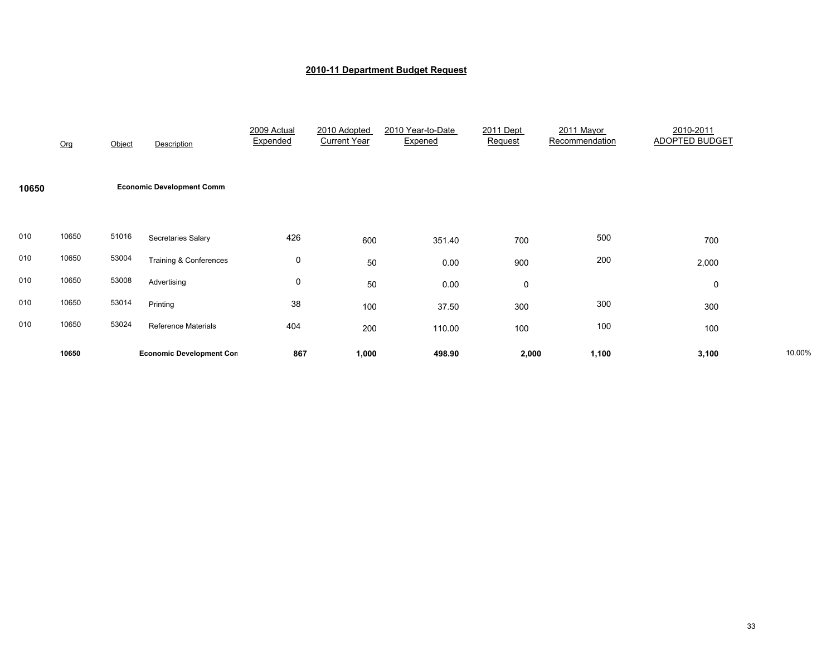|       | Org   | Object | Description                       | 2009 Actual<br>Expended | 2010 Adopted<br><b>Current Year</b> | 2010 Year-to-Date<br>Expened | 2011 Dept<br>Request | 2011 Mayor<br>Recommendation | 2010-2011<br><b>ADOPTED BUDGET</b> |        |
|-------|-------|--------|-----------------------------------|-------------------------|-------------------------------------|------------------------------|----------------------|------------------------------|------------------------------------|--------|
| 10650 |       |        | <b>Economic Development Comm</b>  |                         |                                     |                              |                      |                              |                                    |        |
| 010   | 10650 | 51016  | Secretaries Salary                | 426                     | 600                                 | 351.40                       | 700                  | 500                          | 700                                |        |
| 010   | 10650 | 53004  | <b>Training &amp; Conferences</b> | 0                       | 50                                  | 0.00                         | 900                  | 200                          | 2,000                              |        |
| 010   | 10650 | 53008  | Advertising                       | 0                       | 50                                  | 0.00                         | 0                    |                              | 0                                  |        |
| 010   | 10650 | 53014  | Printing                          | 38                      | 100                                 | 37.50                        | 300                  | 300                          | 300                                |        |
| 010   | 10650 | 53024  | <b>Reference Materials</b>        | 404                     | 200                                 | 110.00                       | 100                  | 100                          | 100                                |        |
|       | 10650 |        | <b>Economic Development Con</b>   | 867                     | 1,000                               | 498.90                       | 2,000                | 1,100                        | 3,100                              | 10.00% |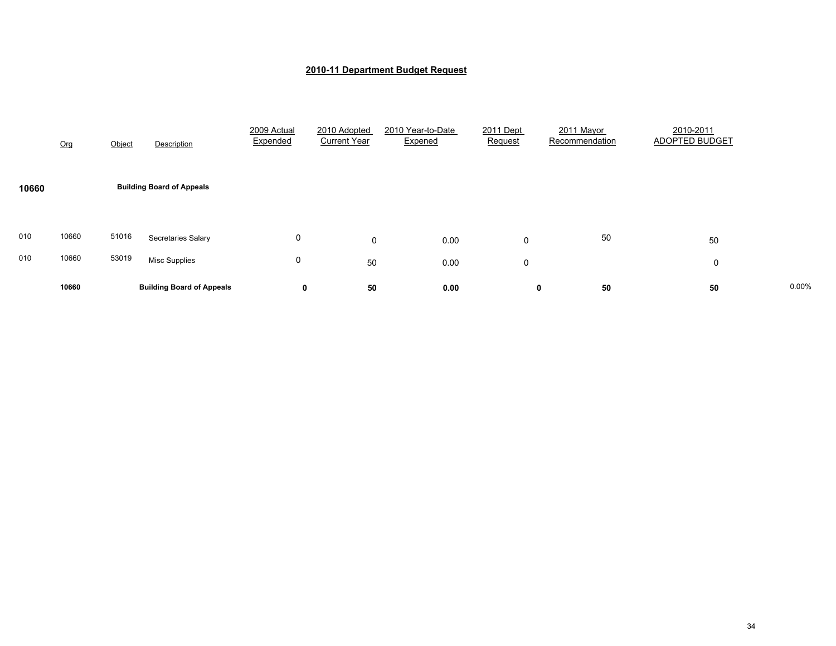|            | Org            | Object         | Description                                | 2009 Actual<br>Expended | 2010 Adopted<br><b>Current Year</b> | 2010 Year-to-Date<br>Expened | 2011 Dept<br>Request | 2011 Mayor<br>Recommendation | 2010-2011<br><b>ADOPTED BUDGET</b> |       |
|------------|----------------|----------------|--------------------------------------------|-------------------------|-------------------------------------|------------------------------|----------------------|------------------------------|------------------------------------|-------|
| 10660      |                |                | <b>Building Board of Appeals</b>           |                         |                                     |                              |                      |                              |                                    |       |
| 010<br>010 | 10660<br>10660 | 51016<br>53019 | Secretaries Salary<br><b>Misc Supplies</b> | 0<br>0                  | $\mathbf 0$<br>50                   | 0.00<br>0.00                 | 0<br>0               | 50                           | 50<br>0                            |       |
|            | 10660          |                | <b>Building Board of Appeals</b>           | 0                       | 50                                  | 0.00                         | 0                    | 50                           | 50                                 | 0.00% |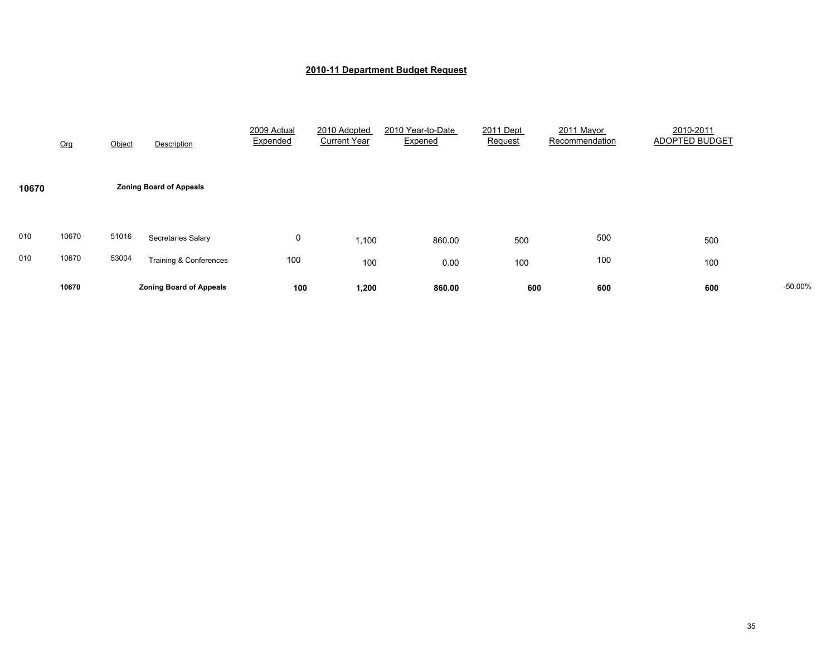|       | 10670 |        | <b>Zoning Board of Appeals</b>    | 100                     | 1,200                               | 860.00                       | 600                  | 600                          | 600                                | $-50.00%$ |
|-------|-------|--------|-----------------------------------|-------------------------|-------------------------------------|------------------------------|----------------------|------------------------------|------------------------------------|-----------|
| 010   | 10670 | 53004  | <b>Training &amp; Conferences</b> | 100                     | 100                                 | 0.00                         | 100                  | 100                          | 100                                |           |
| 010   | 10670 | 51016  | Secretaries Salary                | 0                       | 1,100                               | 860.00                       | 500                  | 500                          | 500                                |           |
| 10670 |       |        | <b>Zoning Board of Appeals</b>    |                         |                                     |                              |                      |                              |                                    |           |
|       | Org   | Object | Description                       | 2009 Actual<br>Expended | 2010 Adopted<br><b>Current Year</b> | 2010 Year-to-Date<br>Expened | 2011 Dept<br>Request | 2011 Mayor<br>Recommendation | 2010-2011<br><b>ADOPTED BUDGET</b> |           |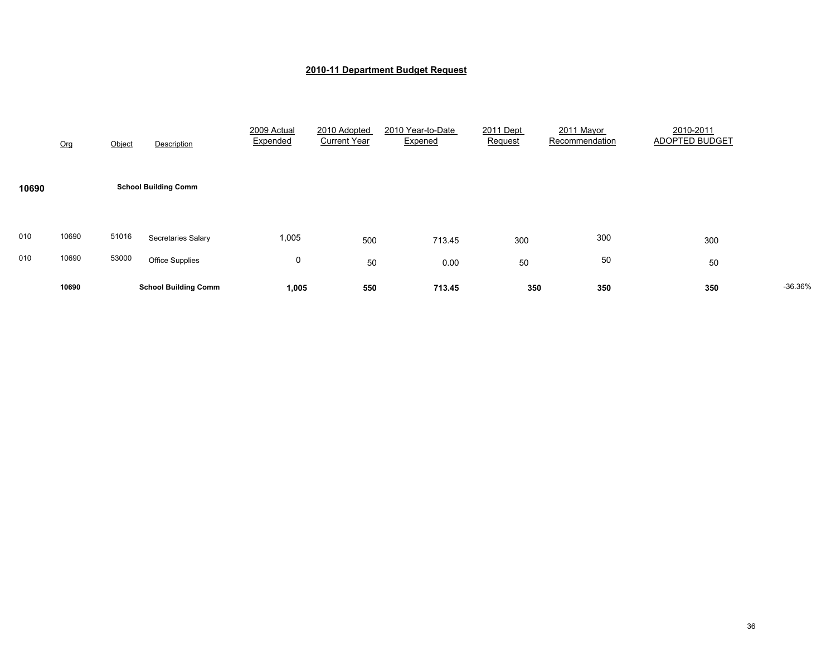|            | Org            | Object         | Description                                  | 2009 Actual<br>Expended | 2010 Adopted<br><b>Current Year</b> | 2010 Year-to-Date<br>Expened | 2011 Dept<br>Request | 2011 Mayor<br>Recommendation | 2010-2011<br><b>ADOPTED BUDGET</b> |           |
|------------|----------------|----------------|----------------------------------------------|-------------------------|-------------------------------------|------------------------------|----------------------|------------------------------|------------------------------------|-----------|
| 10690      |                |                | <b>School Building Comm</b>                  |                         |                                     |                              |                      |                              |                                    |           |
| 010<br>010 | 10690<br>10690 | 51016<br>53000 | Secretaries Salary<br><b>Office Supplies</b> | 1,005<br>0              | 500<br>50                           | 713.45<br>0.00               | 300<br>50            | 300<br>50                    | 300<br>50                          |           |
|            | 10690          |                | <b>School Building Comm</b>                  | 1,005                   | 550                                 | 713.45                       | 350                  | 350                          | 350                                | $-36.36%$ |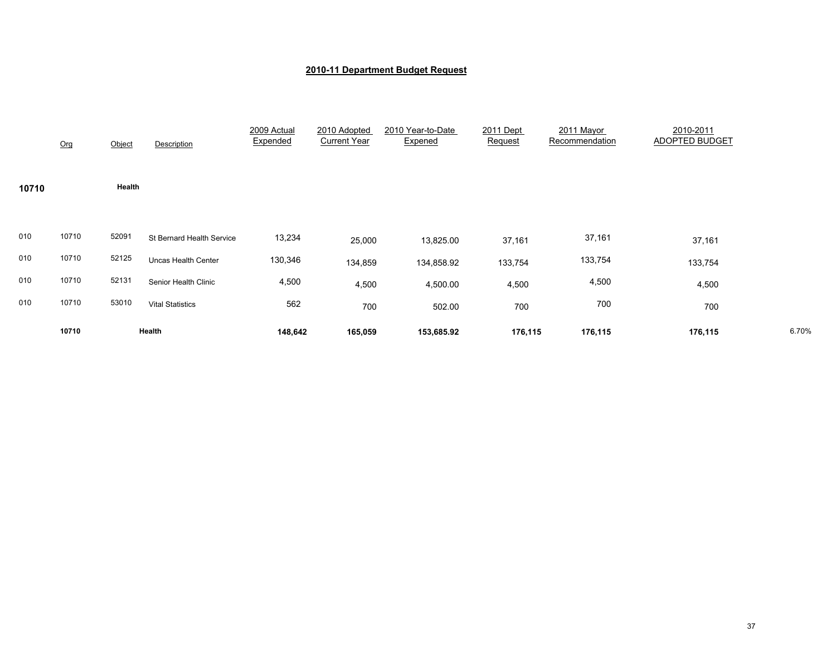|       | Org   | Object | Description               | 2009 Actual<br>Expended | 2010 Adopted<br><b>Current Year</b> | 2010 Year-to-Date<br>Expened | 2011 Dept<br>Request | 2011 Mayor<br>Recommendation | 2010-2011<br>ADOPTED BUDGET |       |
|-------|-------|--------|---------------------------|-------------------------|-------------------------------------|------------------------------|----------------------|------------------------------|-----------------------------|-------|
| 10710 |       | Health |                           |                         |                                     |                              |                      |                              |                             |       |
| 010   | 10710 | 52091  | St Bernard Health Service | 13,234                  | 25,000                              | 13,825.00                    | 37,161               | 37,161                       | 37,161                      |       |
| 010   | 10710 | 52125  | Uncas Health Center       | 130,346                 | 134,859                             | 134,858.92                   | 133,754              | 133,754                      | 133,754                     |       |
| 010   | 10710 | 52131  | Senior Health Clinic      | 4,500                   | 4,500                               | 4,500.00                     | 4,500                | 4,500                        | 4,500                       |       |
| 010   | 10710 | 53010  | <b>Vital Statistics</b>   | 562                     | 700                                 | 502.00                       | 700                  | 700                          | 700                         |       |
|       | 10710 |        | Health                    | 148,642                 | 165,059                             | 153,685.92                   | 176,115              | 176,115                      | 176,115                     | 6.70% |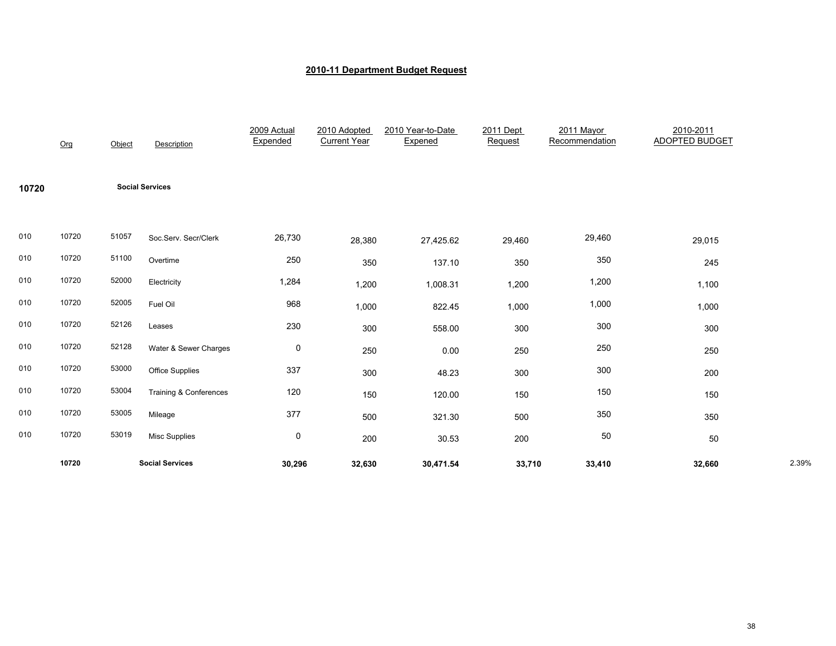|       | Org   | Object | Description                       | 2009 Actual<br>Expended | 2010 Adopted<br><b>Current Year</b> | 2010 Year-to-Date<br>Expened | 2011 Dept<br>Request | 2011 Mayor<br>Recommendation | 2010-2011<br><b>ADOPTED BUDGET</b> |       |
|-------|-------|--------|-----------------------------------|-------------------------|-------------------------------------|------------------------------|----------------------|------------------------------|------------------------------------|-------|
| 10720 |       |        | <b>Social Services</b>            |                         |                                     |                              |                      |                              |                                    |       |
| 010   | 10720 | 51057  | Soc.Serv. Secr/Clerk              | 26,730                  | 28,380                              | 27,425.62                    | 29,460               | 29,460                       | 29,015                             |       |
| 010   | 10720 | 51100  | Overtime                          | 250                     | 350                                 | 137.10                       | 350                  | 350                          | 245                                |       |
| 010   | 10720 | 52000  | Electricity                       | 1,284                   | 1,200                               | 1,008.31                     | 1,200                | 1,200                        | 1,100                              |       |
| 010   | 10720 | 52005  | Fuel Oil                          | 968                     | 1,000                               | 822.45                       | 1,000                | 1,000                        | 1,000                              |       |
| 010   | 10720 | 52126  | Leases                            | 230                     | 300                                 | 558.00                       | 300                  | 300                          | 300                                |       |
| 010   | 10720 | 52128  | Water & Sewer Charges             | $\mathsf{O}\xspace$     | 250                                 | 0.00                         | 250                  | 250                          | 250                                |       |
| 010   | 10720 | 53000  | <b>Office Supplies</b>            | 337                     | 300                                 | 48.23                        | 300                  | 300                          | 200                                |       |
| 010   | 10720 | 53004  | <b>Training &amp; Conferences</b> | 120                     | 150                                 | 120.00                       | 150                  | 150                          | 150                                |       |
| 010   | 10720 | 53005  | Mileage                           | 377                     | 500                                 | 321.30                       | 500                  | 350                          | 350                                |       |
| 010   | 10720 | 53019  | <b>Misc Supplies</b>              | $\mathsf{O}\xspace$     | 200                                 | 30.53                        | 200                  | 50                           | 50                                 |       |
|       | 10720 |        | <b>Social Services</b>            | 30,296                  | 32,630                              | 30,471.54                    | 33,710               | 33,410                       | 32,660                             | 2.39% |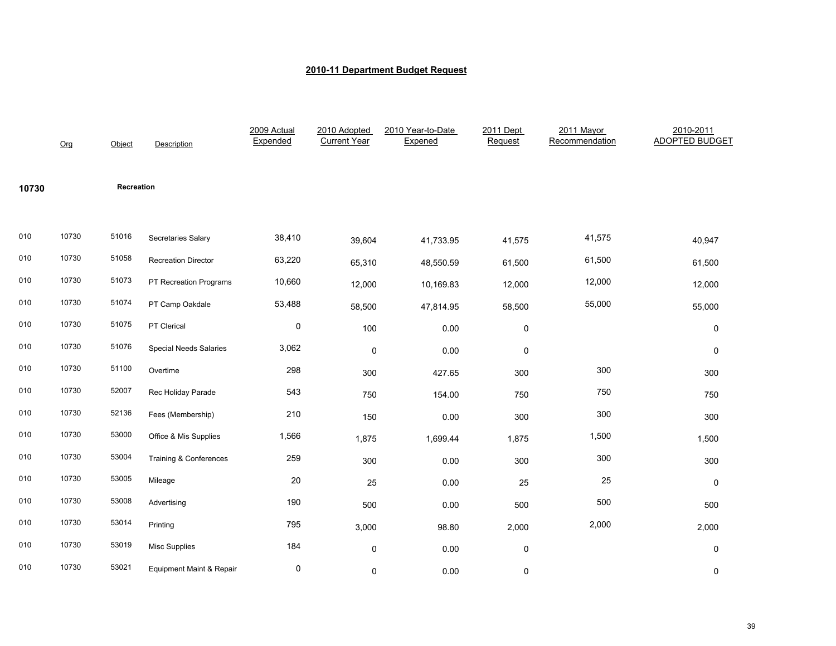|       | Org   | Object     | Description                         | 2009 Actual<br>Expended | 2010 Adopted<br><b>Current Year</b> | 2010 Year-to-Date<br>Expened | 2011 Dept<br>Request | 2011 Mayor<br>Recommendation | 2010-2011<br><b>ADOPTED BUDGET</b> |
|-------|-------|------------|-------------------------------------|-------------------------|-------------------------------------|------------------------------|----------------------|------------------------------|------------------------------------|
| 10730 |       | Recreation |                                     |                         |                                     |                              |                      |                              |                                    |
| 010   | 10730 | 51016      | Secretaries Salary                  | 38,410                  | 39,604                              | 41,733.95                    | 41,575               | 41,575                       | 40,947                             |
| 010   | 10730 | 51058      | <b>Recreation Director</b>          | 63,220                  | 65,310                              | 48,550.59                    | 61,500               | 61,500                       | 61,500                             |
| 010   | 10730 | 51073      | PT Recreation Programs              | 10,660                  | 12,000                              | 10,169.83                    | 12,000               | 12,000                       | 12,000                             |
| 010   | 10730 | 51074      | PT Camp Oakdale                     | 53,488                  | 58,500                              | 47,814.95                    | 58,500               | 55,000                       | 55,000                             |
| 010   | 10730 | 51075      | PT Clerical                         | 0                       | 100                                 | 0.00                         | $\pmb{0}$            |                              | 0                                  |
| 010   | 10730 | 51076      | <b>Special Needs Salaries</b>       | 3,062                   | $\pmb{0}$                           | 0.00                         | $\mathbf 0$          |                              | 0                                  |
| 010   | 10730 | 51100      | Overtime                            | 298                     | 300                                 | 427.65                       | 300                  | 300                          | 300                                |
| 010   | 10730 | 52007      | Rec Holiday Parade                  | 543                     | 750                                 | 154.00                       | 750                  | 750                          | 750                                |
| 010   | 10730 | 52136      | Fees (Membership)                   | 210                     | 150                                 | 0.00                         | 300                  | 300                          | 300                                |
| 010   | 10730 | 53000      | Office & Mis Supplies               | 1,566                   | 1,875                               | 1,699.44                     | 1,875                | 1,500                        | 1,500                              |
| 010   | 10730 | 53004      | Training & Conferences              | 259                     | 300                                 | 0.00                         | 300                  | 300                          | 300                                |
| 010   | 10730 | 53005      | Mileage                             | 20                      | 25                                  | 0.00                         | 25                   | 25                           | 0                                  |
| 010   | 10730 | 53008      | Advertising                         | 190                     | 500                                 | 0.00                         | 500                  | 500                          | 500                                |
| 010   | 10730 | 53014      | Printing                            | 795                     | 3,000                               | 98.80                        | 2,000                | 2,000                        | 2,000                              |
| 010   | 10730 | 53019      | <b>Misc Supplies</b>                | 184                     | 0                                   | 0.00                         | $\mathbf 0$          |                              | 0                                  |
| 010   | 10730 | 53021      | <b>Equipment Maint &amp; Repair</b> | $\pmb{0}$               | 0                                   | 0.00                         | 0                    |                              | 0                                  |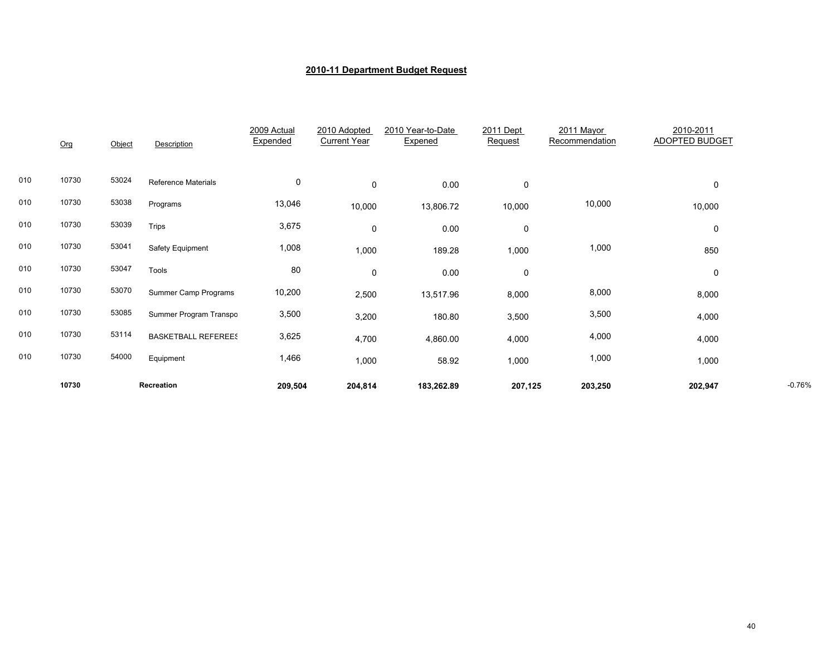|     | Org   | Object | Description                | 2009 Actual<br>Expended | 2010 Adopted<br><b>Current Year</b> | 2010 Year-to-Date<br>Expened | 2011 Dept<br>Request | 2011 Mayor<br>Recommendation | 2010-2011<br>ADOPTED BUDGET |          |
|-----|-------|--------|----------------------------|-------------------------|-------------------------------------|------------------------------|----------------------|------------------------------|-----------------------------|----------|
| 010 | 10730 | 53024  | <b>Reference Materials</b> | 0                       | $\mathbf 0$                         | 0.00                         | 0                    |                              | 0                           |          |
| 010 | 10730 | 53038  | Programs                   | 13,046                  | 10,000                              | 13,806.72                    | 10,000               | 10,000                       | 10,000                      |          |
| 010 | 10730 | 53039  | Trips                      | 3,675                   | 0                                   | 0.00                         | $\mathbf 0$          |                              | 0                           |          |
| 010 | 10730 | 53041  | Safety Equipment           | 1,008                   | 1,000                               | 189.28                       | 1,000                | 1,000                        | 850                         |          |
| 010 | 10730 | 53047  | Tools                      | 80                      | 0                                   | 0.00                         | $\pmb{0}$            |                              | 0                           |          |
| 010 | 10730 | 53070  | Summer Camp Programs       | 10,200                  | 2,500                               | 13,517.96                    | 8,000                | 8,000                        | 8,000                       |          |
| 010 | 10730 | 53085  | Summer Program Transpo     | 3,500                   | 3,200                               | 180.80                       | 3,500                | 3,500                        | 4,000                       |          |
| 010 | 10730 | 53114  | <b>BASKETBALL REFEREES</b> | 3,625                   | 4,700                               | 4,860.00                     | 4,000                | 4,000                        | 4,000                       |          |
| 010 | 10730 | 54000  | Equipment                  | 1,466                   | 1,000                               | 58.92                        | 1,000                | 1,000                        | 1,000                       |          |
|     | 10730 |        | Recreation                 | 209,504                 | 204,814                             | 183,262.89                   | 207,125              | 203,250                      | 202,947                     | $-0.76%$ |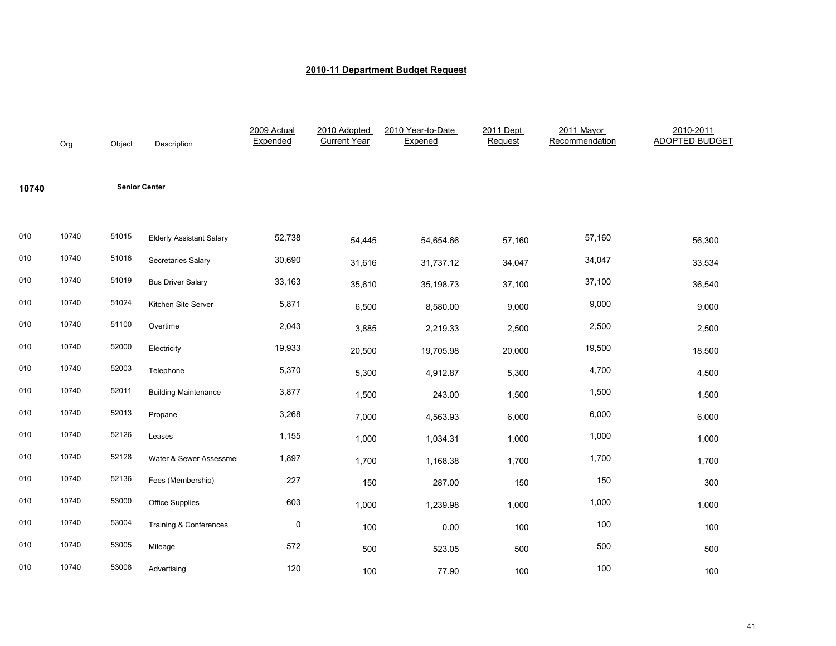|       | Org   | Object | Description                     | 2009 Actual<br>Expended | 2010 Adopted<br><b>Current Year</b> | 2010 Year-to-Date<br>Expened | 2011 Dept<br>Request | 2011 Mayor<br>Recommendation | 2010-2011<br><b>ADOPTED BUDGET</b> |
|-------|-------|--------|---------------------------------|-------------------------|-------------------------------------|------------------------------|----------------------|------------------------------|------------------------------------|
| 10740 |       |        | <b>Senior Center</b>            |                         |                                     |                              |                      |                              |                                    |
| 010   | 10740 | 51015  | <b>Elderly Assistant Salary</b> | 52,738                  | 54,445                              | 54,654.66                    | 57,160               | 57,160                       | 56,300                             |
| 010   | 10740 | 51016  | Secretaries Salary              | 30,690                  | 31,616                              | 31,737.12                    | 34,047               | 34,047                       | 33,534                             |
| 010   | 10740 | 51019  | <b>Bus Driver Salary</b>        | 33,163                  | 35,610                              | 35,198.73                    | 37,100               | 37,100                       | 36,540                             |
| 010   | 10740 | 51024  | Kitchen Site Server             | 5,871                   | 6,500                               | 8,580.00                     | 9,000                | 9,000                        | 9,000                              |
| 010   | 10740 | 51100  | Overtime                        | 2,043                   | 3,885                               | 2,219.33                     | 2,500                | 2,500                        | 2,500                              |
| 010   | 10740 | 52000  | Electricity                     | 19,933                  | 20,500                              | 19,705.98                    | 20,000               | 19,500                       | 18,500                             |
| 010   | 10740 | 52003  | Telephone                       | 5,370                   | 5,300                               | 4,912.87                     | 5,300                | 4,700                        | 4,500                              |
| 010   | 10740 | 52011  | <b>Building Maintenance</b>     | 3,877                   | 1,500                               | 243.00                       | 1,500                | 1,500                        | 1,500                              |
| 010   | 10740 | 52013  | Propane                         | 3,268                   | 7,000                               | 4,563.93                     | 6,000                | 6,000                        | 6,000                              |
| 010   | 10740 | 52126  | Leases                          | 1,155                   | 1,000                               | 1,034.31                     | 1,000                | 1,000                        | 1,000                              |
| 010   | 10740 | 52128  | Water & Sewer Assessmer         | 1,897                   | 1,700                               | 1,168.38                     | 1,700                | 1,700                        | 1,700                              |
| 010   | 10740 | 52136  | Fees (Membership)               | 227                     | 150                                 | 287.00                       | 150                  | 150                          | 300                                |
| 010   | 10740 | 53000  | <b>Office Supplies</b>          | 603                     | 1,000                               | 1,239.98                     | 1,000                | 1,000                        | 1,000                              |
| 010   | 10740 | 53004  | Training & Conferences          | 0                       | 100                                 | 0.00                         | 100                  | 100                          | 100                                |
| 010   | 10740 | 53005  | Mileage                         | 572                     | 500                                 | 523.05                       | 500                  | 500                          | 500                                |
| 010   | 10740 | 53008  | Advertising                     | 120                     | 100                                 | 77.90                        | 100                  | 100                          | 100                                |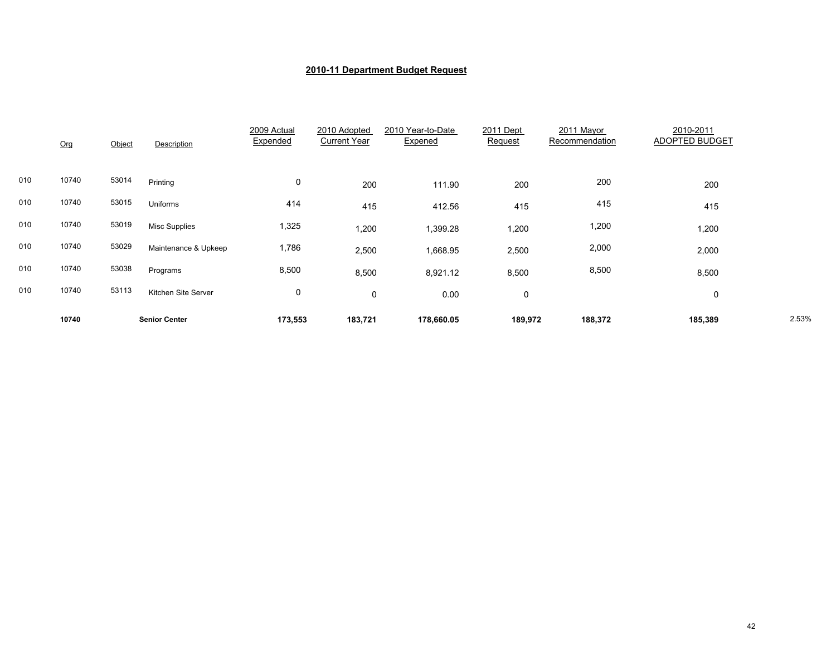|     | 10740 |        | <b>Senior Center</b> | 173,553                 | 183,721                             | 178,660.05                   | 189,972              | 188,372                      | 185,389                     | 2.53% |
|-----|-------|--------|----------------------|-------------------------|-------------------------------------|------------------------------|----------------------|------------------------------|-----------------------------|-------|
| 010 | 10740 | 53113  | Kitchen Site Server  | $\mathbf 0$             | 0                                   | 0.00                         | $\mathbf 0$          |                              | 0                           |       |
| 010 | 10740 | 53038  | Programs             | 8,500                   | 8,500                               | 8,921.12                     | 8,500                | 8,500                        | 8,500                       |       |
| 010 | 10740 | 53029  | Maintenance & Upkeep | 1,786                   | 2,500                               | 1,668.95                     | 2,500                | 2,000                        | 2,000                       |       |
| 010 | 10740 | 53019  | <b>Misc Supplies</b> | 1,325                   | 1,200                               | 1,399.28                     | 1,200                | 1,200                        | 1,200                       |       |
| 010 | 10740 | 53015  | Uniforms             | 414                     | 415                                 | 412.56                       | 415                  | 415                          | 415                         |       |
| 010 | 10740 | 53014  | Printing             | $\pmb{0}$               | 200                                 | 111.90                       | 200                  | 200                          | 200                         |       |
|     | Org   | Object | Description          | 2009 Actual<br>Expended | 2010 Adopted<br><b>Current Year</b> | 2010 Year-to-Date<br>Expened | 2011 Dept<br>Request | 2011 Mayor<br>Recommendation | 2010-2011<br>ADOPTED BUDGET |       |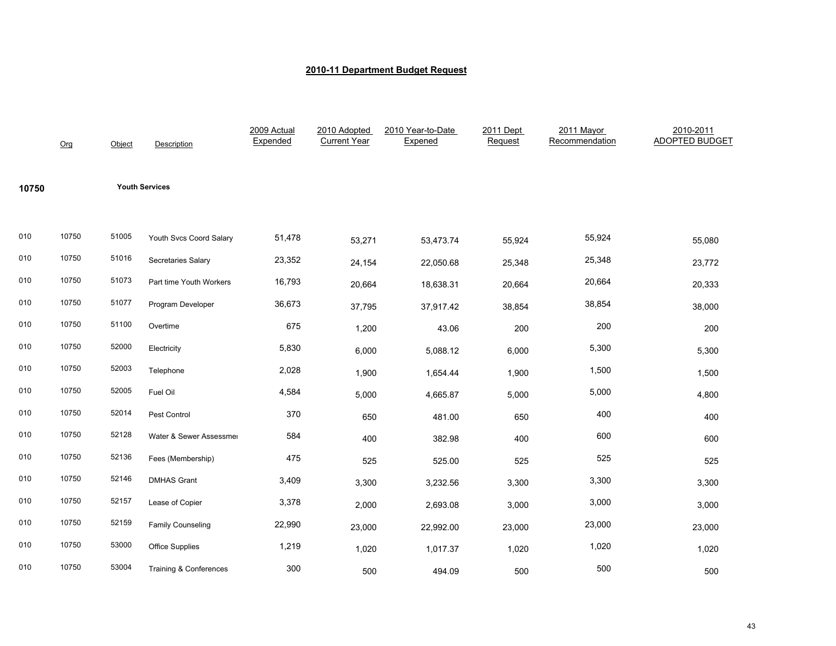|       | Org   | Object | Description              | 2009 Actual<br>Expended | 2010 Adopted<br><b>Current Year</b> | 2010 Year-to-Date<br>Expened | 2011 Dept<br>Request | 2011 Mayor<br>Recommendation | 2010-2011<br><b>ADOPTED BUDGET</b> |
|-------|-------|--------|--------------------------|-------------------------|-------------------------------------|------------------------------|----------------------|------------------------------|------------------------------------|
| 10750 |       |        | <b>Youth Services</b>    |                         |                                     |                              |                      |                              |                                    |
| 010   | 10750 | 51005  | Youth Svcs Coord Salary  | 51,478                  | 53,271                              | 53,473.74                    | 55,924               | 55,924                       | 55,080                             |
| 010   | 10750 | 51016  | Secretaries Salary       | 23,352                  | 24,154                              | 22,050.68                    | 25,348               | 25,348                       | 23,772                             |
| 010   | 10750 | 51073  | Part time Youth Workers  | 16,793                  | 20,664                              | 18,638.31                    | 20,664               | 20,664                       | 20,333                             |
| 010   | 10750 | 51077  | Program Developer        | 36,673                  | 37,795                              | 37,917.42                    | 38,854               | 38,854                       | 38,000                             |
| 010   | 10750 | 51100  | Overtime                 | 675                     | 1,200                               | 43.06                        | 200                  | 200                          | 200                                |
| 010   | 10750 | 52000  | Electricity              | 5,830                   | 6,000                               | 5,088.12                     | 6,000                | 5,300                        | 5,300                              |
| 010   | 10750 | 52003  | Telephone                | 2,028                   | 1,900                               | 1,654.44                     | 1,900                | 1,500                        | 1,500                              |
| 010   | 10750 | 52005  | Fuel Oil                 | 4,584                   | 5,000                               | 4,665.87                     | 5,000                | 5,000                        | 4,800                              |
| 010   | 10750 | 52014  | Pest Control             | 370                     | 650                                 | 481.00                       | 650                  | 400                          | 400                                |
| 010   | 10750 | 52128  | Water & Sewer Assessmer  | 584                     | 400                                 | 382.98                       | 400                  | 600                          | 600                                |
| 010   | 10750 | 52136  | Fees (Membership)        | 475                     | 525                                 | 525.00                       | 525                  | 525                          | 525                                |
| 010   | 10750 | 52146  | <b>DMHAS Grant</b>       | 3,409                   | 3,300                               | 3,232.56                     | 3,300                | 3,300                        | 3,300                              |
| 010   | 10750 | 52157  | Lease of Copier          | 3,378                   | 2,000                               | 2,693.08                     | 3,000                | 3,000                        | 3,000                              |
| 010   | 10750 | 52159  | <b>Family Counseling</b> | 22,990                  | 23,000                              | 22,992.00                    | 23,000               | 23,000                       | 23,000                             |
| 010   | 10750 | 53000  | <b>Office Supplies</b>   | 1,219                   | 1,020                               | 1,017.37                     | 1,020                | 1,020                        | 1,020                              |
| 010   | 10750 | 53004  | Training & Conferences   | 300                     | 500                                 | 494.09                       | 500                  | 500                          | 500                                |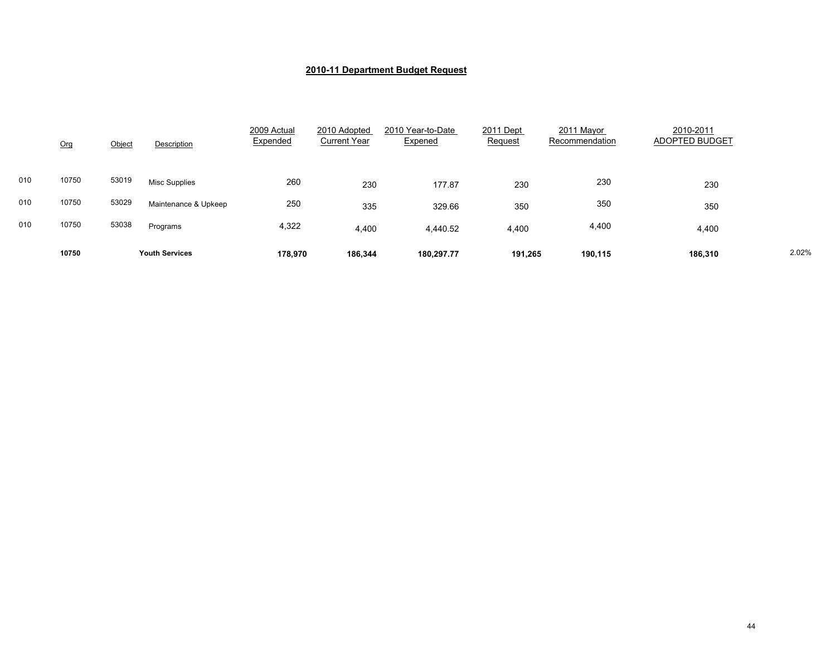|     | Org   | Object | Description           | 2009 Actual<br>Expended | 2010 Adopted<br><b>Current Year</b> | 2010 Year-to-Date<br>Expened | 2011 Dept<br>Request | 2011 Mayor<br>Recommendation | 2010-2011<br>ADOPTED BUDGET |       |
|-----|-------|--------|-----------------------|-------------------------|-------------------------------------|------------------------------|----------------------|------------------------------|-----------------------------|-------|
| 010 | 10750 | 53019  | Misc Supplies         | 260                     | 230                                 | 177.87                       | 230                  | 230                          | 230                         |       |
| 010 | 10750 | 53029  | Maintenance & Upkeep  | 250                     | 335                                 | 329.66                       | 350                  | 350                          | 350                         |       |
| 010 | 10750 | 53038  | Programs              | 4,322                   | 4,400                               | 4,440.52                     | 4,400                | 4,400                        | 4,400                       |       |
|     | 10750 |        | <b>Youth Services</b> | 178.970                 | 186.344                             | 180.297.77                   | 191.265              | 190.115                      | 186.310                     | 2.02% |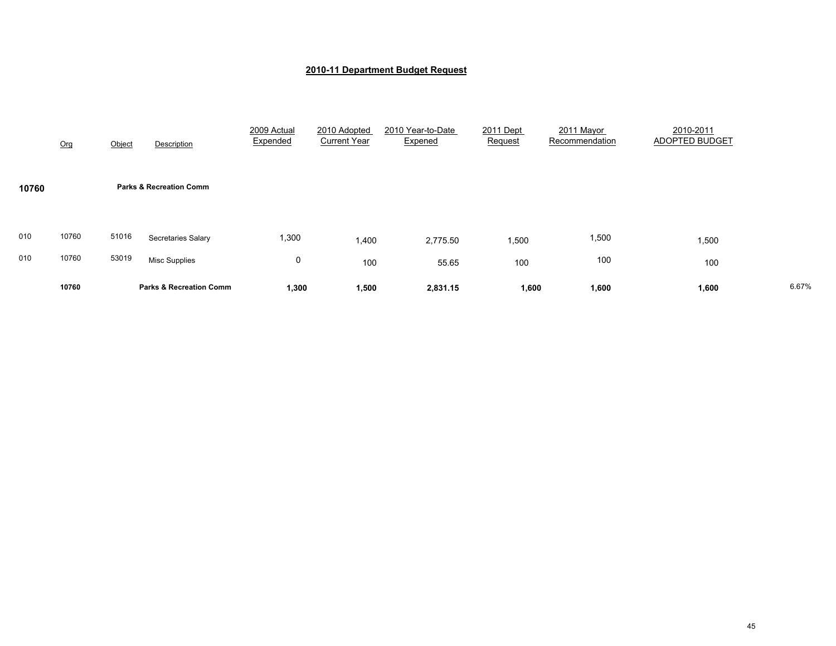|            | Org            | Object         | Description                                | 2009 Actual<br>Expended | 2010 Adopted<br><b>Current Year</b> | 2010 Year-to-Date<br>Expened | 2011 Dept<br>Request | 2011 Mayor<br>Recommendation | 2010-2011<br>ADOPTED BUDGET |       |
|------------|----------------|----------------|--------------------------------------------|-------------------------|-------------------------------------|------------------------------|----------------------|------------------------------|-----------------------------|-------|
| 10760      |                |                | <b>Parks &amp; Recreation Comm</b>         |                         |                                     |                              |                      |                              |                             |       |
| 010<br>010 | 10760<br>10760 | 51016<br>53019 | Secretaries Salary<br><b>Misc Supplies</b> | 1,300<br>0              | 1,400<br>100                        | 2,775.50<br>55.65            | 1,500<br>100         | 1,500<br>100                 | 1,500<br>100                |       |
|            | 10760          |                | <b>Parks &amp; Recreation Comm</b>         | 1,300                   | 1,500                               | 2,831.15                     | 1,600                | 1,600                        | 1,600                       | 6.67% |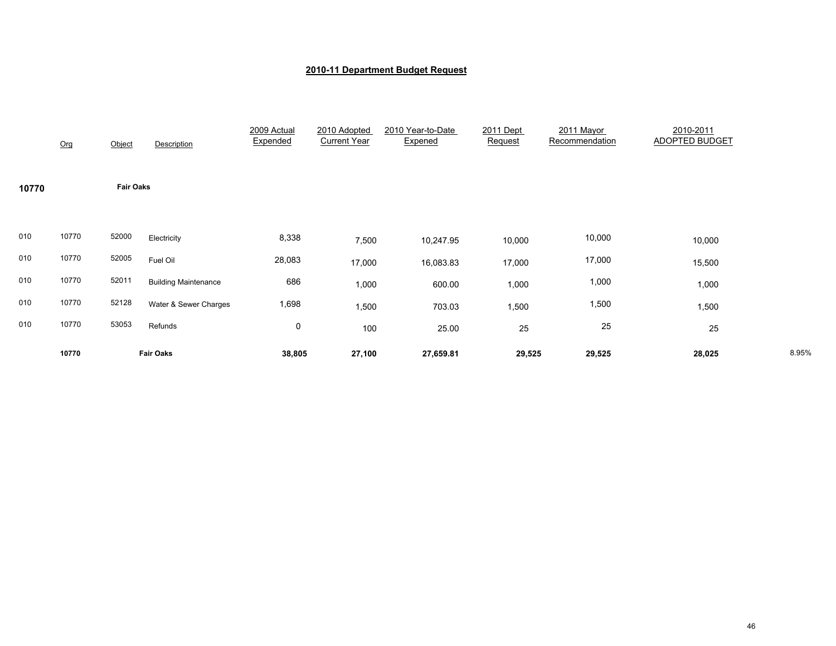|       | Org   | Object           | Description                 | 2009 Actual<br>Expended | 2010 Adopted<br><b>Current Year</b> | 2010 Year-to-Date<br>Expened | 2011 Dept<br>Request | 2011 Mayor<br>Recommendation | 2010-2011<br><b>ADOPTED BUDGET</b> |       |
|-------|-------|------------------|-----------------------------|-------------------------|-------------------------------------|------------------------------|----------------------|------------------------------|------------------------------------|-------|
| 10770 |       | <b>Fair Oaks</b> |                             |                         |                                     |                              |                      |                              |                                    |       |
| 010   | 10770 | 52000            | Electricity                 | 8,338                   | 7,500                               | 10,247.95                    | 10,000               | 10,000                       | 10,000                             |       |
| 010   | 10770 | 52005            | Fuel Oil                    | 28,083                  | 17,000                              | 16,083.83                    | 17,000               | 17,000                       | 15,500                             |       |
| 010   | 10770 | 52011            | <b>Building Maintenance</b> | 686                     | 1,000                               | 600.00                       | 1,000                | 1,000                        | 1,000                              |       |
| 010   | 10770 | 52128            | Water & Sewer Charges       | 1,698                   | 1,500                               | 703.03                       | 1,500                | 1,500                        | 1,500                              |       |
| 010   | 10770 | 53053            | Refunds                     | 0                       | 100                                 | 25.00                        | 25                   | 25                           | 25                                 |       |
|       | 10770 |                  | <b>Fair Oaks</b>            | 38,805                  | 27,100                              | 27,659.81                    | 29,525               | 29,525                       | 28,025                             | 8.95% |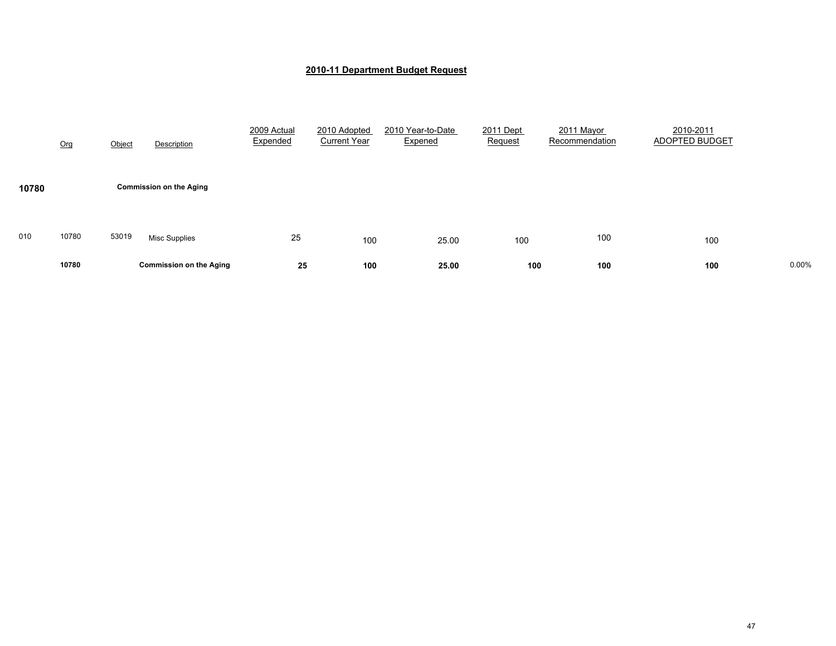|       | Org   | Object | Description                    | 2009 Actual<br>Expended | 2010 Adopted<br><b>Current Year</b> | 2010 Year-to-Date<br>Expened | 2011 Dept<br>Request | 2011 Mayor<br>Recommendation | 2010-2011<br>ADOPTED BUDGET |       |
|-------|-------|--------|--------------------------------|-------------------------|-------------------------------------|------------------------------|----------------------|------------------------------|-----------------------------|-------|
| 10780 |       |        | <b>Commission on the Aging</b> |                         |                                     |                              |                      |                              |                             |       |
| 010   | 10780 | 53019  | <b>Misc Supplies</b>           | 25                      | 100                                 | 25.00                        | 100                  | 100                          | 100                         |       |
|       | 10780 |        | <b>Commission on the Aging</b> | 25                      | 100                                 | 25.00                        | 100                  | 100                          | 100                         | 0.00% |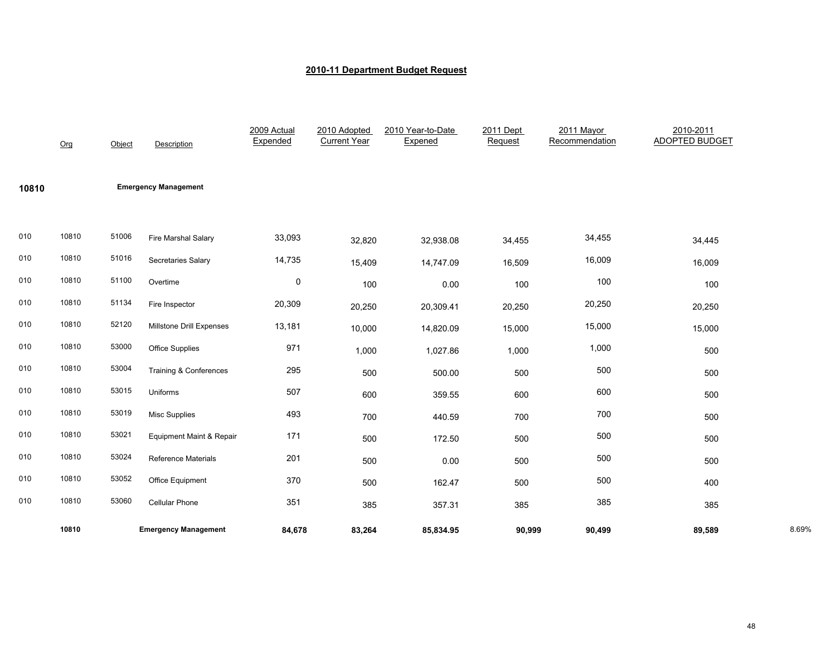|       | Org   | Object | Description                       | 2009 Actual<br>Expended | 2010 Adopted<br><b>Current Year</b> | 2010 Year-to-Date<br>Expened | 2011 Dept<br>Request | 2011 Mayor<br>Recommendation | 2010-2011<br><b>ADOPTED BUDGET</b> |       |
|-------|-------|--------|-----------------------------------|-------------------------|-------------------------------------|------------------------------|----------------------|------------------------------|------------------------------------|-------|
| 10810 |       |        | <b>Emergency Management</b>       |                         |                                     |                              |                      |                              |                                    |       |
| 010   | 10810 | 51006  | Fire Marshal Salary               | 33,093                  | 32,820                              | 32,938.08                    | 34,455               | 34,455                       | 34,445                             |       |
| 010   | 10810 | 51016  | Secretaries Salary                | 14,735                  | 15,409                              | 14,747.09                    | 16,509               | 16,009                       | 16,009                             |       |
| 010   | 10810 | 51100  | Overtime                          | $\mathbf 0$             | 100                                 | 0.00                         | 100                  | 100                          | 100                                |       |
| 010   | 10810 | 51134  | Fire Inspector                    | 20,309                  | 20,250                              | 20,309.41                    | 20,250               | 20,250                       | 20,250                             |       |
| 010   | 10810 | 52120  | Millstone Drill Expenses          | 13,181                  | 10,000                              | 14,820.09                    | 15,000               | 15,000                       | 15,000                             |       |
| 010   | 10810 | 53000  | <b>Office Supplies</b>            | 971                     | 1,000                               | 1,027.86                     | 1,000                | 1,000                        | 500                                |       |
| 010   | 10810 | 53004  | <b>Training &amp; Conferences</b> | 295                     | 500                                 | 500.00                       | 500                  | 500                          | 500                                |       |
| 010   | 10810 | 53015  | Uniforms                          | 507                     | 600                                 | 359.55                       | 600                  | 600                          | 500                                |       |
| 010   | 10810 | 53019  | Misc Supplies                     | 493                     | 700                                 | 440.59                       | 700                  | 700                          | 500                                |       |
| 010   | 10810 | 53021  | Equipment Maint & Repair          | 171                     | 500                                 | 172.50                       | 500                  | 500                          | 500                                |       |
| 010   | 10810 | 53024  | <b>Reference Materials</b>        | 201                     | 500                                 | 0.00                         | 500                  | 500                          | 500                                |       |
| 010   | 10810 | 53052  | Office Equipment                  | 370                     | 500                                 | 162.47                       | 500                  | 500                          | 400                                |       |
| 010   | 10810 | 53060  | Cellular Phone                    | 351                     | 385                                 | 357.31                       | 385                  | 385                          | 385                                |       |
|       | 10810 |        | <b>Emergency Management</b>       | 84,678                  | 83,264                              | 85,834.95                    | 90,999               | 90,499                       | 89,589                             | 8.69% |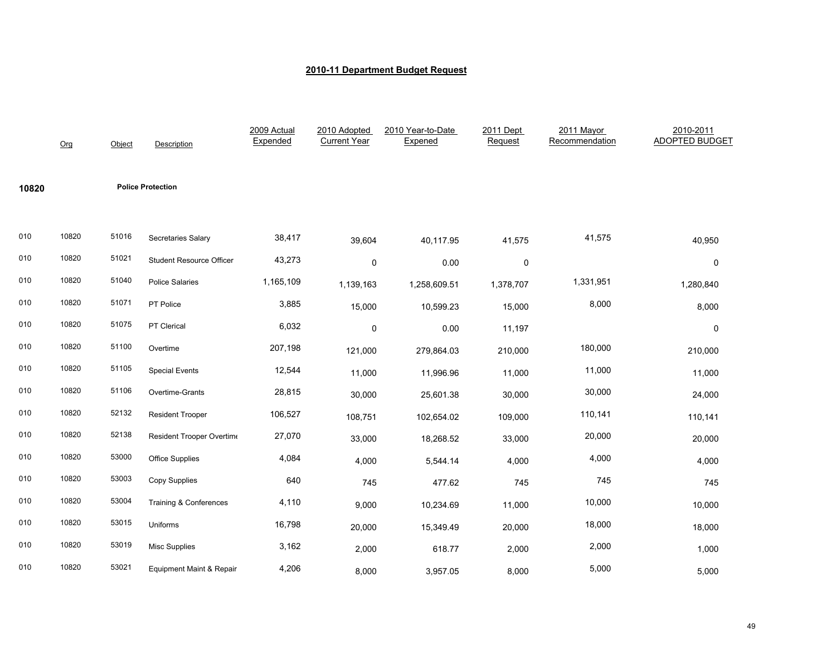|       | Org   | Object | Description                         | 2009 Actual<br>Expended | 2010 Adopted<br><b>Current Year</b> | 2010 Year-to-Date<br>Expened | 2011 Dept<br>Request | 2011 Mayor<br>Recommendation | 2010-2011<br><b>ADOPTED BUDGET</b> |
|-------|-------|--------|-------------------------------------|-------------------------|-------------------------------------|------------------------------|----------------------|------------------------------|------------------------------------|
| 10820 |       |        | <b>Police Protection</b>            |                         |                                     |                              |                      |                              |                                    |
| 010   | 10820 | 51016  | Secretaries Salary                  | 38,417                  | 39,604                              | 40,117.95                    | 41,575               | 41,575                       | 40,950                             |
| 010   | 10820 | 51021  | <b>Student Resource Officer</b>     | 43,273                  | $\mathsf 0$                         | 0.00                         | 0                    |                              | $\pmb{0}$                          |
| 010   | 10820 | 51040  | <b>Police Salaries</b>              | 1,165,109               | 1,139,163                           | 1,258,609.51                 | 1,378,707            | 1,331,951                    | 1,280,840                          |
| 010   | 10820 | 51071  | PT Police                           | 3,885                   | 15,000                              | 10,599.23                    | 15,000               | 8,000                        | 8,000                              |
| 010   | 10820 | 51075  | PT Clerical                         | 6,032                   | 0                                   | 0.00                         | 11,197               |                              | $\mathbf 0$                        |
| 010   | 10820 | 51100  | Overtime                            | 207,198                 | 121,000                             | 279,864.03                   | 210,000              | 180,000                      | 210,000                            |
| 010   | 10820 | 51105  | <b>Special Events</b>               | 12,544                  | 11,000                              | 11,996.96                    | 11,000               | 11,000                       | 11,000                             |
| 010   | 10820 | 51106  | Overtime-Grants                     | 28,815                  | 30,000                              | 25,601.38                    | 30,000               | 30,000                       | 24,000                             |
| 010   | 10820 | 52132  | <b>Resident Trooper</b>             | 106,527                 | 108,751                             | 102,654.02                   | 109,000              | 110,141                      | 110,141                            |
| 010   | 10820 | 52138  | Resident Trooper Overtime           | 27,070                  | 33,000                              | 18,268.52                    | 33,000               | 20,000                       | 20,000                             |
| 010   | 10820 | 53000  | <b>Office Supplies</b>              | 4,084                   | 4,000                               | 5,544.14                     | 4,000                | 4,000                        | 4,000                              |
| 010   | 10820 | 53003  | <b>Copy Supplies</b>                | 640                     | 745                                 | 477.62                       | 745                  | 745                          | 745                                |
| 010   | 10820 | 53004  | Training & Conferences              | 4,110                   | 9,000                               | 10,234.69                    | 11,000               | 10,000                       | 10,000                             |
| 010   | 10820 | 53015  | Uniforms                            | 16,798                  | 20,000                              | 15,349.49                    | 20,000               | 18,000                       | 18,000                             |
| 010   | 10820 | 53019  | <b>Misc Supplies</b>                | 3,162                   | 2,000                               | 618.77                       | 2,000                | 2,000                        | 1,000                              |
| 010   | 10820 | 53021  | <b>Equipment Maint &amp; Repair</b> | 4,206                   | 8,000                               | 3,957.05                     | 8,000                | 5,000                        | 5,000                              |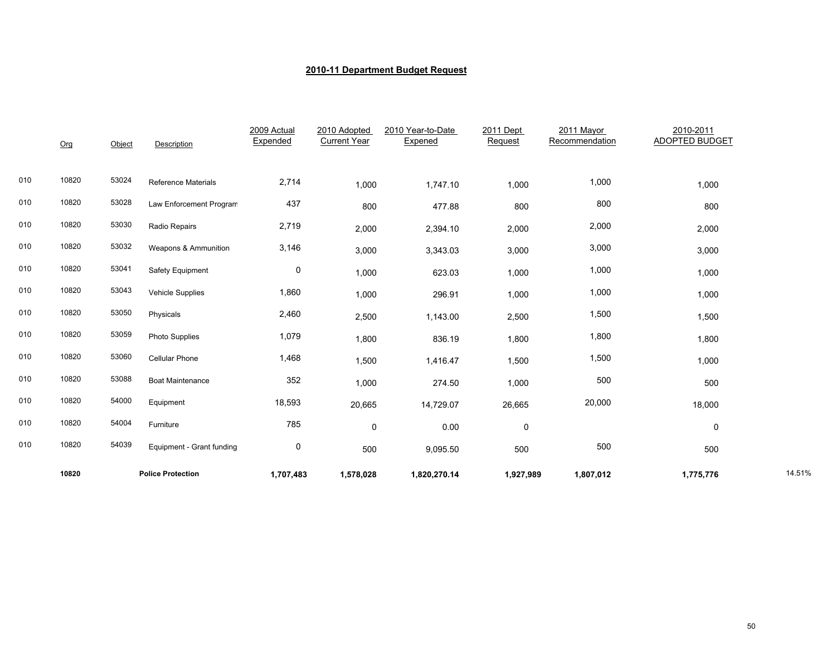|     | Org   | Object | Description                | 2009 Actual<br>Expended | 2010 Adopted<br><b>Current Year</b> | 2010 Year-to-Date<br>Expened | 2011 Dept<br>Request | 2011 Mayor<br>Recommendation | 2010-2011<br><b>ADOPTED BUDGET</b> |        |
|-----|-------|--------|----------------------------|-------------------------|-------------------------------------|------------------------------|----------------------|------------------------------|------------------------------------|--------|
|     |       |        |                            |                         |                                     |                              |                      |                              |                                    |        |
| 010 | 10820 | 53024  | <b>Reference Materials</b> | 2,714                   | 1,000                               | 1,747.10                     | 1,000                | 1,000                        | 1,000                              |        |
| 010 | 10820 | 53028  | Law Enforcement Program    | 437                     | 800                                 | 477.88                       | 800                  | 800                          | 800                                |        |
| 010 | 10820 | 53030  | Radio Repairs              | 2,719                   | 2,000                               | 2,394.10                     | 2,000                | 2,000                        | 2,000                              |        |
| 010 | 10820 | 53032  | Weapons & Ammunition       | 3,146                   | 3,000                               | 3,343.03                     | 3,000                | 3,000                        | 3,000                              |        |
| 010 | 10820 | 53041  | Safety Equipment           | 0                       | 1,000                               | 623.03                       | 1,000                | 1,000                        | 1,000                              |        |
| 010 | 10820 | 53043  | <b>Vehicle Supplies</b>    | 1,860                   | 1,000                               | 296.91                       | 1,000                | 1,000                        | 1,000                              |        |
| 010 | 10820 | 53050  | Physicals                  | 2,460                   | 2,500                               | 1,143.00                     | 2,500                | 1,500                        | 1,500                              |        |
| 010 | 10820 | 53059  | Photo Supplies             | 1,079                   | 1,800                               | 836.19                       | 1,800                | 1,800                        | 1,800                              |        |
| 010 | 10820 | 53060  | <b>Cellular Phone</b>      | 1,468                   | 1,500                               | 1,416.47                     | 1,500                | 1,500                        | 1,000                              |        |
| 010 | 10820 | 53088  | <b>Boat Maintenance</b>    | 352                     | 1,000                               | 274.50                       | 1,000                | 500                          | 500                                |        |
| 010 | 10820 | 54000  | Equipment                  | 18,593                  | 20,665                              | 14,729.07                    | 26,665               | 20,000                       | 18,000                             |        |
| 010 | 10820 | 54004  | Furniture                  | 785                     | 0                                   | 0.00                         | $\pmb{0}$            |                              | 0                                  |        |
| 010 | 10820 | 54039  | Equipment - Grant funding  | 0                       | 500                                 | 9,095.50                     | 500                  | 500                          | 500                                |        |
|     | 10820 |        | <b>Police Protection</b>   | 1,707,483               | 1,578,028                           | 1,820,270.14                 | 1,927,989            | 1,807,012                    | 1,775,776                          | 14.51% |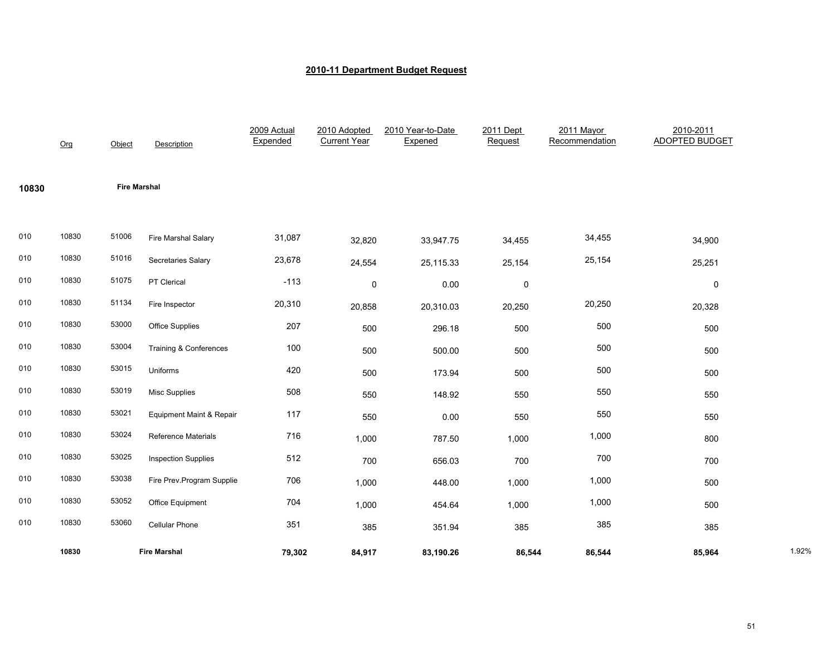|       | Org   | Object              | Description                       | 2009 Actual<br>Expended | 2010 Adopted<br><b>Current Year</b> | 2010 Year-to-Date<br>Expened | 2011 Dept<br>Request | 2011 Mayor<br>Recommendation | 2010-2011<br><b>ADOPTED BUDGET</b> |       |
|-------|-------|---------------------|-----------------------------------|-------------------------|-------------------------------------|------------------------------|----------------------|------------------------------|------------------------------------|-------|
| 10830 |       | <b>Fire Marshal</b> |                                   |                         |                                     |                              |                      |                              |                                    |       |
| 010   | 10830 | 51006               | Fire Marshal Salary               | 31,087                  | 32,820                              | 33,947.75                    | 34,455               | 34,455                       | 34,900                             |       |
| 010   | 10830 | 51016               | Secretaries Salary                | 23,678                  | 24,554                              | 25,115.33                    | 25,154               | 25,154                       | 25,251                             |       |
| 010   | 10830 | 51075               | PT Clerical                       | $-113$                  | $\pmb{0}$                           | 0.00                         | $\pmb{0}$            |                              | $\mathsf{O}\xspace$                |       |
| 010   | 10830 | 51134               | Fire Inspector                    | 20,310                  | 20,858                              | 20,310.03                    | 20,250               | 20,250                       | 20,328                             |       |
| 010   | 10830 | 53000               | <b>Office Supplies</b>            | 207                     | 500                                 | 296.18                       | 500                  | 500                          | 500                                |       |
| 010   | 10830 | 53004               | <b>Training &amp; Conferences</b> | 100                     | 500                                 | 500.00                       | 500                  | 500                          | 500                                |       |
| 010   | 10830 | 53015               | Uniforms                          | 420                     | 500                                 | 173.94                       | 500                  | 500                          | 500                                |       |
| 010   | 10830 | 53019               | <b>Misc Supplies</b>              | 508                     | 550                                 | 148.92                       | 550                  | 550                          | 550                                |       |
| 010   | 10830 | 53021               | Equipment Maint & Repair          | 117                     | 550                                 | 0.00                         | 550                  | 550                          | 550                                |       |
| 010   | 10830 | 53024               | <b>Reference Materials</b>        | 716                     | 1,000                               | 787.50                       | 1,000                | 1,000                        | 800                                |       |
| 010   | 10830 | 53025               | <b>Inspection Supplies</b>        | 512                     | 700                                 | 656.03                       | 700                  | 700                          | 700                                |       |
| 010   | 10830 | 53038               | Fire Prev.Program Supplie         | 706                     | 1,000                               | 448.00                       | 1,000                | 1,000                        | 500                                |       |
| 010   | 10830 | 53052               | Office Equipment                  | 704                     | 1,000                               | 454.64                       | 1,000                | 1,000                        | 500                                |       |
| 010   | 10830 | 53060               | <b>Cellular Phone</b>             | 351                     | 385                                 | 351.94                       | 385                  | 385                          | 385                                |       |
|       | 10830 |                     | <b>Fire Marshal</b>               | 79,302                  | 84,917                              | 83,190.26                    | 86,544               | 86,544                       | 85,964                             | 1.92% |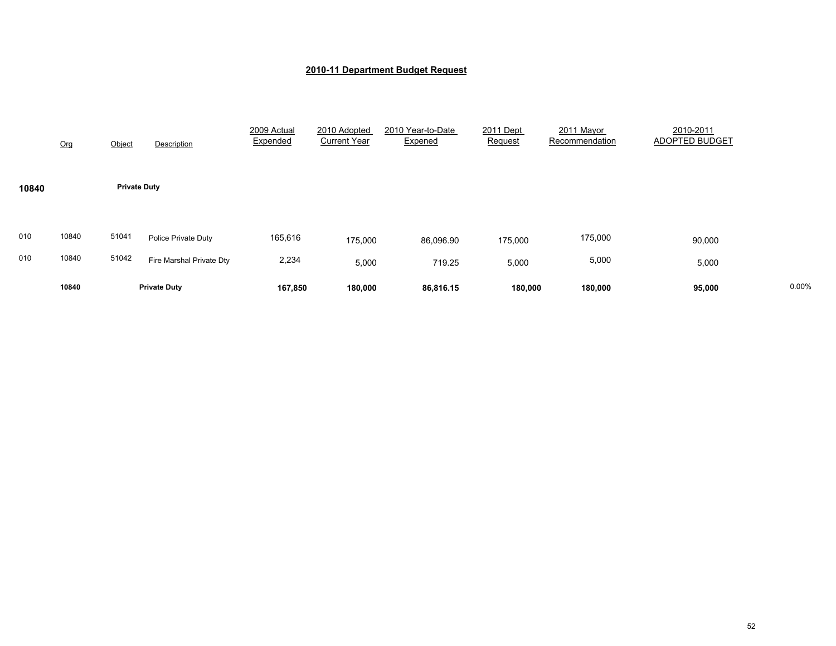|            | Org            | Object              | Description                                     | 2009 Actual<br>Expended | 2010 Adopted<br><b>Current Year</b> | 2010 Year-to-Date<br>Expened | 2011 Dept<br>Request | 2011 Mayor<br>Recommendation | 2010-2011<br>ADOPTED BUDGET |       |
|------------|----------------|---------------------|-------------------------------------------------|-------------------------|-------------------------------------|------------------------------|----------------------|------------------------------|-----------------------------|-------|
| 10840      |                | <b>Private Duty</b> |                                                 |                         |                                     |                              |                      |                              |                             |       |
| 010<br>010 | 10840<br>10840 | 51041<br>51042      | Police Private Duty<br>Fire Marshal Private Dty | 165,616<br>2,234        | 175,000<br>5,000                    | 86,096.90<br>719.25          | 175,000<br>5,000     | 175,000<br>5,000             | 90,000<br>5,000             |       |
|            | 10840          |                     | <b>Private Duty</b>                             | 167,850                 | 180,000                             | 86,816.15                    | 180,000              | 180,000                      | 95,000                      | 0.00% |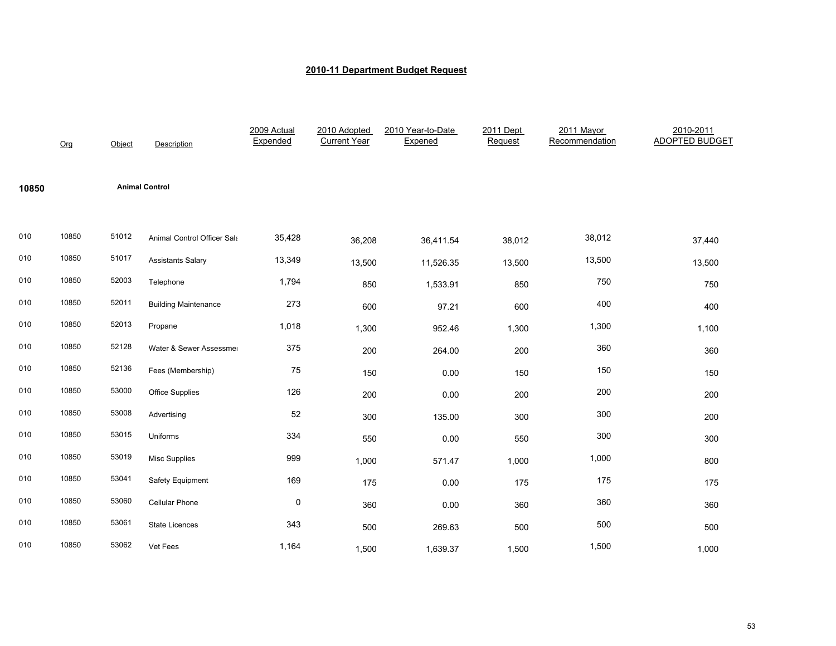|       | Org   | Object | Description                 | 2009 Actual<br>Expended | 2010 Adopted<br><b>Current Year</b> | 2010 Year-to-Date<br>Expened | 2011 Dept<br>Request | 2011 Mayor<br>Recommendation | 2010-2011<br><b>ADOPTED BUDGET</b> |
|-------|-------|--------|-----------------------------|-------------------------|-------------------------------------|------------------------------|----------------------|------------------------------|------------------------------------|
| 10850 |       |        | <b>Animal Control</b>       |                         |                                     |                              |                      |                              |                                    |
| 010   | 10850 | 51012  | Animal Control Officer Sala | 35,428                  | 36,208                              | 36,411.54                    | 38,012               | 38,012                       | 37,440                             |
| 010   | 10850 | 51017  | <b>Assistants Salary</b>    | 13,349                  | 13,500                              | 11,526.35                    | 13,500               | 13,500                       | 13,500                             |
| 010   | 10850 | 52003  | Telephone                   | 1,794                   | 850                                 | 1,533.91                     | 850                  | 750                          | 750                                |
| 010   | 10850 | 52011  | <b>Building Maintenance</b> | 273                     | 600                                 | 97.21                        | 600                  | 400                          | 400                                |
| 010   | 10850 | 52013  | Propane                     | 1,018                   | 1,300                               | 952.46                       | 1,300                | 1,300                        | 1,100                              |
| 010   | 10850 | 52128  | Water & Sewer Assessmer     | 375                     | 200                                 | 264.00                       | 200                  | 360                          | 360                                |
| 010   | 10850 | 52136  | Fees (Membership)           | 75                      | 150                                 | 0.00                         | 150                  | 150                          | 150                                |
| 010   | 10850 | 53000  | Office Supplies             | 126                     | 200                                 | 0.00                         | 200                  | 200                          | 200                                |
| 010   | 10850 | 53008  | Advertising                 | 52                      | 300                                 | 135.00                       | 300                  | 300                          | 200                                |
| 010   | 10850 | 53015  | Uniforms                    | 334                     | 550                                 | 0.00                         | 550                  | 300                          | 300                                |
| 010   | 10850 | 53019  | <b>Misc Supplies</b>        | 999                     | 1,000                               | 571.47                       | 1,000                | 1,000                        | 800                                |
| 010   | 10850 | 53041  | Safety Equipment            | 169                     | 175                                 | 0.00                         | 175                  | 175                          | 175                                |
| 010   | 10850 | 53060  | Cellular Phone              | 0                       | 360                                 | 0.00                         | 360                  | 360                          | 360                                |
| 010   | 10850 | 53061  | <b>State Licences</b>       | 343                     | 500                                 | 269.63                       | 500                  | 500                          | 500                                |
| 010   | 10850 | 53062  | Vet Fees                    | 1,164                   | 1,500                               | 1,639.37                     | 1,500                | 1,500                        | 1,000                              |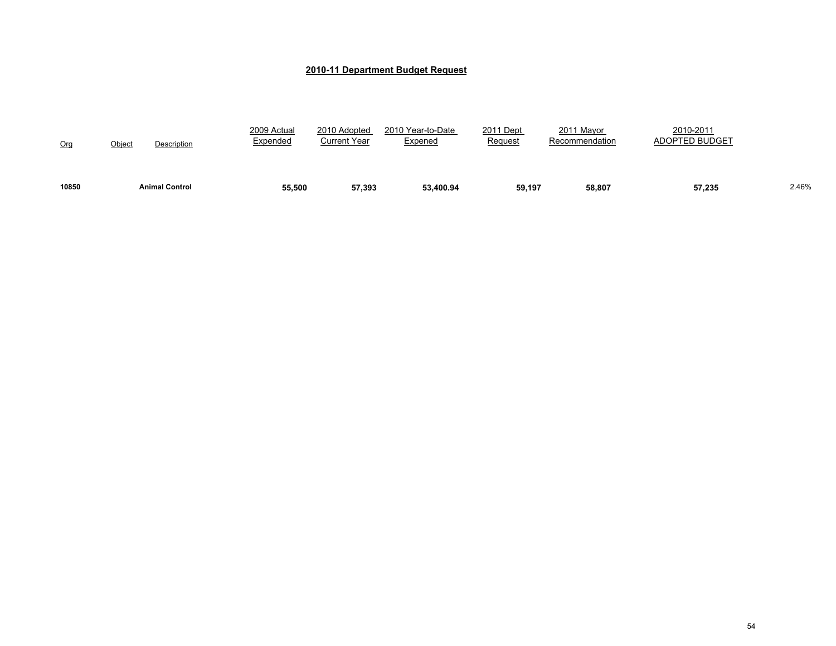| 10850 | <b>Animal Control</b> | 55,500                  | 57,393                       | 53,400.94                    | 59,197               | 58,807                       | 57,235                             | 2.46% |
|-------|-----------------------|-------------------------|------------------------------|------------------------------|----------------------|------------------------------|------------------------------------|-------|
| Org   | Object<br>Description | 2009 Actual<br>Expended | 2010 Adopted<br>Current Year | 2010 Year-to-Date<br>Expened | 2011 Dept<br>Request | 2011 Mayor<br>Recommendation | 2010-2011<br><b>ADOPTED BUDGET</b> |       |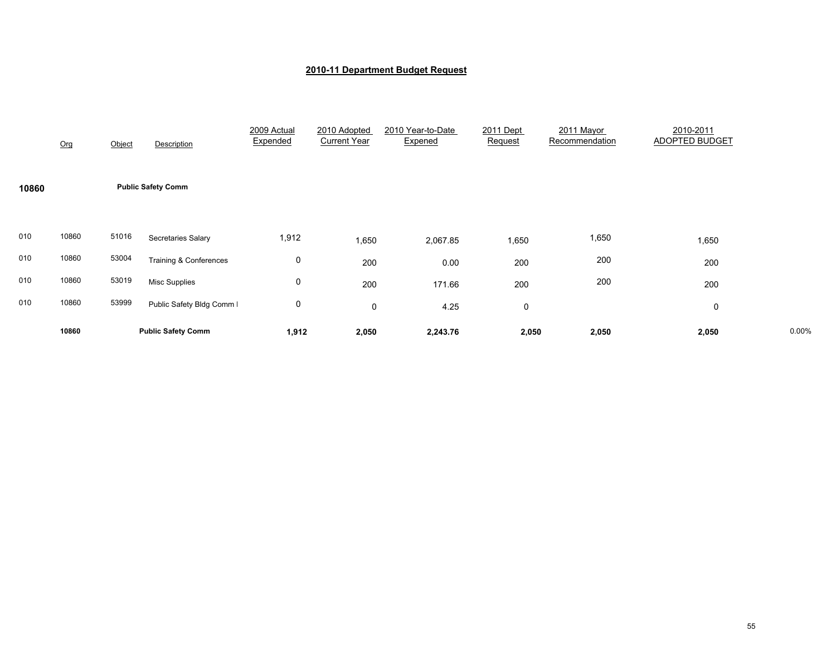|       | Org   | Object | Description                       | 2009 Actual<br>Expended | 2010 Adopted<br><b>Current Year</b> | 2010 Year-to-Date<br>Expened | 2011 Dept<br>Request | 2011 Mayor<br>Recommendation | 2010-2011<br><b>ADOPTED BUDGET</b> |       |
|-------|-------|--------|-----------------------------------|-------------------------|-------------------------------------|------------------------------|----------------------|------------------------------|------------------------------------|-------|
| 10860 |       |        | <b>Public Safety Comm</b>         |                         |                                     |                              |                      |                              |                                    |       |
| 010   | 10860 | 51016  | Secretaries Salary                | 1,912                   | 1,650                               | 2,067.85                     | 1,650                | 1,650                        | 1,650                              |       |
| 010   | 10860 | 53004  | <b>Training &amp; Conferences</b> | 0                       | 200                                 | 0.00                         | 200                  | 200                          | 200                                |       |
| 010   | 10860 | 53019  | <b>Misc Supplies</b>              | 0                       | 200                                 | 171.66                       | 200                  | 200                          | 200                                |       |
| 010   | 10860 | 53999  | Public Safety Bldg Comm I         | 0                       | $\mathbf 0$                         | 4.25                         | 0                    |                              | 0                                  |       |
|       | 10860 |        | <b>Public Safety Comm</b>         | 1,912                   | 2,050                               | 2,243.76                     | 2,050                | 2,050                        | 2,050                              | 0.00% |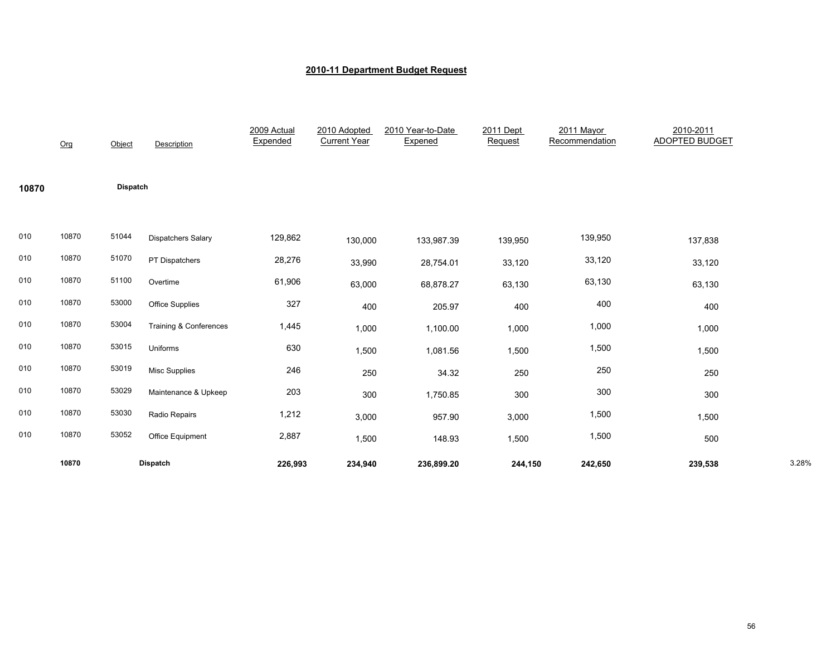|       | Org   | Object          | Description               | 2009 Actual<br>Expended | 2010 Adopted<br><b>Current Year</b> | 2010 Year-to-Date<br>Expened | 2011 Dept<br>Request | 2011 Mayor<br>Recommendation | 2010-2011<br><b>ADOPTED BUDGET</b> |       |
|-------|-------|-----------------|---------------------------|-------------------------|-------------------------------------|------------------------------|----------------------|------------------------------|------------------------------------|-------|
| 10870 |       | <b>Dispatch</b> |                           |                         |                                     |                              |                      |                              |                                    |       |
| 010   | 10870 | 51044           | <b>Dispatchers Salary</b> | 129,862                 | 130,000                             | 133,987.39                   | 139,950              | 139,950                      | 137,838                            |       |
| 010   | 10870 | 51070           | PT Dispatchers            | 28,276                  | 33,990                              | 28,754.01                    | 33,120               | 33,120                       | 33,120                             |       |
| 010   | 10870 | 51100           | Overtime                  | 61,906                  | 63,000                              | 68,878.27                    | 63,130               | 63,130                       | 63,130                             |       |
| 010   | 10870 | 53000           | Office Supplies           | 327                     | 400                                 | 205.97                       | 400                  | 400                          | 400                                |       |
| 010   | 10870 | 53004           | Training & Conferences    | 1,445                   | 1,000                               | 1,100.00                     | 1,000                | 1,000                        | 1,000                              |       |
| 010   | 10870 | 53015           | Uniforms                  | 630                     | 1,500                               | 1,081.56                     | 1,500                | 1,500                        | 1,500                              |       |
| 010   | 10870 | 53019           | <b>Misc Supplies</b>      | 246                     | 250                                 | 34.32                        | 250                  | 250                          | 250                                |       |
| 010   | 10870 | 53029           | Maintenance & Upkeep      | 203                     | 300                                 | 1,750.85                     | 300                  | 300                          | 300                                |       |
| 010   | 10870 | 53030           | Radio Repairs             | 1,212                   | 3,000                               | 957.90                       | 3,000                | 1,500                        | 1,500                              |       |
| 010   | 10870 | 53052           | Office Equipment          | 2,887                   | 1,500                               | 148.93                       | 1,500                | 1,500                        | 500                                |       |
|       | 10870 |                 | <b>Dispatch</b>           | 226,993                 | 234,940                             | 236,899.20                   | 244,150              | 242,650                      | 239,538                            | 3.28% |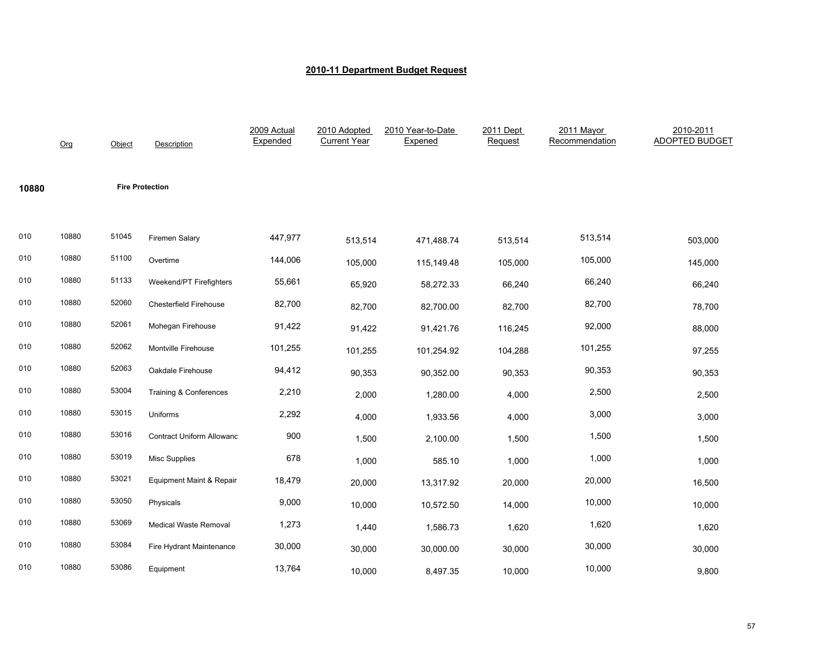|       | Org   | Object | <b>Description</b>               | 2009 Actual<br>Expended | 2010 Adopted<br><b>Current Year</b> | 2010 Year-to-Date<br>Expened | 2011 Dept<br>Request | 2011 Mayor<br>Recommendation | 2010-2011<br><b>ADOPTED BUDGET</b> |
|-------|-------|--------|----------------------------------|-------------------------|-------------------------------------|------------------------------|----------------------|------------------------------|------------------------------------|
| 10880 |       |        | <b>Fire Protection</b>           |                         |                                     |                              |                      |                              |                                    |
| 010   | 10880 | 51045  | Firemen Salary                   | 447,977                 | 513,514                             | 471,488.74                   | 513,514              | 513,514                      | 503,000                            |
| 010   | 10880 | 51100  | Overtime                         | 144,006                 | 105,000                             | 115,149.48                   | 105,000              | 105,000                      | 145,000                            |
| 010   | 10880 | 51133  | Weekend/PT Firefighters          | 55,661                  | 65,920                              | 58,272.33                    | 66,240               | 66,240                       | 66,240                             |
| 010   | 10880 | 52060  | Chesterfield Firehouse           | 82,700                  | 82,700                              | 82,700.00                    | 82,700               | 82,700                       | 78,700                             |
| 010   | 10880 | 52061  | Mohegan Firehouse                | 91,422                  | 91,422                              | 91,421.76                    | 116,245              | 92,000                       | 88,000                             |
| 010   | 10880 | 52062  | Montville Firehouse              | 101,255                 | 101,255                             | 101,254.92                   | 104,288              | 101,255                      | 97,255                             |
| 010   | 10880 | 52063  | Oakdale Firehouse                | 94,412                  | 90,353                              | 90,352.00                    | 90,353               | 90,353                       | 90,353                             |
| 010   | 10880 | 53004  | Training & Conferences           | 2,210                   | 2,000                               | 1,280.00                     | 4,000                | 2,500                        | 2,500                              |
| 010   | 10880 | 53015  | Uniforms                         | 2,292                   | 4,000                               | 1,933.56                     | 4,000                | 3,000                        | 3,000                              |
| 010   | 10880 | 53016  | <b>Contract Uniform Allowanc</b> | 900                     | 1,500                               | 2,100.00                     | 1,500                | 1,500                        | 1,500                              |
| 010   | 10880 | 53019  | <b>Misc Supplies</b>             | 678                     | 1,000                               | 585.10                       | 1,000                | 1,000                        | 1,000                              |
| 010   | 10880 | 53021  | Equipment Maint & Repair         | 18,479                  | 20,000                              | 13,317.92                    | 20,000               | 20,000                       | 16,500                             |
| 010   | 10880 | 53050  | Physicals                        | 9,000                   | 10,000                              | 10,572.50                    | 14,000               | 10,000                       | 10,000                             |
| 010   | 10880 | 53069  | Medical Waste Removal            | 1,273                   | 1,440                               | 1,586.73                     | 1,620                | 1,620                        | 1,620                              |
| 010   | 10880 | 53084  | Fire Hydrant Maintenance         | 30,000                  | 30,000                              | 30,000.00                    | 30,000               | 30,000                       | 30,000                             |
| 010   | 10880 | 53086  | Equipment                        | 13,764                  | 10,000                              | 8,497.35                     | 10,000               | 10,000                       | 9,800                              |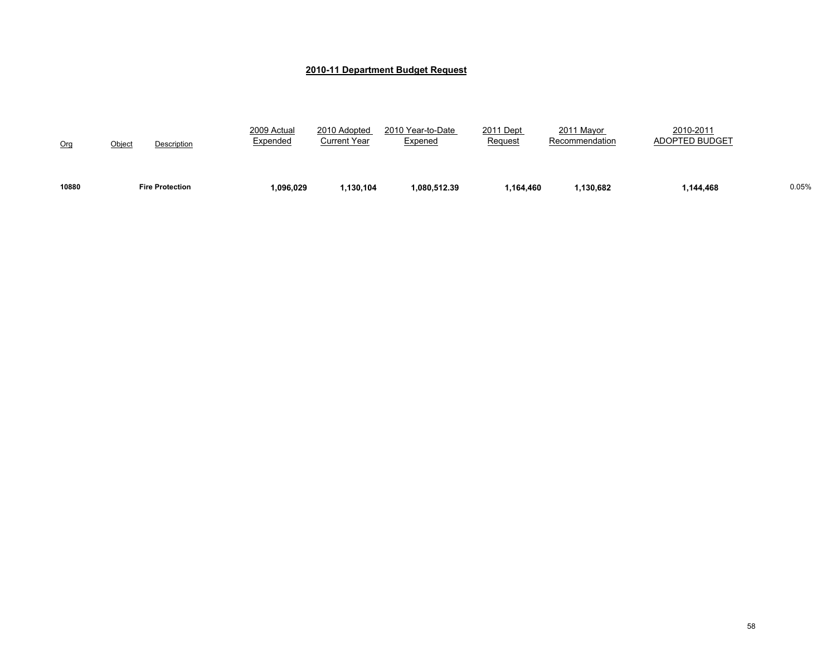| 10880 | <b>Fire Protection</b> | 1,096,029               | ,130,104                     | 1.080.512.39                 | 1.164.460            | .130.682                     | 1,144,468                          | 0.05% |
|-------|------------------------|-------------------------|------------------------------|------------------------------|----------------------|------------------------------|------------------------------------|-------|
| Org   | Object<br>Description  | 2009 Actual<br>Expended | 2010 Adopted<br>Current Year | 2010 Year-to-Date<br>Expened | 2011 Dept<br>Request | 2011 Mayor<br>Recommendation | 2010-2011<br><b>ADOPTED BUDGET</b> |       |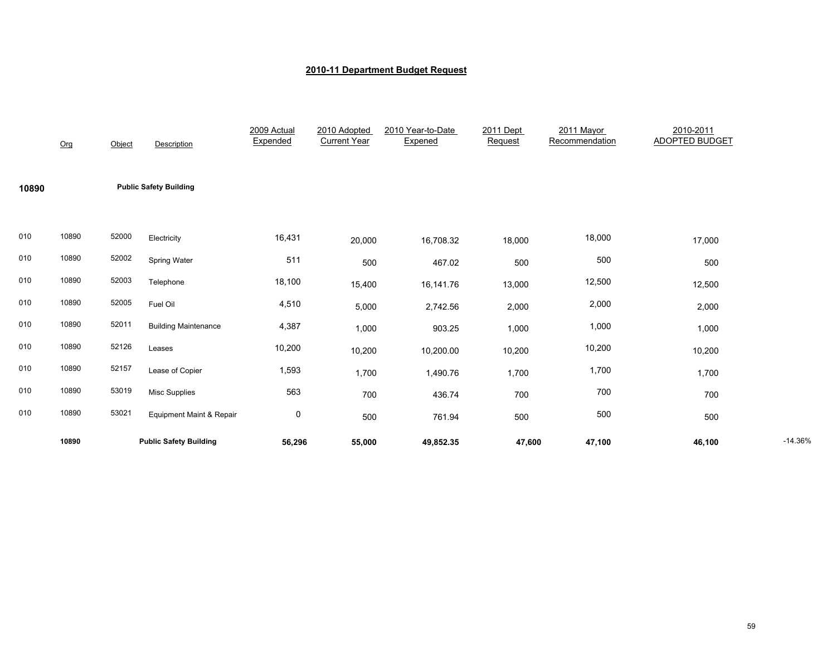|       | Org   | Object | <b>Description</b>            | 2009 Actual<br>Expended | 2010 Adopted<br><b>Current Year</b> | 2010 Year-to-Date<br>Expened | 2011 Dept<br>Request | 2011 Mayor<br>Recommendation | 2010-2011<br><b>ADOPTED BUDGET</b> |           |
|-------|-------|--------|-------------------------------|-------------------------|-------------------------------------|------------------------------|----------------------|------------------------------|------------------------------------|-----------|
| 10890 |       |        | <b>Public Safety Building</b> |                         |                                     |                              |                      |                              |                                    |           |
| 010   | 10890 | 52000  | Electricity                   | 16,431                  | 20,000                              | 16,708.32                    | 18,000               | 18,000                       | 17,000                             |           |
| 010   | 10890 | 52002  | Spring Water                  | 511                     | 500                                 | 467.02                       | 500                  | 500                          | 500                                |           |
| 010   | 10890 | 52003  | Telephone                     | 18,100                  | 15,400                              | 16,141.76                    | 13,000               | 12,500                       | 12,500                             |           |
| 010   | 10890 | 52005  | Fuel Oil                      | 4,510                   | 5,000                               | 2,742.56                     | 2,000                | 2,000                        | 2,000                              |           |
| 010   | 10890 | 52011  | <b>Building Maintenance</b>   | 4,387                   | 1,000                               | 903.25                       | 1,000                | 1,000                        | 1,000                              |           |
| 010   | 10890 | 52126  | Leases                        | 10,200                  | 10,200                              | 10,200.00                    | 10,200               | 10,200                       | 10,200                             |           |
| 010   | 10890 | 52157  | Lease of Copier               | 1,593                   | 1,700                               | 1,490.76                     | 1,700                | 1,700                        | 1,700                              |           |
| 010   | 10890 | 53019  | <b>Misc Supplies</b>          | 563                     | 700                                 | 436.74                       | 700                  | 700                          | 700                                |           |
| 010   | 10890 | 53021  | Equipment Maint & Repair      | $\pmb{0}$               | 500                                 | 761.94                       | 500                  | 500                          | 500                                |           |
|       | 10890 |        | <b>Public Safety Building</b> | 56,296                  | 55,000                              | 49,852.35                    | 47,600               | 47,100                       | 46,100                             | $-14.36%$ |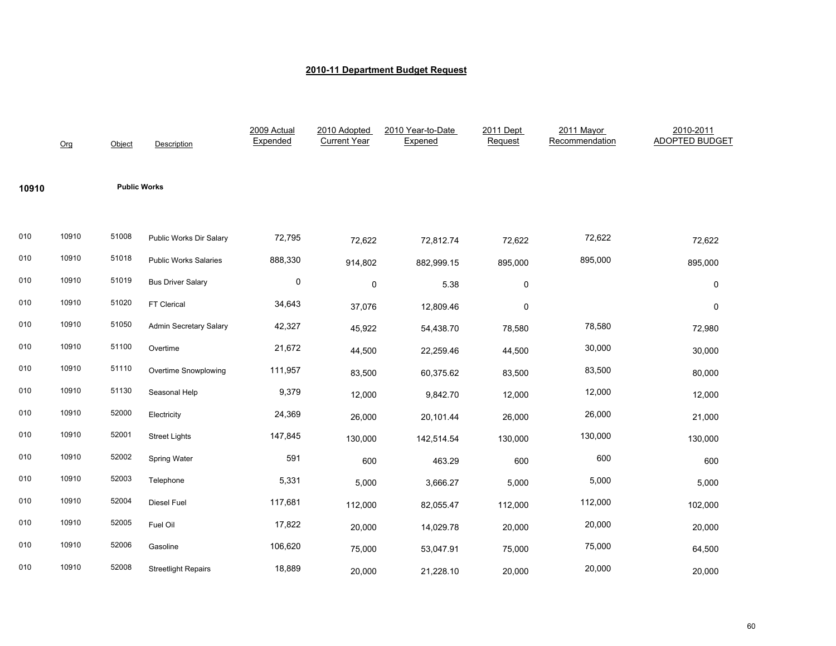|       | Org   | Object              | <b>Description</b>            | 2009 Actual<br>Expended | 2010 Adopted<br><b>Current Year</b> | 2010 Year-to-Date<br>Expened | 2011 Dept<br>Request | 2011 Mayor<br>Recommendation | 2010-2011<br><b>ADOPTED BUDGET</b> |
|-------|-------|---------------------|-------------------------------|-------------------------|-------------------------------------|------------------------------|----------------------|------------------------------|------------------------------------|
| 10910 |       | <b>Public Works</b> |                               |                         |                                     |                              |                      |                              |                                    |
| 010   | 10910 | 51008               | Public Works Dir Salary       | 72,795                  | 72,622                              | 72,812.74                    | 72,622               | 72,622                       | 72,622                             |
| 010   | 10910 | 51018               | <b>Public Works Salaries</b>  | 888,330                 | 914,802                             | 882,999.15                   | 895,000              | 895,000                      | 895,000                            |
| 010   | 10910 | 51019               | <b>Bus Driver Salary</b>      | $\mathbf 0$             | $\mathbf 0$                         | 5.38                         | $\mathbf 0$          |                              | 0                                  |
| 010   | 10910 | 51020               | FT Clerical                   | 34,643                  | 37,076                              | 12,809.46                    | 0                    |                              | $\mathbf 0$                        |
| 010   | 10910 | 51050               | <b>Admin Secretary Salary</b> | 42,327                  | 45,922                              | 54,438.70                    | 78,580               | 78,580                       | 72,980                             |
| 010   | 10910 | 51100               | Overtime                      | 21,672                  | 44,500                              | 22,259.46                    | 44,500               | 30,000                       | 30,000                             |
| 010   | 10910 | 51110               | Overtime Snowplowing          | 111,957                 | 83,500                              | 60,375.62                    | 83,500               | 83,500                       | 80,000                             |
| 010   | 10910 | 51130               | Seasonal Help                 | 9,379                   | 12,000                              | 9,842.70                     | 12,000               | 12,000                       | 12,000                             |
| 010   | 10910 | 52000               | Electricity                   | 24,369                  | 26,000                              | 20,101.44                    | 26,000               | 26,000                       | 21,000                             |
| 010   | 10910 | 52001               | <b>Street Lights</b>          | 147,845                 | 130,000                             | 142,514.54                   | 130,000              | 130,000                      | 130,000                            |
| 010   | 10910 | 52002               | Spring Water                  | 591                     | 600                                 | 463.29                       | 600                  | 600                          | 600                                |
| 010   | 10910 | 52003               | Telephone                     | 5,331                   | 5,000                               | 3,666.27                     | 5,000                | 5,000                        | 5,000                              |
| 010   | 10910 | 52004               | <b>Diesel Fuel</b>            | 117,681                 | 112,000                             | 82,055.47                    | 112,000              | 112,000                      | 102,000                            |
| 010   | 10910 | 52005               | Fuel Oil                      | 17,822                  | 20,000                              | 14,029.78                    | 20,000               | 20,000                       | 20,000                             |
| 010   | 10910 | 52006               | Gasoline                      | 106,620                 | 75,000                              | 53,047.91                    | 75,000               | 75,000                       | 64,500                             |
| 010   | 10910 | 52008               | <b>Streetlight Repairs</b>    | 18,889                  | 20,000                              | 21,228.10                    | 20,000               | 20,000                       | 20,000                             |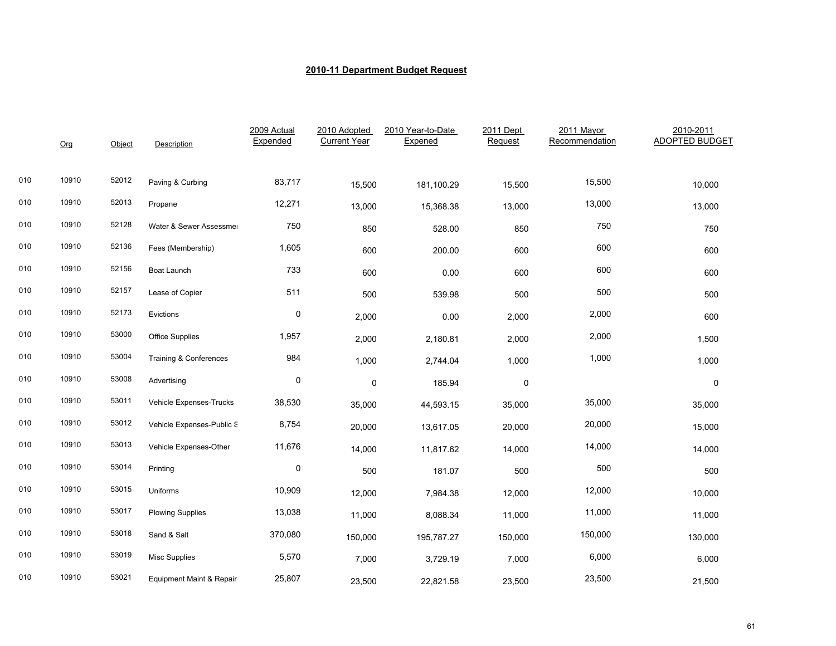|     | Org   | Object | Description                       | 2009 Actual<br>Expended | 2010 Adopted<br><b>Current Year</b> | 2010 Year-to-Date<br>Expened | 2011 Dept<br>Request | 2011 Mayor<br>Recommendation | 2010-2011<br><b>ADOPTED BUDGET</b> |
|-----|-------|--------|-----------------------------------|-------------------------|-------------------------------------|------------------------------|----------------------|------------------------------|------------------------------------|
| 010 | 10910 | 52012  | Paving & Curbing                  | 83,717                  | 15,500                              | 181,100.29                   | 15,500               | 15,500                       | 10,000                             |
| 010 | 10910 | 52013  | Propane                           | 12,271                  | 13,000                              | 15,368.38                    | 13,000               | 13,000                       | 13,000                             |
| 010 | 10910 | 52128  | Water & Sewer Assessmer           | 750                     | 850                                 | 528.00                       | 850                  | 750                          | 750                                |
| 010 | 10910 | 52136  | Fees (Membership)                 | 1,605                   | 600                                 | 200.00                       | 600                  | 600                          | 600                                |
| 010 | 10910 | 52156  | Boat Launch                       | 733                     | 600                                 | 0.00                         | 600                  | 600                          | 600                                |
| 010 | 10910 | 52157  | Lease of Copier                   | 511                     | 500                                 | 539.98                       | 500                  | 500                          | 500                                |
| 010 | 10910 | 52173  | Evictions                         | $\pmb{0}$               | 2,000                               | 0.00                         | 2,000                | 2,000                        | 600                                |
| 010 | 10910 | 53000  | Office Supplies                   | 1,957                   | 2,000                               | 2,180.81                     | 2,000                | 2,000                        | 1,500                              |
| 010 | 10910 | 53004  | <b>Training &amp; Conferences</b> | 984                     | 1,000                               | 2,744.04                     | 1,000                | 1,000                        | 1,000                              |
| 010 | 10910 | 53008  | Advertising                       | $\pmb{0}$               | $\pmb{0}$                           | 185.94                       | $\pmb{0}$            |                              | 0                                  |
| 010 | 10910 | 53011  | Vehicle Expenses-Trucks           | 38,530                  | 35,000                              | 44,593.15                    | 35,000               | 35,000                       | 35,000                             |
| 010 | 10910 | 53012  | Vehicle Expenses-Public S         | 8,754                   | 20,000                              | 13,617.05                    | 20,000               | 20,000                       | 15,000                             |
| 010 | 10910 | 53013  | Vehicle Expenses-Other            | 11,676                  | 14,000                              | 11,817.62                    | 14,000               | 14,000                       | 14,000                             |
| 010 | 10910 | 53014  | Printing                          | $\pmb{0}$               | 500                                 | 181.07                       | 500                  | 500                          | 500                                |
| 010 | 10910 | 53015  | Uniforms                          | 10,909                  | 12,000                              | 7,984.38                     | 12,000               | 12,000                       | 10,000                             |
| 010 | 10910 | 53017  | <b>Plowing Supplies</b>           | 13,038                  | 11,000                              | 8,088.34                     | 11,000               | 11,000                       | 11,000                             |
| 010 | 10910 | 53018  | Sand & Salt                       | 370,080                 | 150,000                             | 195,787.27                   | 150,000              | 150,000                      | 130,000                            |
| 010 | 10910 | 53019  | <b>Misc Supplies</b>              | 5,570                   | 7,000                               | 3,729.19                     | 7,000                | 6,000                        | 6,000                              |
| 010 | 10910 | 53021  | Equipment Maint & Repair          | 25,807                  | 23,500                              | 22,821.58                    | 23,500               | 23,500                       | 21,500                             |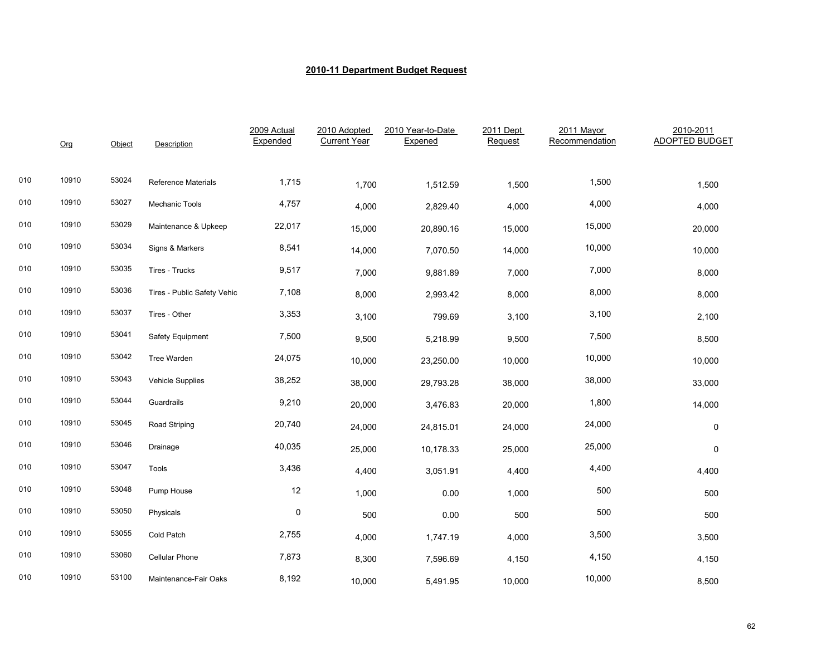|     | Org   | Object | Description                 | 2009 Actual<br>Expended | 2010 Adopted<br><b>Current Year</b> | 2010 Year-to-Date<br>Expened | 2011 Dept<br>Request | 2011 Mayor<br>Recommendation | 2010-2011<br>ADOPTED BUDGET |
|-----|-------|--------|-----------------------------|-------------------------|-------------------------------------|------------------------------|----------------------|------------------------------|-----------------------------|
| 010 | 10910 | 53024  | Reference Materials         | 1,715                   | 1,700                               | 1,512.59                     | 1,500                | 1,500                        | 1,500                       |
| 010 | 10910 | 53027  | Mechanic Tools              | 4,757                   | 4,000                               | 2,829.40                     | 4,000                | 4,000                        | 4,000                       |
| 010 | 10910 | 53029  | Maintenance & Upkeep        | 22,017                  | 15,000                              | 20,890.16                    | 15,000               | 15,000                       | 20,000                      |
| 010 | 10910 | 53034  | Signs & Markers             | 8,541                   | 14,000                              | 7,070.50                     | 14,000               | 10,000                       | 10,000                      |
| 010 | 10910 | 53035  | Tires - Trucks              | 9,517                   | 7,000                               | 9,881.89                     | 7,000                | 7,000                        | 8,000                       |
| 010 | 10910 | 53036  | Tires - Public Safety Vehic | 7,108                   | 8,000                               | 2,993.42                     | 8,000                | 8,000                        | 8,000                       |
| 010 | 10910 | 53037  | Tires - Other               | 3,353                   | 3,100                               | 799.69                       | 3,100                | 3,100                        | 2,100                       |
| 010 | 10910 | 53041  | Safety Equipment            | 7,500                   | 9,500                               | 5,218.99                     | 9,500                | 7,500                        | 8,500                       |
| 010 | 10910 | 53042  | Tree Warden                 | 24,075                  | 10,000                              | 23,250.00                    | 10,000               | 10,000                       | 10,000                      |
| 010 | 10910 | 53043  | <b>Vehicle Supplies</b>     | 38,252                  | 38,000                              | 29,793.28                    | 38,000               | 38,000                       | 33,000                      |
| 010 | 10910 | 53044  | Guardrails                  | 9,210                   | 20,000                              | 3,476.83                     | 20,000               | 1,800                        | 14,000                      |
| 010 | 10910 | 53045  | Road Striping               | 20,740                  | 24,000                              | 24,815.01                    | 24,000               | 24,000                       | 0                           |
| 010 | 10910 | 53046  | Drainage                    | 40,035                  | 25,000                              | 10,178.33                    | 25,000               | 25,000                       | $\Omega$                    |
| 010 | 10910 | 53047  | Tools                       | 3,436                   | 4,400                               | 3,051.91                     | 4,400                | 4,400                        | 4,400                       |
| 010 | 10910 | 53048  | Pump House                  | 12                      | 1,000                               | 0.00                         | 1,000                | 500                          | 500                         |
| 010 | 10910 | 53050  | Physicals                   | $\mathbf 0$             | 500                                 | 0.00                         | 500                  | 500                          | 500                         |
| 010 | 10910 | 53055  | Cold Patch                  | 2,755                   | 4,000                               | 1,747.19                     | 4,000                | 3,500                        | 3,500                       |
| 010 | 10910 | 53060  | Cellular Phone              | 7,873                   | 8,300                               | 7,596.69                     | 4,150                | 4,150                        | 4,150                       |
| 010 | 10910 | 53100  | Maintenance-Fair Oaks       | 8,192                   | 10,000                              | 5,491.95                     | 10,000               | 10,000                       | 8,500                       |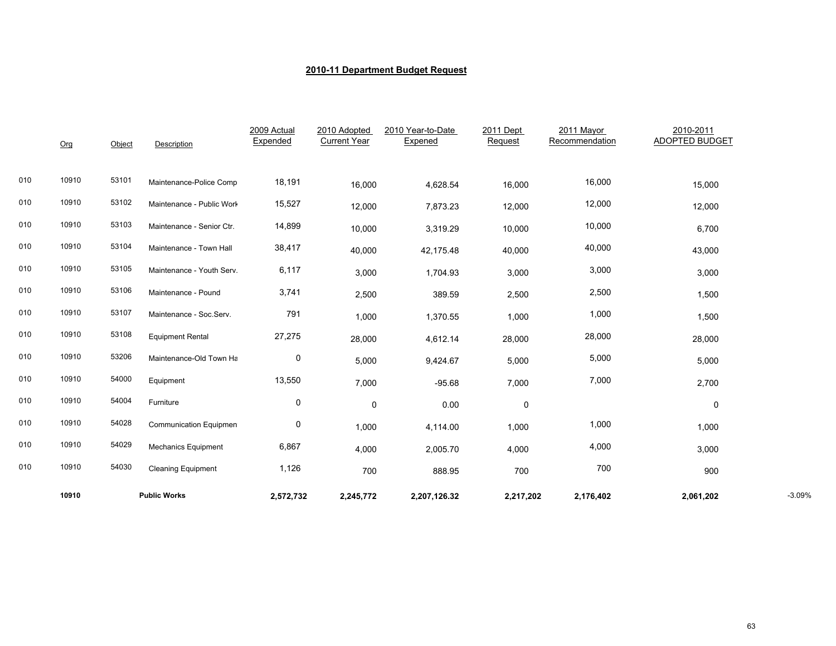|     | 10910 |        | <b>Public Works</b>        | 2,572,732               | 2,245,772                           | 2,207,126.32                 | 2,217,202            | 2,176,402                    | 2,061,202                          | $-3.09%$ |
|-----|-------|--------|----------------------------|-------------------------|-------------------------------------|------------------------------|----------------------|------------------------------|------------------------------------|----------|
| 010 | 10910 | 54030  | <b>Cleaning Equipment</b>  | 1,126                   | 700                                 | 888.95                       | 700                  | 700                          | 900                                |          |
| 010 | 10910 | 54029  | <b>Mechanics Equipment</b> | 6,867                   | 4,000                               | 2,005.70                     | 4,000                | 4,000                        | 3,000                              |          |
| 010 | 10910 | 54028  | Communication Equipmen     | 0                       | 1,000                               | 4,114.00                     | 1,000                | 1,000                        | 1,000                              |          |
| 010 | 10910 | 54004  | Furniture                  | 0                       | 0                                   | 0.00                         | $\pmb{0}$            |                              | 0                                  |          |
| 010 | 10910 | 54000  | Equipment                  | 13,550                  | 7,000                               | $-95.68$                     | 7,000                | 7,000                        | 2,700                              |          |
| 010 | 10910 | 53206  | Maintenance-Old Town Ha    | 0                       | 5,000                               | 9,424.67                     | 5,000                | 5,000                        | 5,000                              |          |
| 010 | 10910 | 53108  | <b>Equipment Rental</b>    | 27,275                  | 28,000                              | 4,612.14                     | 28,000               | 28,000                       | 28,000                             |          |
| 010 | 10910 | 53107  | Maintenance - Soc.Serv.    | 791                     | 1,000                               | 1,370.55                     | 1,000                | 1,000                        | 1,500                              |          |
| 010 | 10910 | 53106  | Maintenance - Pound        | 3,741                   | 2,500                               | 389.59                       | 2,500                | 2,500                        | 1,500                              |          |
| 010 | 10910 | 53105  | Maintenance - Youth Serv.  | 6,117                   | 3,000                               | 1,704.93                     | 3,000                | 3,000                        | 3,000                              |          |
| 010 | 10910 | 53104  | Maintenance - Town Hall    | 38,417                  | 40,000                              | 42,175.48                    | 40,000               | 40,000                       | 43,000                             |          |
| 010 | 10910 | 53103  | Maintenance - Senior Ctr.  | 14,899                  | 10,000                              | 3,319.29                     | 10,000               | 10,000                       | 6,700                              |          |
| 010 | 10910 | 53102  | Maintenance - Public Work  | 15,527                  | 12,000                              | 7,873.23                     | 12,000               | 12,000                       | 12,000                             |          |
| 010 | 10910 | 53101  | Maintenance-Police Comp    | 18,191                  | 16,000                              | 4,628.54                     | 16,000               | 16,000                       | 15,000                             |          |
|     |       |        |                            |                         |                                     |                              |                      |                              |                                    |          |
|     | Org   | Object | Description                | 2009 Actual<br>Expended | 2010 Adopted<br><b>Current Year</b> | 2010 Year-to-Date<br>Expened | 2011 Dept<br>Request | 2011 Mayor<br>Recommendation | 2010-2011<br><b>ADOPTED BUDGET</b> |          |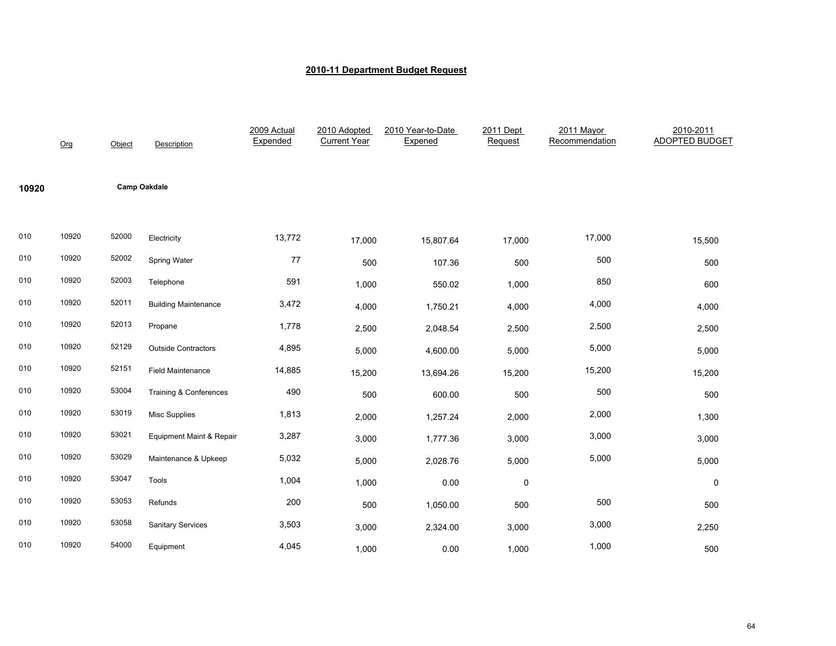|       | Org   | Object | Description                 | 2009 Actual<br>Expended | 2010 Adopted<br><b>Current Year</b> | 2010 Year-to-Date<br>Expened | 2011 Dept<br>Request | 2011 Mayor<br>Recommendation | 2010-2011<br><b>ADOPTED BUDGET</b> |
|-------|-------|--------|-----------------------------|-------------------------|-------------------------------------|------------------------------|----------------------|------------------------------|------------------------------------|
| 10920 |       |        | <b>Camp Oakdale</b>         |                         |                                     |                              |                      |                              |                                    |
| 010   | 10920 | 52000  | Electricity                 | 13,772                  | 17,000                              | 15,807.64                    | 17,000               | 17,000                       | 15,500                             |
| 010   | 10920 | 52002  | Spring Water                | $77\,$                  | 500                                 | 107.36                       | 500                  | 500                          | 500                                |
| 010   | 10920 | 52003  | Telephone                   | 591                     | 1,000                               | 550.02                       | 1,000                | 850                          | 600                                |
| 010   | 10920 | 52011  | <b>Building Maintenance</b> | 3,472                   | 4,000                               | 1,750.21                     | 4,000                | 4,000                        | 4,000                              |
| 010   | 10920 | 52013  | Propane                     | 1,778                   | 2,500                               | 2,048.54                     | 2,500                | 2,500                        | 2,500                              |
| 010   | 10920 | 52129  | <b>Outside Contractors</b>  | 4,895                   | 5,000                               | 4,600.00                     | 5,000                | 5,000                        | 5,000                              |
| 010   | 10920 | 52151  | <b>Field Maintenance</b>    | 14,885                  | 15,200                              | 13,694.26                    | 15,200               | 15,200                       | 15,200                             |
| 010   | 10920 | 53004  | Training & Conferences      | 490                     | 500                                 | 600.00                       | 500                  | 500                          | 500                                |
| 010   | 10920 | 53019  | Misc Supplies               | 1,813                   | 2,000                               | 1,257.24                     | 2,000                | 2,000                        | 1,300                              |
| 010   | 10920 | 53021  | Equipment Maint & Repair    | 3,287                   | 3,000                               | 1,777.36                     | 3,000                | 3,000                        | 3,000                              |
| 010   | 10920 | 53029  | Maintenance & Upkeep        | 5,032                   | 5,000                               | 2,028.76                     | 5,000                | 5,000                        | 5,000                              |
| 010   | 10920 | 53047  | Tools                       | 1,004                   | 1,000                               | 0.00                         | 0                    |                              | $\mathbf 0$                        |
| 010   | 10920 | 53053  | Refunds                     | 200                     | 500                                 | 1,050.00                     | 500                  | 500                          | 500                                |
| 010   | 10920 | 53058  | <b>Sanitary Services</b>    | 3,503                   | 3,000                               | 2,324.00                     | 3,000                | 3,000                        | 2,250                              |
| 010   | 10920 | 54000  | Equipment                   | 4,045                   | 1,000                               | 0.00                         | 1,000                | 1,000                        | 500                                |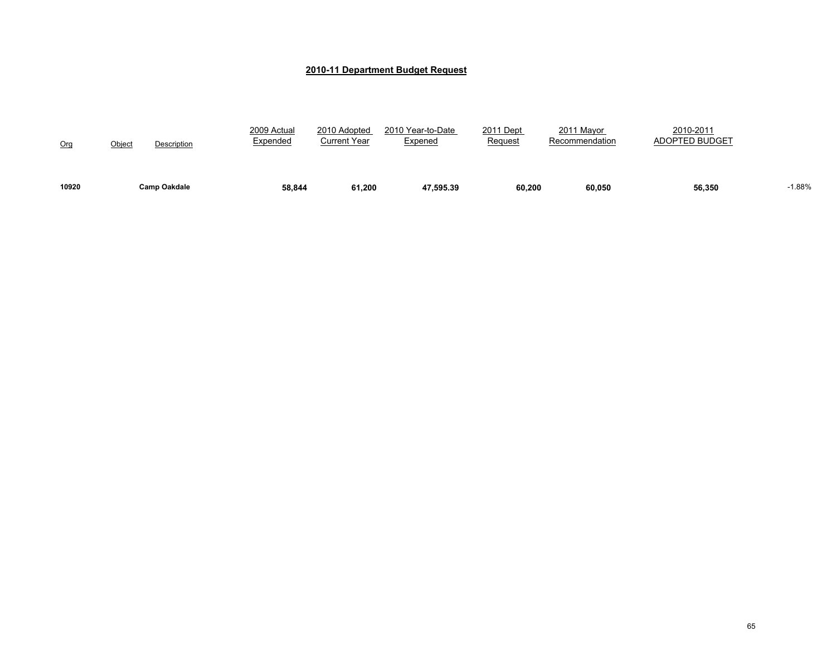| 10920           |               | <b>Camp Oakdale</b> | 58.844                  | 61,200                       | 47.595.39                           | 60,200               | 60.050                       | 56,350                             | $-1.88%$ |
|-----------------|---------------|---------------------|-------------------------|------------------------------|-------------------------------------|----------------------|------------------------------|------------------------------------|----------|
| O <sub>rg</sub> | <u>Object</u> | Description         | 2009 Actual<br>Expended | 2010 Adopted<br>Current Year | 2010 Year-to-Date<br><u>Expened</u> | 2011 Dept<br>Request | 2011 Mayor<br>Recommendation | 2010-2011<br><b>ADOPTED BUDGET</b> |          |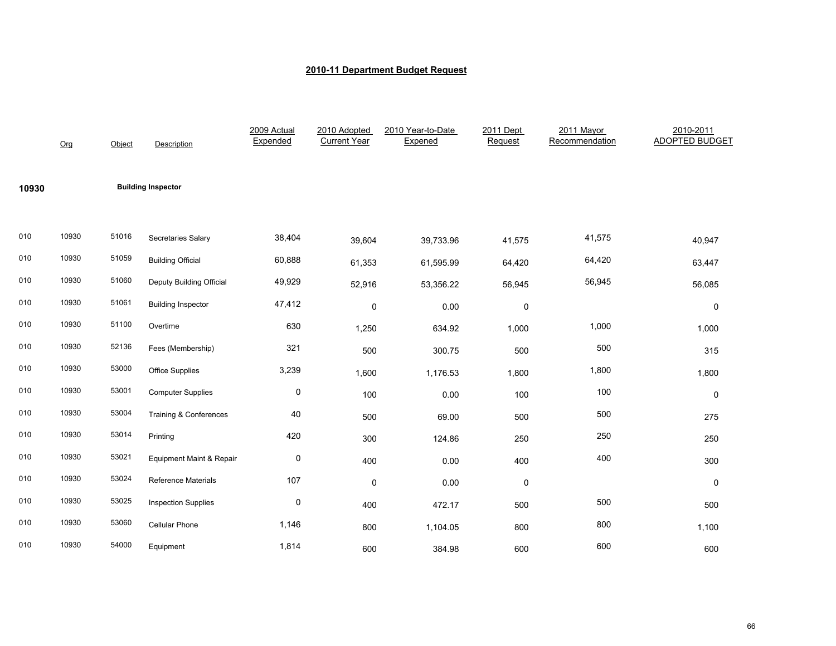|       | Org   | Object | Description                       | 2009 Actual<br>Expended | 2010 Adopted<br><b>Current Year</b> | 2010 Year-to-Date<br>Expened | 2011 Dept<br>Request | 2011 Mayor<br>Recommendation | 2010-2011<br><b>ADOPTED BUDGET</b> |
|-------|-------|--------|-----------------------------------|-------------------------|-------------------------------------|------------------------------|----------------------|------------------------------|------------------------------------|
| 10930 |       |        | <b>Building Inspector</b>         |                         |                                     |                              |                      |                              |                                    |
| 010   | 10930 | 51016  | Secretaries Salary                | 38,404                  | 39,604                              | 39,733.96                    | 41,575               | 41,575                       | 40,947                             |
| 010   | 10930 | 51059  | <b>Building Official</b>          | 60,888                  | 61,353                              | 61,595.99                    | 64,420               | 64,420                       | 63,447                             |
| 010   | 10930 | 51060  | Deputy Building Official          | 49,929                  | 52,916                              | 53,356.22                    | 56,945               | 56,945                       | 56,085                             |
| 010   | 10930 | 51061  | <b>Building Inspector</b>         | 47,412                  | 0                                   | 0.00                         | 0                    |                              | $\pmb{0}$                          |
| 010   | 10930 | 51100  | Overtime                          | 630                     | 1,250                               | 634.92                       | 1,000                | 1,000                        | 1,000                              |
| 010   | 10930 | 52136  | Fees (Membership)                 | 321                     | 500                                 | 300.75                       | 500                  | 500                          | 315                                |
| 010   | 10930 | 53000  | Office Supplies                   | 3,239                   | 1,600                               | 1,176.53                     | 1,800                | 1,800                        | 1,800                              |
| 010   | 10930 | 53001  | <b>Computer Supplies</b>          | 0                       | 100                                 | 0.00                         | 100                  | 100                          | $\mathbf 0$                        |
| 010   | 10930 | 53004  | <b>Training &amp; Conferences</b> | 40                      | 500                                 | 69.00                        | 500                  | 500                          | 275                                |
| 010   | 10930 | 53014  | Printing                          | 420                     | 300                                 | 124.86                       | 250                  | 250                          | 250                                |
| 010   | 10930 | 53021  | Equipment Maint & Repair          | 0                       | 400                                 | 0.00                         | 400                  | 400                          | 300                                |
| 010   | 10930 | 53024  | Reference Materials               | 107                     | $\mathbf 0$                         | 0.00                         | $\mathbf 0$          |                              | $\mathbf 0$                        |
| 010   | 10930 | 53025  | <b>Inspection Supplies</b>        | 0                       | 400                                 | 472.17                       | 500                  | 500                          | 500                                |
| 010   | 10930 | 53060  | Cellular Phone                    | 1,146                   | 800                                 | 1,104.05                     | 800                  | 800                          | 1,100                              |
| 010   | 10930 | 54000  | Equipment                         | 1,814                   | 600                                 | 384.98                       | 600                  | 600                          | 600                                |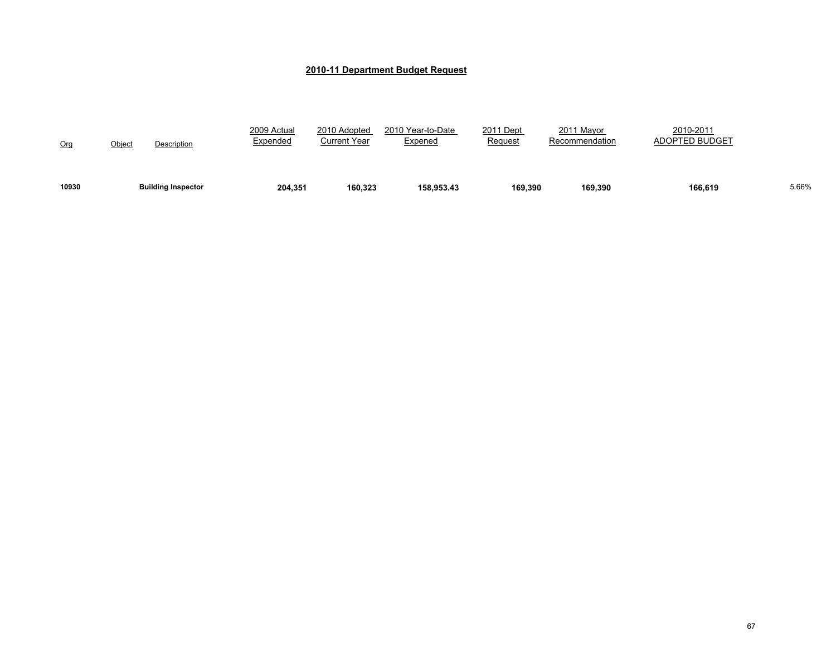| 10930 | <b>Building Inspector</b>    | 204,351                 | 160,323                      | 158.953.43                          | 169.390                     | 169.390                      | 166.619                            | 5.66% |
|-------|------------------------------|-------------------------|------------------------------|-------------------------------------|-----------------------------|------------------------------|------------------------------------|-------|
| Org   | <u>Object</u><br>Description | 2009 Actual<br>Expended | 2010 Adopted<br>Current Year | 2010 Year-to-Date<br><u>Expened</u> | 2011 Dept<br><b>Request</b> | 2011 Mayor<br>Recommendation | 2010-2011<br><b>ADOPTED BUDGET</b> |       |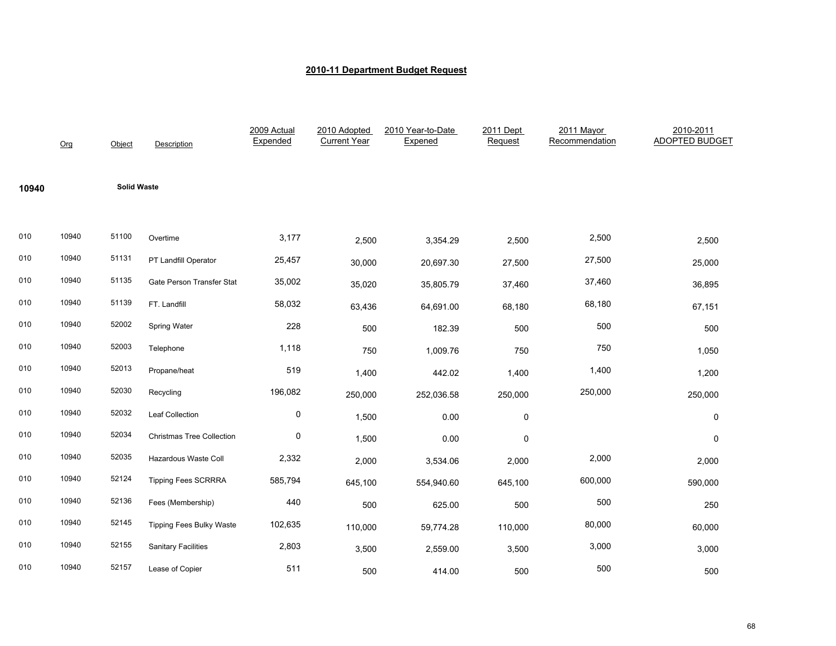|       | Org   | Object             | Description                      | 2009 Actual<br>Expended | 2010 Adopted<br><b>Current Year</b> | 2010 Year-to-Date<br>Expened | 2011 Dept<br>Request | 2011 Mayor<br>Recommendation | 2010-2011<br><b>ADOPTED BUDGET</b> |
|-------|-------|--------------------|----------------------------------|-------------------------|-------------------------------------|------------------------------|----------------------|------------------------------|------------------------------------|
| 10940 |       | <b>Solid Waste</b> |                                  |                         |                                     |                              |                      |                              |                                    |
| 010   | 10940 | 51100              | Overtime                         | 3,177                   | 2,500                               | 3,354.29                     | 2,500                | 2,500                        | 2,500                              |
| 010   | 10940 | 51131              | PT Landfill Operator             | 25,457                  | 30,000                              | 20,697.30                    | 27,500               | 27,500                       | 25,000                             |
| 010   | 10940 | 51135              | Gate Person Transfer Stat        | 35,002                  | 35,020                              | 35,805.79                    | 37,460               | 37,460                       | 36,895                             |
| 010   | 10940 | 51139              | FT. Landfill                     | 58,032                  | 63,436                              | 64,691.00                    | 68,180               | 68,180                       | 67,151                             |
| 010   | 10940 | 52002              | Spring Water                     | 228                     | 500                                 | 182.39                       | 500                  | 500                          | 500                                |
| 010   | 10940 | 52003              | Telephone                        | 1,118                   | 750                                 | 1,009.76                     | 750                  | 750                          | 1,050                              |
| 010   | 10940 | 52013              | Propane/heat                     | 519                     | 1,400                               | 442.02                       | 1,400                | 1,400                        | 1,200                              |
| 010   | 10940 | 52030              | Recycling                        | 196,082                 | 250,000                             | 252,036.58                   | 250,000              | 250,000                      | 250,000                            |
| 010   | 10940 | 52032              | Leaf Collection                  | 0                       | 1,500                               | 0.00                         | 0                    |                              | 0                                  |
| 010   | 10940 | 52034              | <b>Christmas Tree Collection</b> | $\pmb{0}$               | 1,500                               | 0.00                         | 0                    |                              | $\mathbf 0$                        |
| 010   | 10940 | 52035              | Hazardous Waste Coll             | 2,332                   | 2,000                               | 3,534.06                     | 2,000                | 2,000                        | 2,000                              |
| 010   | 10940 | 52124              | <b>Tipping Fees SCRRRA</b>       | 585,794                 | 645,100                             | 554,940.60                   | 645,100              | 600,000                      | 590,000                            |
| 010   | 10940 | 52136              | Fees (Membership)                | 440                     | 500                                 | 625.00                       | 500                  | 500                          | 250                                |
| 010   | 10940 | 52145              | <b>Tipping Fees Bulky Waste</b>  | 102,635                 | 110,000                             | 59,774.28                    | 110,000              | 80,000                       | 60,000                             |
| 010   | 10940 | 52155              | <b>Sanitary Facilities</b>       | 2,803                   | 3,500                               | 2,559.00                     | 3,500                | 3,000                        | 3,000                              |
| 010   | 10940 | 52157              | Lease of Copier                  | 511                     | 500                                 | 414.00                       | 500                  | 500                          | 500                                |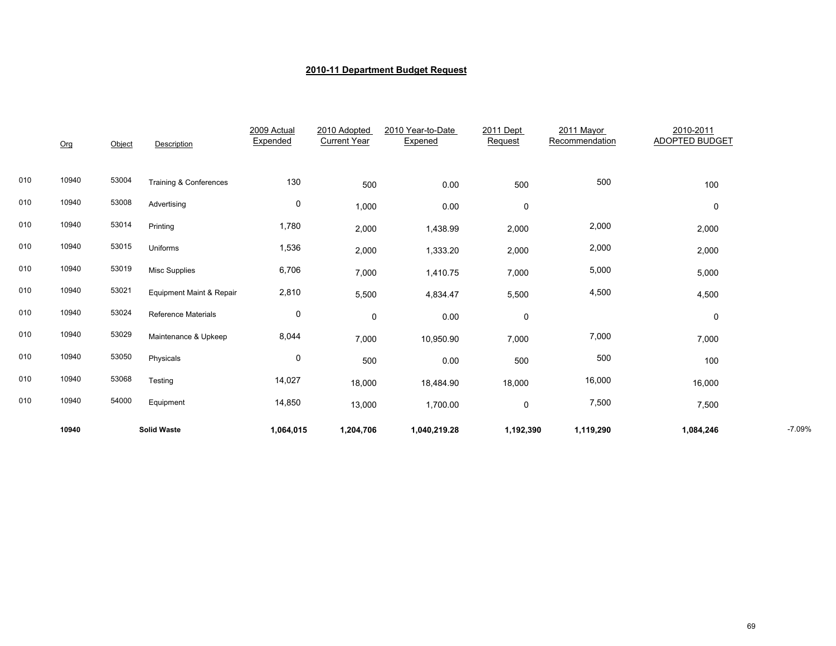|     | 10940 |        | <b>Solid Waste</b>         | 1,064,015               | 1,204,706                           | 1,040,219.28                 | 1,192,390            | 1,119,290                    | 1,084,246                          | $-7.09%$ |
|-----|-------|--------|----------------------------|-------------------------|-------------------------------------|------------------------------|----------------------|------------------------------|------------------------------------|----------|
| 010 | 10940 | 54000  | Equipment                  | 14,850                  | 13,000                              | 1,700.00                     | $\pmb{0}$            | 7,500                        | 7,500                              |          |
| 010 | 10940 | 53068  | Testing                    | 14,027                  | 18,000                              | 18,484.90                    | 18,000               | 16,000                       | 16,000                             |          |
| 010 | 10940 | 53050  | Physicals                  | 0                       | 500                                 | 0.00                         | 500                  | 500                          | 100                                |          |
| 010 | 10940 | 53029  | Maintenance & Upkeep       | 8,044                   | 7,000                               | 10,950.90                    | 7,000                | 7,000                        | 7,000                              |          |
| 010 | 10940 | 53024  | <b>Reference Materials</b> | 0                       | 0                                   | 0.00                         | 0                    |                              | 0                                  |          |
| 010 | 10940 | 53021  | Equipment Maint & Repair   | 2,810                   | 5,500                               | 4,834.47                     | 5,500                | 4,500                        | 4,500                              |          |
| 010 | 10940 | 53019  | <b>Misc Supplies</b>       | 6,706                   | 7,000                               | 1,410.75                     | 7,000                | 5,000                        | 5,000                              |          |
| 010 | 10940 | 53015  | Uniforms                   | 1,536                   | 2,000                               | 1,333.20                     | 2,000                | 2,000                        | 2,000                              |          |
| 010 | 10940 | 53014  | Printing                   | 1,780                   | 2,000                               | 1,438.99                     | 2,000                | 2,000                        | 2,000                              |          |
| 010 | 10940 | 53008  | Advertising                | 0                       | 1,000                               | 0.00                         | $\pmb{0}$            |                              | 0                                  |          |
| 010 | 10940 | 53004  | Training & Conferences     | 130                     | 500                                 | 0.00                         | 500                  | 500                          | 100                                |          |
|     | Org   | Object | Description                | 2009 Actual<br>Expended | 2010 Adopted<br><b>Current Year</b> | 2010 Year-to-Date<br>Expened | 2011 Dept<br>Request | 2011 Mayor<br>Recommendation | 2010-2011<br><b>ADOPTED BUDGET</b> |          |
|     |       |        |                            |                         |                                     |                              |                      |                              |                                    |          |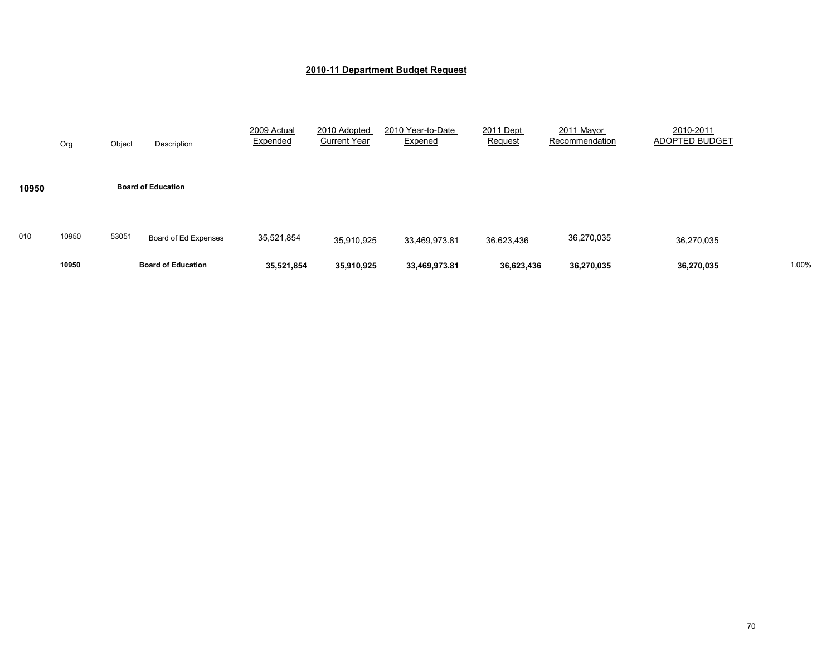|       | 10950 |        | <b>Board of Education</b> | 35,521,854              | 35,910,925                          | 33,469,973.81                | 36,623,436                  | 36,270,035                   | 36,270,035                  | 1.00% |
|-------|-------|--------|---------------------------|-------------------------|-------------------------------------|------------------------------|-----------------------------|------------------------------|-----------------------------|-------|
| 010   | 10950 | 53051  | Board of Ed Expenses      | 35,521,854              | 35,910,925                          | 33,469,973.81                | 36,623,436                  | 36,270,035                   | 36,270,035                  |       |
| 10950 |       |        | <b>Board of Education</b> |                         |                                     |                              |                             |                              |                             |       |
|       | Org   | Object | Description               | 2009 Actual<br>Expended | 2010 Adopted<br><b>Current Year</b> | 2010 Year-to-Date<br>Expened | 2011 Dept<br><b>Request</b> | 2011 Mayor<br>Recommendation | 2010-2011<br>ADOPTED BUDGET |       |